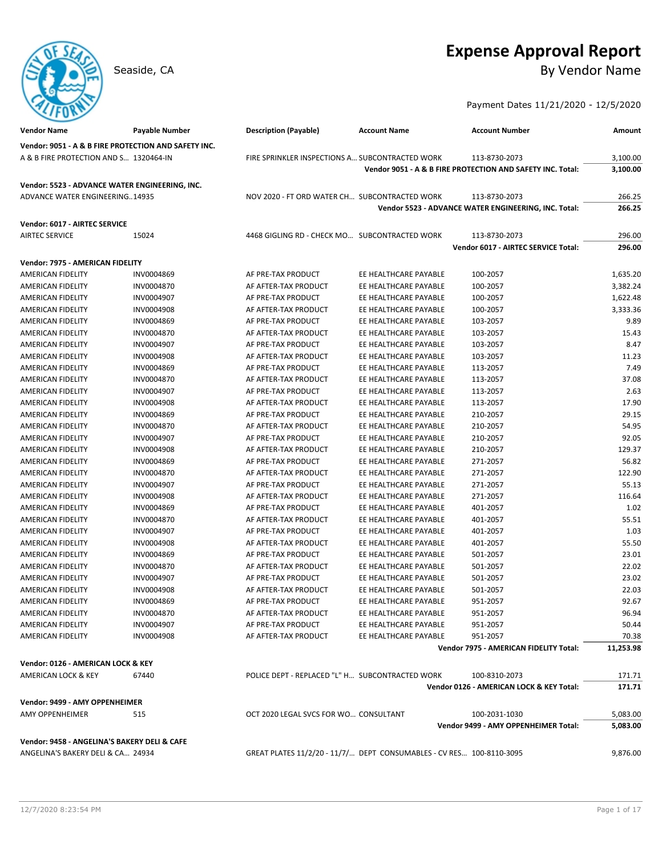# **Expense Approval Report**

Seaside, CA By Vendor Name

Payment Dates 11/21/2020 - 12/5/2020

| <b>Vendor Name</b>                                   | <b>Payable Number</b> | <b>Description (Payable)</b>                                         | <b>Account Name</b>   | <b>Account Number</b>                                      | Amount    |
|------------------------------------------------------|-----------------------|----------------------------------------------------------------------|-----------------------|------------------------------------------------------------|-----------|
| Vendor: 9051 - A & B FIRE PROTECTION AND SAFETY INC. |                       |                                                                      |                       |                                                            |           |
| A & B FIRE PROTECTION AND S 1320464-IN               |                       | FIRE SPRINKLER INSPECTIONS A SUBCONTRACTED WORK                      |                       | 113-8730-2073                                              | 3,100.00  |
|                                                      |                       |                                                                      |                       | Vendor 9051 - A & B FIRE PROTECTION AND SAFETY INC. Total: | 3,100.00  |
| Vendor: 5523 - ADVANCE WATER ENGINEERING, INC.       |                       |                                                                      |                       |                                                            |           |
| ADVANCE WATER ENGINEERING14935                       |                       | NOV 2020 - FT ORD WATER CH SUBCONTRACTED WORK                        |                       | 113-8730-2073                                              | 266.25    |
|                                                      |                       |                                                                      |                       | Vendor 5523 - ADVANCE WATER ENGINEERING, INC. Total:       | 266.25    |
|                                                      |                       |                                                                      |                       |                                                            |           |
| Vendor: 6017 - AIRTEC SERVICE                        |                       |                                                                      |                       |                                                            |           |
| <b>AIRTEC SERVICE</b>                                | 15024                 | 4468 GIGLING RD - CHECK MO SUBCONTRACTED WORK                        |                       | 113-8730-2073                                              | 296.00    |
|                                                      |                       |                                                                      |                       | Vendor 6017 - AIRTEC SERVICE Total:                        | 296.00    |
| Vendor: 7975 - AMERICAN FIDELITY                     |                       |                                                                      |                       |                                                            |           |
| AMERICAN FIDELITY                                    | INV0004869            | AF PRE-TAX PRODUCT                                                   | EE HEALTHCARE PAYABLE | 100-2057                                                   | 1,635.20  |
| AMERICAN FIDELITY                                    | INV0004870            | AF AFTER-TAX PRODUCT                                                 | EE HEALTHCARE PAYABLE | 100-2057                                                   | 3,382.24  |
| AMERICAN FIDELITY                                    | INV0004907            | AF PRE-TAX PRODUCT                                                   | EE HEALTHCARE PAYABLE | 100-2057                                                   | 1,622.48  |
| AMERICAN FIDELITY                                    | INV0004908            | AF AFTER-TAX PRODUCT                                                 | EE HEALTHCARE PAYABLE | 100-2057                                                   | 3,333.36  |
| AMERICAN FIDELITY                                    | INV0004869            | AF PRE-TAX PRODUCT                                                   | EE HEALTHCARE PAYABLE | 103-2057                                                   | 9.89      |
| AMERICAN FIDELITY                                    | INV0004870            | AF AFTER-TAX PRODUCT                                                 | EE HEALTHCARE PAYABLE | 103-2057                                                   | 15.43     |
| AMERICAN FIDELITY                                    | INV0004907            | AF PRE-TAX PRODUCT                                                   | EE HEALTHCARE PAYABLE | 103-2057                                                   | 8.47      |
| AMERICAN FIDELITY                                    | INV0004908            | AF AFTER-TAX PRODUCT                                                 | EE HEALTHCARE PAYABLE | 103-2057                                                   | 11.23     |
| AMERICAN FIDELITY                                    | INV0004869            | AF PRE-TAX PRODUCT                                                   | EE HEALTHCARE PAYABLE | 113-2057                                                   | 7.49      |
| <b>AMERICAN FIDELITY</b>                             | INV0004870            | AF AFTER-TAX PRODUCT                                                 | EE HEALTHCARE PAYABLE | 113-2057                                                   | 37.08     |
| AMERICAN FIDELITY                                    | INV0004907            | AF PRE-TAX PRODUCT                                                   | EE HEALTHCARE PAYABLE | 113-2057                                                   | 2.63      |
| AMERICAN FIDELITY                                    | INV0004908            | AF AFTER-TAX PRODUCT                                                 | EE HEALTHCARE PAYABLE | 113-2057                                                   | 17.90     |
| AMERICAN FIDELITY                                    | INV0004869            | AF PRE-TAX PRODUCT                                                   | EE HEALTHCARE PAYABLE | 210-2057                                                   | 29.15     |
| <b>AMERICAN FIDELITY</b>                             | INV0004870            | AF AFTER-TAX PRODUCT                                                 | EE HEALTHCARE PAYABLE | 210-2057                                                   | 54.95     |
| AMERICAN FIDELITY                                    | INV0004907            | AF PRE-TAX PRODUCT                                                   | EE HEALTHCARE PAYABLE | 210-2057                                                   | 92.05     |
| AMERICAN FIDELITY                                    | INV0004908            | AF AFTER-TAX PRODUCT                                                 | EE HEALTHCARE PAYABLE | 210-2057                                                   | 129.37    |
| AMERICAN FIDELITY                                    | INV0004869            | AF PRE-TAX PRODUCT                                                   | EE HEALTHCARE PAYABLE | 271-2057                                                   | 56.82     |
| AMERICAN FIDELITY                                    | INV0004870            | AF AFTER-TAX PRODUCT                                                 | EE HEALTHCARE PAYABLE | 271-2057                                                   | 122.90    |
| <b>AMERICAN FIDELITY</b>                             | INV0004907            | AF PRE-TAX PRODUCT                                                   | EE HEALTHCARE PAYABLE | 271-2057                                                   | 55.13     |
| <b>AMERICAN FIDELITY</b>                             | INV0004908            | AF AFTER-TAX PRODUCT                                                 | EE HEALTHCARE PAYABLE | 271-2057                                                   | 116.64    |
| AMERICAN FIDELITY                                    | INV0004869            | AF PRE-TAX PRODUCT                                                   | EE HEALTHCARE PAYABLE | 401-2057                                                   | 1.02      |
| AMERICAN FIDELITY                                    | INV0004870            | AF AFTER-TAX PRODUCT                                                 | EE HEALTHCARE PAYABLE | 401-2057                                                   | 55.51     |
| AMERICAN FIDELITY                                    | INV0004907            | AF PRE-TAX PRODUCT                                                   | EE HEALTHCARE PAYABLE | 401-2057                                                   | 1.03      |
| <b>AMERICAN FIDELITY</b>                             | INV0004908            | AF AFTER-TAX PRODUCT                                                 | EE HEALTHCARE PAYABLE | 401-2057                                                   | 55.50     |
| AMERICAN FIDELITY                                    | INV0004869            | AF PRE-TAX PRODUCT                                                   | EE HEALTHCARE PAYABLE | 501-2057                                                   | 23.01     |
| AMERICAN FIDELITY                                    | INV0004870            | AF AFTER-TAX PRODUCT                                                 | EE HEALTHCARE PAYABLE | 501-2057                                                   | 22.02     |
| AMERICAN FIDELITY                                    | INV0004907            | AF PRE-TAX PRODUCT                                                   | EE HEALTHCARE PAYABLE | 501-2057                                                   | 23.02     |
| <b>AMERICAN FIDELITY</b>                             | INV0004908            | AF AFTER-TAX PRODUCT                                                 | EE HEALTHCARE PAYABLE | 501-2057                                                   | 22.03     |
| AMERICAN FIDELITY                                    | INV0004869            | AF PRE-TAX PRODUCT                                                   | EE HEALTHCARE PAYABLE | 951-2057                                                   | 92.67     |
| AMERICAN FIDELITY                                    | INV0004870            | AF AFTER-TAX PRODUCT                                                 | EE HEALTHCARE PAYABLE | 951-2057                                                   | 96.94     |
| AMERICAN FIDELITY                                    | INV0004907            | AF PRE-TAX PRODUCT                                                   | EE HEALTHCARE PAYABLE | 951-2057                                                   | 50.44     |
| AMERICAN FIDELITY                                    | INV0004908            | AF AFTER-TAX PRODUCT                                                 | EE HEALTHCARE PAYABLE | 951-2057                                                   | 70.38     |
|                                                      |                       |                                                                      |                       | Vendor 7975 - AMERICAN FIDELITY Total:                     | 11,253.98 |
| Vendor: 0126 - AMERICAN LOCK & KEY                   |                       |                                                                      |                       |                                                            |           |
| AMERICAN LOCK & KEY                                  | 67440                 | POLICE DEPT - REPLACED "L" H SUBCONTRACTED WORK                      |                       | 100-8310-2073                                              | 171.71    |
|                                                      |                       |                                                                      |                       | Vendor 0126 - AMERICAN LOCK & KEY Total:                   | 171.71    |
| Vendor: 9499 - AMY OPPENHEIMER                       |                       |                                                                      |                       |                                                            |           |
| <b>AMY OPPENHEIMER</b>                               | 515                   | OCT 2020 LEGAL SVCS FOR WO CONSULTANT                                |                       | 100-2031-1030                                              | 5,083.00  |
|                                                      |                       |                                                                      |                       | Vendor 9499 - AMY OPPENHEIMER Total:                       | 5,083.00  |
|                                                      |                       |                                                                      |                       |                                                            |           |
| Vendor: 9458 - ANGELINA'S BAKERY DELI & CAFE         |                       |                                                                      |                       |                                                            |           |
| ANGELINA'S BAKERY DELI & CA 24934                    |                       | GREAT PLATES 11/2/20 - 11/7/ DEPT CONSUMABLES - CV RES 100-8110-3095 |                       |                                                            | 9,876.00  |
|                                                      |                       |                                                                      |                       |                                                            |           |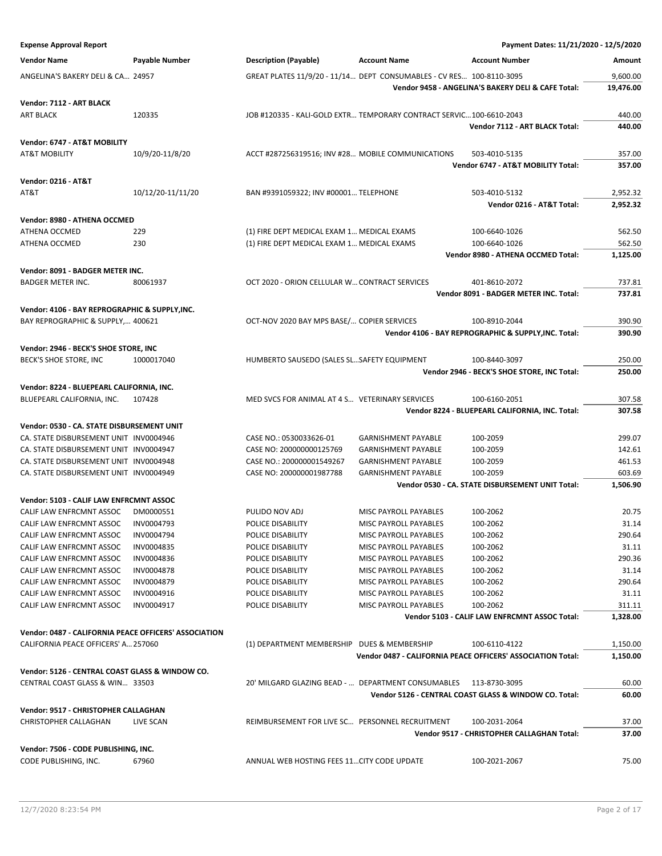| <b>Expense Approval Report</b>                        |                   |                                                                      |                              | Payment Dates: 11/21/2020 - 12/5/2020                       |           |
|-------------------------------------------------------|-------------------|----------------------------------------------------------------------|------------------------------|-------------------------------------------------------------|-----------|
| <b>Vendor Name</b>                                    | Payable Number    | <b>Description (Payable)</b>                                         | <b>Account Name</b>          | <b>Account Number</b>                                       | Amount    |
|                                                       |                   |                                                                      |                              |                                                             |           |
| ANGELINA'S BAKERY DELI & CA 24957                     |                   | GREAT PLATES 11/9/20 - 11/14 DEPT CONSUMABLES - CV RES 100-8110-3095 |                              |                                                             | 9,600.00  |
|                                                       |                   |                                                                      |                              | Vendor 9458 - ANGELINA'S BAKERY DELI & CAFE Total:          | 19,476.00 |
| Vendor: 7112 - ART BLACK                              |                   |                                                                      |                              |                                                             |           |
| <b>ART BLACK</b>                                      | 120335            | JOB #120335 - KALI-GOLD EXTR TEMPORARY CONTRACT SERVIC100-6610-2043  |                              |                                                             | 440.00    |
|                                                       |                   |                                                                      |                              | Vendor 7112 - ART BLACK Total:                              | 440.00    |
| Vendor: 6747 - AT&T MOBILITY                          |                   |                                                                      |                              |                                                             |           |
| <b>AT&amp;T MOBILITY</b>                              | 10/9/20-11/8/20   | ACCT #287256319516; INV #28 MOBILE COMMUNICATIONS                    |                              | 503-4010-5135                                               | 357.00    |
|                                                       |                   |                                                                      |                              | Vendor 6747 - AT&T MOBILITY Total:                          | 357.00    |
| <b>Vendor: 0216 - AT&amp;T</b>                        |                   |                                                                      |                              |                                                             |           |
| AT&T                                                  | 10/12/20-11/11/20 | BAN #9391059322; INV #00001 TELEPHONE                                |                              | 503-4010-5132                                               | 2,952.32  |
|                                                       |                   |                                                                      |                              | Vendor 0216 - AT&T Total:                                   | 2,952.32  |
|                                                       |                   |                                                                      |                              |                                                             |           |
| Vendor: 8980 - ATHENA OCCMED                          |                   |                                                                      |                              |                                                             |           |
| ATHENA OCCMED                                         | 229               | (1) FIRE DEPT MEDICAL EXAM 1 MEDICAL EXAMS                           |                              | 100-6640-1026                                               | 562.50    |
| ATHENA OCCMED                                         | 230               | (1) FIRE DEPT MEDICAL EXAM 1 MEDICAL EXAMS                           |                              | 100-6640-1026                                               | 562.50    |
|                                                       |                   |                                                                      |                              | Vendor 8980 - ATHENA OCCMED Total:                          | 1,125.00  |
| Vendor: 8091 - BADGER METER INC.                      |                   |                                                                      |                              |                                                             |           |
| <b>BADGER METER INC.</b>                              | 80061937          | OCT 2020 - ORION CELLULAR W CONTRACT SERVICES                        |                              | 401-8610-2072                                               | 737.81    |
|                                                       |                   |                                                                      |                              | Vendor 8091 - BADGER METER INC. Total:                      | 737.81    |
| Vendor: 4106 - BAY REPROGRAPHIC & SUPPLY, INC.        |                   |                                                                      |                              |                                                             |           |
| BAY REPROGRAPHIC & SUPPLY, 400621                     |                   | OCT-NOV 2020 BAY MPS BASE/ COPIER SERVICES                           |                              | 100-8910-2044                                               | 390.90    |
|                                                       |                   |                                                                      |                              | Vendor 4106 - BAY REPROGRAPHIC & SUPPLY, INC. Total:        | 390.90    |
|                                                       |                   |                                                                      |                              |                                                             |           |
| Vendor: 2946 - BECK'S SHOE STORE, INC                 |                   |                                                                      |                              |                                                             |           |
| BECK'S SHOE STORE, INC                                | 1000017040        | HUMBERTO SAUSEDO (SALES SLSAFETY EQUIPMENT                           |                              | 100-8440-3097                                               | 250.00    |
|                                                       |                   |                                                                      |                              | Vendor 2946 - BECK'S SHOE STORE, INC Total:                 | 250.00    |
| Vendor: 8224 - BLUEPEARL CALIFORNIA, INC.             |                   |                                                                      |                              |                                                             |           |
| BLUEPEARL CALIFORNIA, INC.                            | 107428            | MED SVCS FOR ANIMAL AT 4 S VETERINARY SERVICES                       |                              | 100-6160-2051                                               | 307.58    |
|                                                       |                   |                                                                      |                              | Vendor 8224 - BLUEPEARL CALIFORNIA, INC. Total:             | 307.58    |
| Vendor: 0530 - CA. STATE DISBURSEMENT UNIT            |                   |                                                                      |                              |                                                             |           |
| CA. STATE DISBURSEMENT UNIT INV0004946                |                   | CASE NO.: 0530033626-01                                              | <b>GARNISHMENT PAYABLE</b>   | 100-2059                                                    | 299.07    |
| CA. STATE DISBURSEMENT UNIT INV0004947                |                   | CASE NO: 200000000125769                                             | <b>GARNISHMENT PAYABLE</b>   | 100-2059                                                    | 142.61    |
| CA. STATE DISBURSEMENT UNIT INV0004948                |                   | CASE NO.: 200000001549267                                            | <b>GARNISHMENT PAYABLE</b>   | 100-2059                                                    | 461.53    |
| CA. STATE DISBURSEMENT UNIT INV0004949                |                   | CASE NO: 200000001987788                                             | <b>GARNISHMENT PAYABLE</b>   | 100-2059                                                    | 603.69    |
|                                                       |                   |                                                                      |                              | Vendor 0530 - CA. STATE DISBURSEMENT UNIT Total:            | 1,506.90  |
| Vendor: 5103 - CALIF LAW ENFRCMNT ASSOC               |                   |                                                                      |                              |                                                             |           |
| CALIF LAW ENFRCMNT ASSOC                              | DM0000551         | PULIDO NOV ADJ                                                       | MISC PAYROLL PAYABLES        | 100-2062                                                    | 20.75     |
| CALIF LAW ENFRCMNT ASSOC                              | INV0004793        | POLICE DISABILITY                                                    | MISC PAYROLL PAYABLES        | 100-2062                                                    | 31.14     |
| CALIF LAW ENFRCMNT ASSOC                              | INV0004794        | POLICE DISABILITY                                                    | MISC PAYROLL PAYABLES        | 100-2062                                                    | 290.64    |
| CALIF LAW ENFRCMNT ASSOC                              | INV0004835        | POLICE DISABILITY                                                    | <b>MISC PAYROLL PAYABLES</b> | 100-2062                                                    | 31.11     |
| CALIF LAW ENFRCMNT ASSOC                              | INV0004836        | POLICE DISABILITY                                                    | MISC PAYROLL PAYABLES        | 100-2062                                                    | 290.36    |
| CALIF LAW ENFRCMNT ASSOC                              | INV0004878        | POLICE DISABILITY                                                    | MISC PAYROLL PAYABLES        | 100-2062                                                    | 31.14     |
| CALIF LAW ENFRCMNT ASSOC                              | INV0004879        | POLICE DISABILITY                                                    | MISC PAYROLL PAYABLES        | 100-2062                                                    | 290.64    |
| CALIF LAW ENFRCMNT ASSOC                              | INV0004916        | POLICE DISABILITY                                                    | MISC PAYROLL PAYABLES        | 100-2062                                                    | 31.11     |
| CALIF LAW ENFRCMNT ASSOC                              | INV0004917        | POLICE DISABILITY                                                    | MISC PAYROLL PAYABLES        | 100-2062                                                    | 311.11    |
|                                                       |                   |                                                                      |                              | Vendor 5103 - CALIF LAW ENFRCMNT ASSOC Total:               | 1,328.00  |
|                                                       |                   |                                                                      |                              |                                                             |           |
| Vendor: 0487 - CALIFORNIA PEACE OFFICERS' ASSOCIATION |                   |                                                                      |                              |                                                             |           |
| CALIFORNIA PEACE OFFICERS' A., 257060                 |                   | (1) DEPARTMENT MEMBERSHIP DUES & MEMBERSHIP                          |                              | 100-6110-4122                                               | 1,150.00  |
|                                                       |                   |                                                                      |                              | Vendor 0487 - CALIFORNIA PEACE OFFICERS' ASSOCIATION Total: | 1,150.00  |
| Vendor: 5126 - CENTRAL COAST GLASS & WINDOW CO.       |                   |                                                                      |                              |                                                             |           |
| CENTRAL COAST GLASS & WIN 33503                       |                   | 20' MILGARD GLAZING BEAD -  DEPARTMENT CONSUMABLES                   |                              | 113-8730-3095                                               | 60.00     |
|                                                       |                   |                                                                      |                              | Vendor 5126 - CENTRAL COAST GLASS & WINDOW CO. Total:       | 60.00     |
| Vendor: 9517 - CHRISTOPHER CALLAGHAN                  |                   |                                                                      |                              |                                                             |           |
| CHRISTOPHER CALLAGHAN                                 | LIVE SCAN         | REIMBURSEMENT FOR LIVE SC PERSONNEL RECRUITMENT                      |                              | 100-2031-2064                                               | 37.00     |
|                                                       |                   |                                                                      |                              | Vendor 9517 - CHRISTOPHER CALLAGHAN Total:                  | 37.00     |
|                                                       |                   |                                                                      |                              |                                                             |           |
| Vendor: 7506 - CODE PUBLISHING, INC.                  |                   |                                                                      |                              |                                                             |           |
| CODE PUBLISHING, INC.                                 | 67960             | ANNUAL WEB HOSTING FEES 11 CITY CODE UPDATE                          |                              | 100-2021-2067                                               | 75.00     |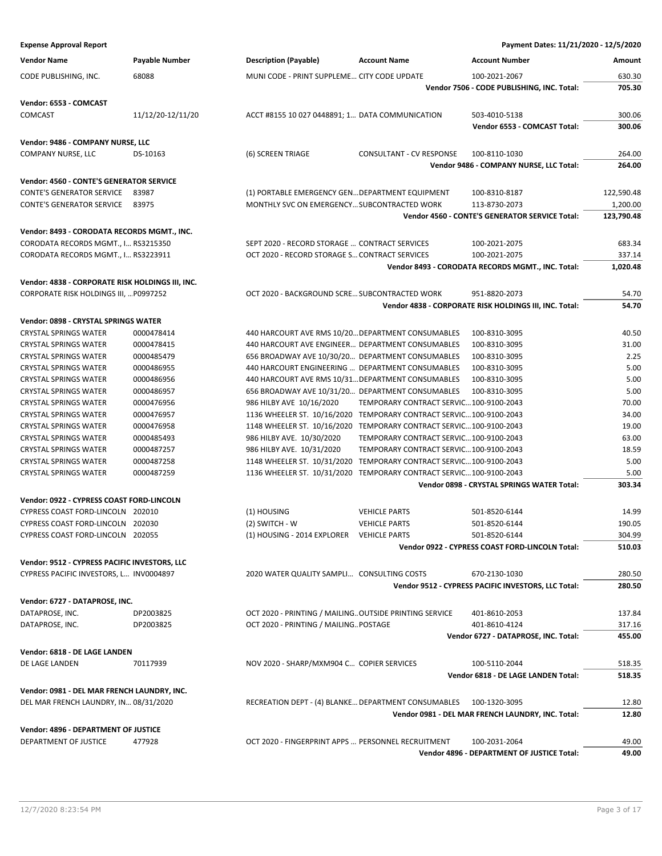| <b>Expense Approval Report</b>                   |                       |                                                                     |                                         | Payment Dates: 11/21/2020 - 12/5/2020                  |            |
|--------------------------------------------------|-----------------------|---------------------------------------------------------------------|-----------------------------------------|--------------------------------------------------------|------------|
| <b>Vendor Name</b>                               | <b>Payable Number</b> | <b>Description (Payable)</b>                                        | <b>Account Name</b>                     | <b>Account Number</b>                                  | Amount     |
| CODE PUBLISHING, INC.                            | 68088                 | MUNI CODE - PRINT SUPPLEME CITY CODE UPDATE                         |                                         | 100-2021-2067                                          | 630.30     |
|                                                  |                       |                                                                     |                                         | Vendor 7506 - CODE PUBLISHING, INC. Total:             | 705.30     |
| Vendor: 6553 - COMCAST                           |                       |                                                                     |                                         |                                                        |            |
| COMCAST                                          | 11/12/20-12/11/20     | ACCT #8155 10 027 0448891; 1 DATA COMMUNICATION                     |                                         | 503-4010-5138                                          | 300.06     |
|                                                  |                       |                                                                     |                                         | Vendor 6553 - COMCAST Total:                           | 300.06     |
| Vendor: 9486 - COMPANY NURSE, LLC                |                       |                                                                     |                                         |                                                        |            |
| <b>COMPANY NURSE, LLC</b>                        | DS-10163              | (6) SCREEN TRIAGE                                                   | <b>CONSULTANT - CV RESPONSE</b>         | 100-8110-1030                                          | 264.00     |
|                                                  |                       |                                                                     |                                         | Vendor 9486 - COMPANY NURSE, LLC Total:                | 264.00     |
| Vendor: 4560 - CONTE'S GENERATOR SERVICE         |                       |                                                                     |                                         |                                                        |            |
| <b>CONTE'S GENERATOR SERVICE</b>                 | 83987                 | (1) PORTABLE EMERGENCY GEN DEPARTMENT EQUIPMENT                     |                                         | 100-8310-8187                                          | 122,590.48 |
| <b>CONTE'S GENERATOR SERVICE</b>                 | 83975                 | MONTHLY SVC ON EMERGENCY SUBCONTRACTED WORK                         |                                         | 113-8730-2073                                          | 1,200.00   |
|                                                  |                       |                                                                     |                                         | Vendor 4560 - CONTE'S GENERATOR SERVICE Total:         | 123,790.48 |
| Vendor: 8493 - CORODATA RECORDS MGMT., INC.      |                       |                                                                     |                                         |                                                        |            |
| CORODATA RECORDS MGMT., I RS3215350              |                       | SEPT 2020 - RECORD STORAGE  CONTRACT SERVICES                       |                                         | 100-2021-2075                                          | 683.34     |
| CORODATA RECORDS MGMT., I RS3223911              |                       | OCT 2020 - RECORD STORAGE S CONTRACT SERVICES                       |                                         | 100-2021-2075                                          | 337.14     |
|                                                  |                       |                                                                     |                                         | Vendor 8493 - CORODATA RECORDS MGMT., INC. Total:      | 1,020.48   |
| Vendor: 4838 - CORPORATE RISK HOLDINGS III, INC. |                       |                                                                     |                                         |                                                        |            |
| CORPORATE RISK HOLDINGS III,  P0997252           |                       | OCT 2020 - BACKGROUND SCRE SUBCONTRACTED WORK                       |                                         | 951-8820-2073                                          | 54.70      |
|                                                  |                       |                                                                     |                                         | Vendor 4838 - CORPORATE RISK HOLDINGS III, INC. Total: | 54.70      |
| Vendor: 0898 - CRYSTAL SPRINGS WATER             |                       |                                                                     |                                         |                                                        |            |
| <b>CRYSTAL SPRINGS WATER</b>                     | 0000478414            | 440 HARCOURT AVE RMS 10/20 DEPARTMENT CONSUMABLES                   |                                         | 100-8310-3095                                          | 40.50      |
| <b>CRYSTAL SPRINGS WATER</b>                     | 0000478415            | 440 HARCOURT AVE ENGINEER DEPARTMENT CONSUMABLES                    |                                         | 100-8310-3095                                          | 31.00      |
| <b>CRYSTAL SPRINGS WATER</b>                     | 0000485479            | 656 BROADWAY AVE 10/30/20 DEPARTMENT CONSUMABLES                    |                                         | 100-8310-3095                                          | 2.25       |
| <b>CRYSTAL SPRINGS WATER</b>                     | 0000486955            | 440 HARCOURT ENGINEERING  DEPARTMENT CONSUMABLES                    |                                         | 100-8310-3095                                          | 5.00       |
| <b>CRYSTAL SPRINGS WATER</b>                     | 0000486956            | 440 HARCOURT AVE RMS 10/31 DEPARTMENT CONSUMABLES                   |                                         | 100-8310-3095                                          | 5.00       |
| <b>CRYSTAL SPRINGS WATER</b>                     | 0000486957            | 656 BROADWAY AVE 10/31/20 DEPARTMENT CONSUMABLES                    |                                         | 100-8310-3095                                          | 5.00       |
| <b>CRYSTAL SPRINGS WATER</b>                     | 0000476956            | 986 HILBY AVE 10/16/2020                                            | TEMPORARY CONTRACT SERVIC100-9100-2043  |                                                        | 70.00      |
| <b>CRYSTAL SPRINGS WATER</b>                     | 0000476957            | 1136 WHEELER ST. 10/16/2020 TEMPORARY CONTRACT SERVIC 100-9100-2043 |                                         |                                                        | 34.00      |
| <b>CRYSTAL SPRINGS WATER</b>                     | 0000476958            | 1148 WHEELER ST. 10/16/2020 TEMPORARY CONTRACT SERVIC 100-9100-2043 |                                         |                                                        | 19.00      |
| <b>CRYSTAL SPRINGS WATER</b>                     | 0000485493            | 986 HILBY AVE. 10/30/2020                                           | TEMPORARY CONTRACT SERVIC100-9100-2043  |                                                        | 63.00      |
| <b>CRYSTAL SPRINGS WATER</b>                     | 0000487257            | 986 HILBY AVE. 10/31/2020                                           | TEMPORARY CONTRACT SERVIC 100-9100-2043 |                                                        | 18.59      |
| <b>CRYSTAL SPRINGS WATER</b>                     | 0000487258            | 1148 WHEELER ST. 10/31/2020                                         | TEMPORARY CONTRACT SERVIC100-9100-2043  |                                                        | 5.00       |
| <b>CRYSTAL SPRINGS WATER</b>                     | 0000487259            | 1136 WHEELER ST. 10/31/2020                                         | TEMPORARY CONTRACT SERVIC 100-9100-2043 |                                                        | 5.00       |
|                                                  |                       |                                                                     |                                         | Vendor 0898 - CRYSTAL SPRINGS WATER Total:             | 303.34     |
| Vendor: 0922 - CYPRESS COAST FORD-LINCOLN        |                       |                                                                     |                                         |                                                        |            |
| CYPRESS COAST FORD-LINCOLN 202010                |                       | (1) HOUSING                                                         | <b>VEHICLE PARTS</b>                    | 501-8520-6144                                          | 14.99      |
| CYPRESS COAST FORD-LINCOLN 202030                |                       | (2) SWITCH - W                                                      | <b>VEHICLE PARTS</b>                    | 501-8520-6144                                          | 190.05     |
| CYPRESS COAST FORD-LINCOLN 202055                |                       | (1) HOUSING - 2014 EXPLORER VEHICLE PARTS                           |                                         | 501-8520-6144                                          | 304.99     |
|                                                  |                       |                                                                     |                                         | Vendor 0922 - CYPRESS COAST FORD-LINCOLN Total:        | 510.03     |
| Vendor: 9512 - CYPRESS PACIFIC INVESTORS, LLC    |                       |                                                                     |                                         |                                                        |            |
| CYPRESS PACIFIC INVESTORS, L INV0004897          |                       | 2020 WATER QUALITY SAMPLI CONSULTING COSTS                          |                                         | 670-2130-1030                                          | 280.50     |
|                                                  |                       |                                                                     |                                         | Vendor 9512 - CYPRESS PACIFIC INVESTORS, LLC Total:    | 280.50     |
| Vendor: 6727 - DATAPROSE, INC.                   |                       |                                                                     |                                         |                                                        |            |
| DATAPROSE, INC.                                  | DP2003825             | OCT 2020 - PRINTING / MAILING OUTSIDE PRINTING SERVICE              |                                         | 401-8610-2053                                          | 137.84     |
| DATAPROSE, INC.                                  | DP2003825             | OCT 2020 - PRINTING / MAILING POSTAGE                               |                                         | 401-8610-4124                                          | 317.16     |
|                                                  |                       |                                                                     |                                         | Vendor 6727 - DATAPROSE, INC. Total:                   | 455.00     |
| Vendor: 6818 - DE LAGE LANDEN                    |                       |                                                                     |                                         |                                                        |            |
| DE LAGE LANDEN                                   | 70117939              | NOV 2020 - SHARP/MXM904 C COPIER SERVICES                           |                                         | 100-5110-2044                                          | 518.35     |
|                                                  |                       |                                                                     |                                         | Vendor 6818 - DE LAGE LANDEN Total:                    | 518.35     |
| Vendor: 0981 - DEL MAR FRENCH LAUNDRY, INC.      |                       |                                                                     |                                         |                                                        |            |
| DEL MAR FRENCH LAUNDRY, IN 08/31/2020            |                       | RECREATION DEPT - (4) BLANKE DEPARTMENT CONSUMABLES                 |                                         | 100-1320-3095                                          | 12.80      |
|                                                  |                       |                                                                     |                                         | Vendor 0981 - DEL MAR FRENCH LAUNDRY, INC. Total:      | 12.80      |

### **Vendor: 4896 - DEPARTMENT OF JUSTICE**

DEPARTMENT OF JUSTICE 477928 OCT 2020 - FINGERPRINT APPS … PERSONNEL RECRUITMENT 100-2031-2064 49.00

**Vendor 4896 - DEPARTMENT OF JUSTICE Total: 49.00**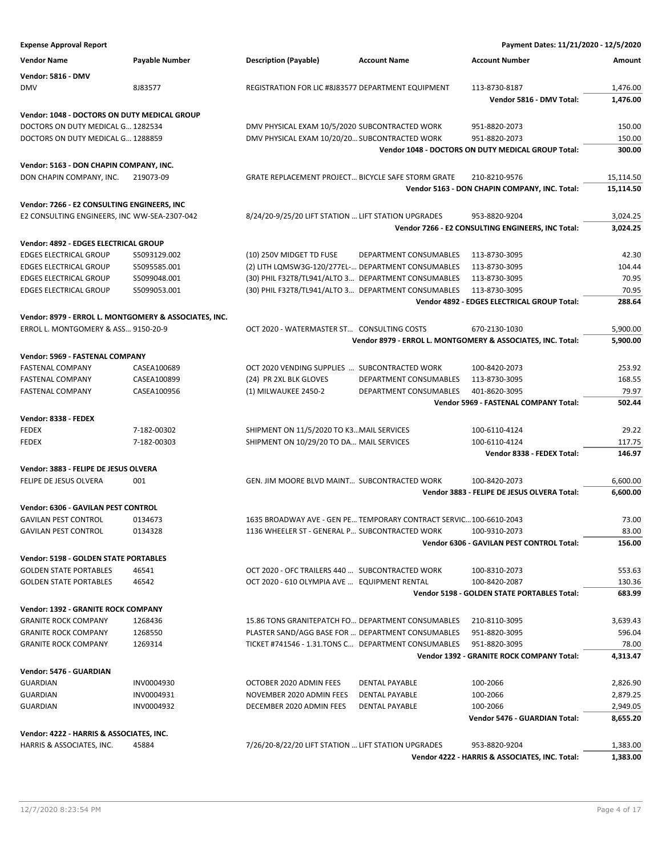| <b>Expense Approval Report</b>               |                                                       |                                                           |                                                                    | Payment Dates: 11/21/2020 - 12/5/2020                       |           |
|----------------------------------------------|-------------------------------------------------------|-----------------------------------------------------------|--------------------------------------------------------------------|-------------------------------------------------------------|-----------|
| <b>Vendor Name</b>                           | Payable Number                                        | <b>Description (Payable)</b>                              | <b>Account Name</b>                                                | <b>Account Number</b>                                       | Amount    |
|                                              |                                                       |                                                           |                                                                    |                                                             |           |
| <b>Vendor: 5816 - DMV</b>                    |                                                       |                                                           |                                                                    |                                                             |           |
| <b>DMV</b>                                   | 8J83577                                               | REGISTRATION FOR LIC #8J83577 DEPARTMENT EQUIPMENT        |                                                                    | 113-8730-8187                                               | 1,476.00  |
|                                              |                                                       |                                                           |                                                                    | Vendor 5816 - DMV Total:                                    | 1,476.00  |
| Vendor: 1048 - DOCTORS ON DUTY MEDICAL GROUP |                                                       |                                                           |                                                                    |                                                             |           |
| DOCTORS ON DUTY MEDICAL G 1282534            |                                                       | DMV PHYSICAL EXAM 10/5/2020 SUBCONTRACTED WORK            |                                                                    | 951-8820-2073                                               | 150.00    |
| DOCTORS ON DUTY MEDICAL G 1288859            |                                                       | DMV PHYSICAL EXAM 10/20/20 SUBCONTRACTED WORK             |                                                                    | 951-8820-2073                                               | 150.00    |
|                                              |                                                       |                                                           |                                                                    | Vendor 1048 - DOCTORS ON DUTY MEDICAL GROUP Total:          | 300.00    |
| Vendor: 5163 - DON CHAPIN COMPANY, INC.      |                                                       |                                                           |                                                                    |                                                             |           |
| DON CHAPIN COMPANY, INC.                     | 219073-09                                             | <b>GRATE REPLACEMENT PROJECT BICYCLE SAFE STORM GRATE</b> |                                                                    | 210-8210-9576                                               | 15,114.50 |
|                                              |                                                       |                                                           |                                                                    | Vendor 5163 - DON CHAPIN COMPANY, INC. Total:               | 15,114.50 |
| Vendor: 7266 - E2 CONSULTING ENGINEERS, INC  |                                                       |                                                           |                                                                    |                                                             |           |
| E2 CONSULTING ENGINEERS, INC WW-SEA-2307-042 |                                                       | 8/24/20-9/25/20 LIFT STATION  LIFT STATION UPGRADES       |                                                                    | 953-8820-9204                                               | 3,024.25  |
|                                              |                                                       |                                                           |                                                                    | Vendor 7266 - E2 CONSULTING ENGINEERS, INC Total:           | 3,024.25  |
|                                              |                                                       |                                                           |                                                                    |                                                             |           |
| Vendor: 4892 - EDGES ELECTRICAL GROUP        |                                                       |                                                           |                                                                    |                                                             |           |
| <b>EDGES ELECTRICAL GROUP</b>                | S5093129.002                                          | (10) 250V MIDGET TD FUSE                                  | DEPARTMENT CONSUMABLES                                             | 113-8730-3095                                               | 42.30     |
| <b>EDGES ELECTRICAL GROUP</b>                | S5095585.001                                          |                                                           | (2) LITH LQMSW3G-120/277EL- DEPARTMENT CONSUMABLES                 | 113-8730-3095                                               | 104.44    |
| <b>EDGES ELECTRICAL GROUP</b>                | S5099048.001                                          |                                                           | (30) PHIL F32T8/TL941/ALTO 3 DEPARTMENT CONSUMABLES                | 113-8730-3095                                               | 70.95     |
| <b>EDGES ELECTRICAL GROUP</b>                | S5099053.001                                          |                                                           | (30) PHIL F32T8/TL941/ALTO 3 DEPARTMENT CONSUMABLES                | 113-8730-3095                                               | 70.95     |
|                                              |                                                       |                                                           |                                                                    | Vendor 4892 - EDGES ELECTRICAL GROUP Total:                 | 288.64    |
|                                              | Vendor: 8979 - ERROL L. MONTGOMERY & ASSOCIATES, INC. |                                                           |                                                                    |                                                             |           |
| ERROL L. MONTGOMERY & ASS 9150-20-9          |                                                       | OCT 2020 - WATERMASTER ST CONSULTING COSTS                |                                                                    | 670-2130-1030                                               | 5,900.00  |
|                                              |                                                       |                                                           |                                                                    | Vendor 8979 - ERROL L. MONTGOMERY & ASSOCIATES, INC. Total: | 5,900.00  |
| Vendor: 5969 - FASTENAL COMPANY              |                                                       |                                                           |                                                                    |                                                             |           |
| <b>FASTENAL COMPANY</b>                      | CASEA100689                                           | OCT 2020 VENDING SUPPLIES  SUBCONTRACTED WORK             |                                                                    | 100-8420-2073                                               | 253.92    |
| <b>FASTENAL COMPANY</b>                      | CASEA100899                                           | (24) PR 2XL BLK GLOVES                                    | DEPARTMENT CONSUMABLES                                             | 113-8730-3095                                               | 168.55    |
| <b>FASTENAL COMPANY</b>                      | CASEA100956                                           | (1) MILWAUKEE 2450-2                                      | DEPARTMENT CONSUMABLES                                             | 401-8620-3095                                               | 79.97     |
|                                              |                                                       |                                                           |                                                                    | Vendor 5969 - FASTENAL COMPANY Total:                       | 502.44    |
| Vendor: 8338 - FEDEX                         |                                                       |                                                           |                                                                    |                                                             |           |
| <b>FEDEX</b>                                 | 7-182-00302                                           | SHIPMENT ON 11/5/2020 TO K3 MAIL SERVICES                 |                                                                    | 100-6110-4124                                               | 29.22     |
| <b>FEDEX</b>                                 | 7-182-00303                                           | SHIPMENT ON 10/29/20 TO DA MAIL SERVICES                  |                                                                    | 100-6110-4124                                               | 117.75    |
|                                              |                                                       |                                                           |                                                                    | Vendor 8338 - FEDEX Total:                                  | 146.97    |
|                                              |                                                       |                                                           |                                                                    |                                                             |           |
| Vendor: 3883 - FELIPE DE JESUS OLVERA        |                                                       |                                                           |                                                                    |                                                             |           |
| FELIPE DE JESUS OLVERA                       | 001                                                   | GEN. JIM MOORE BLVD MAINT SUBCONTRACTED WORK              |                                                                    | 100-8420-2073                                               | 6,600.00  |
|                                              |                                                       |                                                           |                                                                    | Vendor 3883 - FELIPE DE JESUS OLVERA Total:                 | 6,600.00  |
| Vendor: 6306 - GAVILAN PEST CONTROL          |                                                       |                                                           |                                                                    |                                                             |           |
| <b>GAVILAN PEST CONTROL</b>                  | 0134673                                               |                                                           | 1635 BROADWAY AVE - GEN PE TEMPORARY CONTRACT SERVIC 100-6610-2043 |                                                             | 73.00     |
| <b>GAVILAN PEST CONTROL</b>                  | 0134328                                               | 1136 WHEELER ST - GENERAL P SUBCONTRACTED WORK            |                                                                    | 100-9310-2073                                               | 83.00     |
|                                              |                                                       |                                                           |                                                                    | Vendor 6306 - GAVILAN PEST CONTROL Total:                   | 156.00    |
| Vendor: 5198 - GOLDEN STATE PORTABLES        |                                                       |                                                           |                                                                    |                                                             |           |
| <b>GOLDEN STATE PORTABLES</b>                | 46541                                                 | OCT 2020 - OFC TRAILERS 440  SUBCONTRACTED WORK           |                                                                    | 100-8310-2073                                               | 553.63    |
| <b>GOLDEN STATE PORTABLES</b>                | 46542                                                 | OCT 2020 - 610 OLYMPIA AVE  EQUIPMENT RENTAL              |                                                                    | 100-8420-2087                                               | 130.36    |
|                                              |                                                       |                                                           |                                                                    | Vendor 5198 - GOLDEN STATE PORTABLES Total:                 | 683.99    |
| Vendor: 1392 - GRANITE ROCK COMPANY          |                                                       |                                                           |                                                                    |                                                             |           |
| <b>GRANITE ROCK COMPANY</b>                  | 1268436                                               |                                                           | 15.86 TONS GRANITEPATCH FO DEPARTMENT CONSUMABLES                  | 210-8110-3095                                               | 3,639.43  |
| <b>GRANITE ROCK COMPANY</b>                  | 1268550                                               |                                                           | PLASTER SAND/AGG BASE FOR  DEPARTMENT CONSUMABLES                  | 951-8820-3095                                               | 596.04    |
| <b>GRANITE ROCK COMPANY</b>                  | 1269314                                               |                                                           | TICKET #741546 - 1.31.TONS C DEPARTMENT CONSUMABLES                | 951-8820-3095                                               | 78.00     |
|                                              |                                                       |                                                           |                                                                    | Vendor 1392 - GRANITE ROCK COMPANY Total:                   | 4,313.47  |
|                                              |                                                       |                                                           |                                                                    |                                                             |           |
| Vendor: 5476 - GUARDIAN                      |                                                       |                                                           |                                                                    |                                                             |           |
| <b>GUARDIAN</b>                              | INV0004930                                            | OCTOBER 2020 ADMIN FEES                                   | <b>DENTAL PAYABLE</b>                                              | 100-2066                                                    | 2,826.90  |
| GUARDIAN                                     | INV0004931                                            | NOVEMBER 2020 ADMIN FEES                                  | DENTAL PAYABLE                                                     | 100-2066                                                    | 2,879.25  |
| <b>GUARDIAN</b>                              | INV0004932                                            | DECEMBER 2020 ADMIN FEES                                  | DENTAL PAYABLE                                                     | 100-2066                                                    | 2,949.05  |
|                                              |                                                       |                                                           |                                                                    | Vendor 5476 - GUARDIAN Total:                               | 8,655.20  |
| Vendor: 4222 - HARRIS & ASSOCIATES, INC.     |                                                       |                                                           |                                                                    |                                                             |           |
| HARRIS & ASSOCIATES, INC.                    | 45884                                                 | 7/26/20-8/22/20 LIFT STATION  LIFT STATION UPGRADES       |                                                                    | 953-8820-9204                                               | 1,383.00  |
|                                              |                                                       |                                                           |                                                                    | Vendor 4222 - HARRIS & ASSOCIATES, INC. Total:              | 1,383.00  |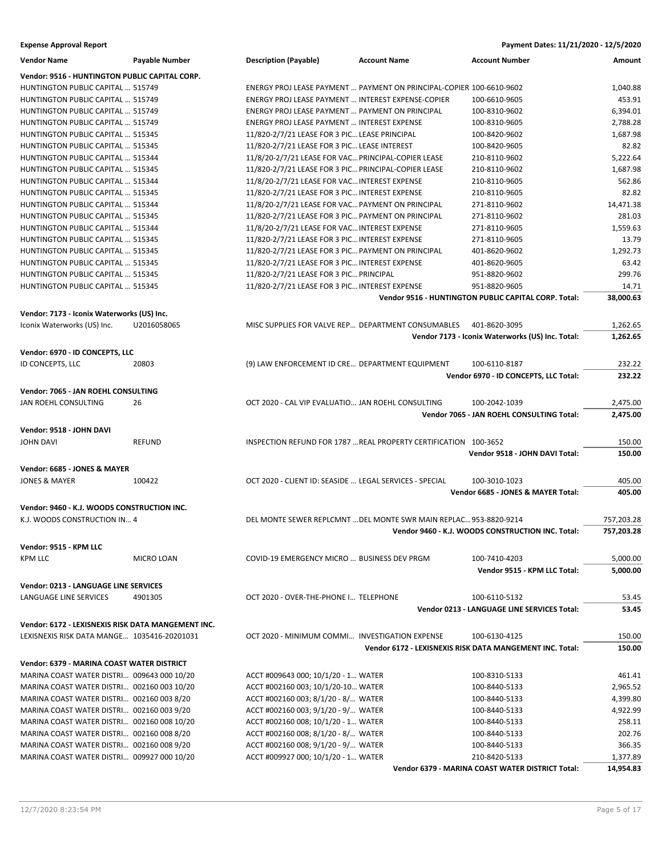| <b>Vendor Name</b>                                 | Payable Number | <b>Description (Payable)</b>                            | <b>Account Name</b>                                                  | <b>Account Number</b>                                    | Amount     |
|----------------------------------------------------|----------------|---------------------------------------------------------|----------------------------------------------------------------------|----------------------------------------------------------|------------|
| Vendor: 9516 - HUNTINGTON PUBLIC CAPITAL CORP.     |                |                                                         |                                                                      |                                                          |            |
| HUNTINGTON PUBLIC CAPITAL  515749                  |                |                                                         | ENERGY PROJ LEASE PAYMENT  PAYMENT ON PRINCIPAL-COPIER 100-6610-9602 |                                                          | 1,040.88   |
| HUNTINGTON PUBLIC CAPITAL  515749                  |                | ENERGY PROJ LEASE PAYMENT  INTEREST EXPENSE-COPIER      |                                                                      | 100-6610-9605                                            | 453.91     |
| HUNTINGTON PUBLIC CAPITAL  515749                  |                | ENERGY PROJ LEASE PAYMENT  PAYMENT ON PRINCIPAL         |                                                                      | 100-8310-9602                                            | 6,394.01   |
| HUNTINGTON PUBLIC CAPITAL  515749                  |                | ENERGY PROJ LEASE PAYMENT  INTEREST EXPENSE             |                                                                      | 100-8310-9605                                            | 2.788.28   |
| HUNTINGTON PUBLIC CAPITAL  515345                  |                | 11/820-2/7/21 LEASE FOR 3 PIC LEASE PRINCIPAL           |                                                                      | 100-8420-9602                                            | 1,687.98   |
| HUNTINGTON PUBLIC CAPITAL  515345                  |                | 11/820-2/7/21 LEASE FOR 3 PIC LEASE INTEREST            |                                                                      | 100-8420-9605                                            | 82.82      |
| <b>HUNTINGTON PUBLIC CAPITAL  515344</b>           |                | 11/8/20-2/7/21 LEASE FOR VAC PRINCIPAL-COPIER LEASE     |                                                                      | 210-8110-9602                                            | 5,222.64   |
| HUNTINGTON PUBLIC CAPITAL  515345                  |                | 11/820-2/7/21 LEASE FOR 3 PIC PRINCIPAL-COPIER LEASE    |                                                                      | 210-8110-9602                                            | 1,687.98   |
| HUNTINGTON PUBLIC CAPITAL  515344                  |                | 11/8/20-2/7/21 LEASE FOR VAC INTEREST EXPENSE           |                                                                      | 210-8110-9605                                            | 562.86     |
| HUNTINGTON PUBLIC CAPITAL  515345                  |                | 11/820-2/7/21 LEASE FOR 3 PIC INTEREST EXPENSE          |                                                                      | 210-8110-9605                                            | 82.82      |
| HUNTINGTON PUBLIC CAPITAL  515344                  |                | 11/8/20-2/7/21 LEASE FOR VAC PAYMENT ON PRINCIPAL       |                                                                      | 271-8110-9602                                            | 14,471.38  |
| HUNTINGTON PUBLIC CAPITAL  515345                  |                | 11/820-2/7/21 LEASE FOR 3 PIC PAYMENT ON PRINCIPAL      |                                                                      | 271-8110-9602                                            | 281.03     |
| HUNTINGTON PUBLIC CAPITAL  515344                  |                | 11/8/20-2/7/21 LEASE FOR VAC INTEREST EXPENSE           |                                                                      | 271-8110-9605                                            | 1,559.63   |
| HUNTINGTON PUBLIC CAPITAL  515345                  |                | 11/820-2/7/21 LEASE FOR 3 PIC INTEREST EXPENSE          |                                                                      | 271-8110-9605                                            | 13.79      |
| HUNTINGTON PUBLIC CAPITAL  515345                  |                | 11/820-2/7/21 LEASE FOR 3 PIC PAYMENT ON PRINCIPAL      |                                                                      | 401-8620-9602                                            | 1,292.73   |
| HUNTINGTON PUBLIC CAPITAL  515345                  |                | 11/820-2/7/21 LEASE FOR 3 PIC INTEREST EXPENSE          |                                                                      | 401-8620-9605                                            | 63.42      |
| HUNTINGTON PUBLIC CAPITAL  515345                  |                | 11/820-2/7/21 LEASE FOR 3 PIC PRINCIPAL                 |                                                                      | 951-8820-9602                                            | 299.76     |
| HUNTINGTON PUBLIC CAPITAL  515345                  |                | 11/820-2/7/21 LEASE FOR 3 PIC INTEREST EXPENSE          |                                                                      | 951-8820-9605                                            | 14.71      |
|                                                    |                |                                                         |                                                                      | Vendor 9516 - HUNTINGTON PUBLIC CAPITAL CORP. Total:     | 38,000.63  |
| Vendor: 7173 - Iconix Waterworks (US) Inc.         |                |                                                         |                                                                      |                                                          |            |
| Iconix Waterworks (US) Inc.                        | U2016058065    |                                                         | MISC SUPPLIES FOR VALVE REP DEPARTMENT CONSUMABLES                   | 401-8620-3095                                            | 1,262.65   |
|                                                    |                |                                                         |                                                                      | Vendor 7173 - Iconix Waterworks (US) Inc. Total:         | 1,262.65   |
| Vendor: 6970 - ID CONCEPTS, LLC                    |                |                                                         |                                                                      |                                                          |            |
| ID CONCEPTS, LLC                                   | 20803          | (9) LAW ENFORCEMENT ID CRE DEPARTMENT EQUIPMENT         |                                                                      | 100-6110-8187                                            | 232.22     |
|                                                    |                |                                                         |                                                                      | Vendor 6970 - ID CONCEPTS, LLC Total:                    | 232.22     |
|                                                    |                |                                                         |                                                                      |                                                          |            |
| Vendor: 7065 - JAN ROEHL CONSULTING                |                |                                                         |                                                                      |                                                          |            |
| JAN ROEHL CONSULTING                               | 26             | OCT 2020 - CAL VIP EVALUATIO JAN ROEHL CONSULTING       |                                                                      | 100-2042-1039                                            | 2,475.00   |
|                                                    |                |                                                         |                                                                      | Vendor 7065 - JAN ROEHL CONSULTING Total:                | 2,475.00   |
| Vendor: 9518 - JOHN DAVI                           |                |                                                         |                                                                      |                                                          |            |
| <b>JOHN DAVI</b>                                   | <b>REFUND</b>  |                                                         | INSPECTION REFUND FOR 1787  REAL PROPERTY CERTIFICATION 100-3652     |                                                          | 150.00     |
|                                                    |                |                                                         |                                                                      | Vendor 9518 - JOHN DAVI Total:                           | 150.00     |
|                                                    |                |                                                         |                                                                      |                                                          |            |
| Vendor: 6685 - JONES & MAYER                       |                |                                                         |                                                                      |                                                          |            |
| <b>JONES &amp; MAYER</b>                           | 100422         | OCT 2020 - CLIENT ID: SEASIDE  LEGAL SERVICES - SPECIAL |                                                                      | 100-3010-1023                                            | 405.00     |
|                                                    |                |                                                         |                                                                      | Vendor 6685 - JONES & MAYER Total:                       | 405.00     |
| Vendor: 9460 - K.J. WOODS CONSTRUCTION INC.        |                |                                                         |                                                                      |                                                          |            |
| K.J. WOODS CONSTRUCTION IN 4                       |                |                                                         | DEL MONTE SEWER REPLCMNT  DEL MONTE SWR MAIN REPLAC 953-8820-9214    |                                                          | 757,203.28 |
|                                                    |                |                                                         |                                                                      | Vendor 9460 - K.J. WOODS CONSTRUCTION INC. Total:        | 757,203.28 |
| Vendor: 9515 - KPM LLC                             |                |                                                         |                                                                      |                                                          |            |
| <b>KPM LLC</b>                                     | MICRO LOAN     | COVID-19 EMERGENCY MICRO  BUSINESS DEV PRGM             |                                                                      | 100-7410-4203                                            | 5,000.00   |
|                                                    |                |                                                         |                                                                      | Vendor 9515 - KPM LLC Total:                             | 5,000.00   |
|                                                    |                |                                                         |                                                                      |                                                          |            |
| Vendor: 0213 - LANGUAGE LINE SERVICES              |                |                                                         |                                                                      |                                                          |            |
| LANGUAGE LINE SERVICES                             | 4901305        | OCT 2020 - OVER-THE-PHONE I TELEPHONE                   |                                                                      | 100-6110-5132                                            | 53.45      |
|                                                    |                |                                                         |                                                                      | Vendor 0213 - LANGUAGE LINE SERVICES Total:              | 53.45      |
| Vendor: 6172 - LEXISNEXIS RISK DATA MANGEMENT INC. |                |                                                         |                                                                      |                                                          |            |
| LEXISNEXIS RISK DATA MANGE 1035416-20201031        |                | OCT 2020 - MINIMUM COMMI INVESTIGATION EXPENSE          |                                                                      | 100-6130-4125                                            | 150.00     |
|                                                    |                |                                                         |                                                                      | Vendor 6172 - LEXISNEXIS RISK DATA MANGEMENT INC. Total: | 150.00     |
|                                                    |                |                                                         |                                                                      |                                                          |            |
| Vendor: 6379 - MARINA COAST WATER DISTRICT         |                |                                                         |                                                                      |                                                          |            |
| MARINA COAST WATER DISTRI 009643 000 10/20         |                | ACCT #009643 000; 10/1/20 - 1 WATER                     |                                                                      | 100-8310-5133                                            | 461.41     |
| MARINA COAST WATER DISTRI 002160 003 10/20         |                | ACCT #002160 003; 10/1/20-10 WATER                      |                                                                      | 100-8440-5133                                            | 2,965.52   |
| MARINA COAST WATER DISTRI 002160 003 8/20          |                | ACCT #002160 003; 8/1/20 - 8/ WATER                     |                                                                      | 100-8440-5133                                            | 4,399.80   |
| MARINA COAST WATER DISTRI 002160 003 9/20          |                | ACCT #002160 003; 9/1/20 - 9/ WATER                     |                                                                      | 100-8440-5133                                            | 4,922.99   |
| MARINA COAST WATER DISTRI 002160 008 10/20         |                | ACCT #002160 008; 10/1/20 - 1 WATER                     |                                                                      | 100-8440-5133                                            | 258.11     |
| MARINA COAST WATER DISTRI 002160 008 8/20          |                | ACCT #002160 008; 8/1/20 - 8/ WATER                     |                                                                      | 100-8440-5133                                            | 202.76     |
| MARINA COAST WATER DISTRI 002160 008 9/20          |                | ACCT #002160 008; 9/1/20 - 9/ WATER                     |                                                                      | 100-8440-5133                                            | 366.35     |
| MARINA COAST WATER DISTRI 009927 000 10/20         |                | ACCT #009927 000; 10/1/20 - 1 WATER                     |                                                                      | 210-8420-5133                                            | 1,377.89   |
|                                                    |                |                                                         |                                                                      | Vendor 6379 - MARINA COAST WATER DISTRICT Total:         | 14,954.83  |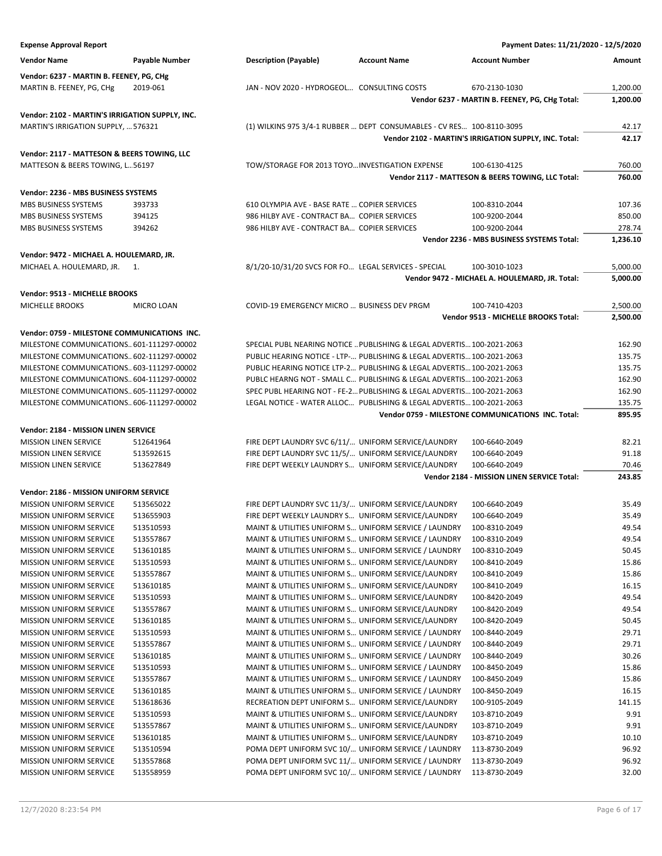| <b>Expense Approval Report</b>                  |                   |                                                       |                                                                        | Payment Dates: 11/21/2020 - 12/5/2020                 |          |
|-------------------------------------------------|-------------------|-------------------------------------------------------|------------------------------------------------------------------------|-------------------------------------------------------|----------|
| <b>Vendor Name</b>                              | Payable Number    | <b>Description (Payable)</b>                          | <b>Account Name</b>                                                    | <b>Account Number</b>                                 | Amount   |
| Vendor: 6237 - MARTIN B. FEENEY, PG, CHg        |                   |                                                       |                                                                        |                                                       |          |
|                                                 | 2019-061          | JAN - NOV 2020 - HYDROGEOL CONSULTING COSTS           |                                                                        | 670-2130-1030                                         | 1,200.00 |
| MARTIN B. FEENEY, PG, CHg                       |                   |                                                       |                                                                        | Vendor 6237 - MARTIN B. FEENEY, PG, CHg Total:        | 1,200.00 |
|                                                 |                   |                                                       |                                                                        |                                                       |          |
| Vendor: 2102 - MARTIN'S IRRIGATION SUPPLY, INC. |                   |                                                       |                                                                        |                                                       |          |
| MARTIN'S IRRIGATION SUPPLY,  576321             |                   |                                                       | (1) WILKINS 975 3/4-1 RUBBER  DEPT CONSUMABLES - CV RES 100-8110-3095  |                                                       | 42.17    |
|                                                 |                   |                                                       |                                                                        | Vendor 2102 - MARTIN'S IRRIGATION SUPPLY, INC. Total: | 42.17    |
| Vendor: 2117 - MATTESON & BEERS TOWING, LLC     |                   |                                                       |                                                                        |                                                       |          |
| MATTESON & BEERS TOWING, L56197                 |                   | TOW/STORAGE FOR 2013 TOYO INVESTIGATION EXPENSE       |                                                                        | 100-6130-4125                                         | 760.00   |
|                                                 |                   |                                                       |                                                                        | Vendor 2117 - MATTESON & BEERS TOWING, LLC Total:     | 760.00   |
| Vendor: 2236 - MBS BUSINESS SYSTEMS             |                   |                                                       |                                                                        |                                                       |          |
| MBS BUSINESS SYSTEMS                            | 393733            | 610 OLYMPIA AVE - BASE RATE  COPIER SERVICES          |                                                                        | 100-8310-2044                                         | 107.36   |
| MBS BUSINESS SYSTEMS                            | 394125            | 986 HILBY AVE - CONTRACT BA COPIER SERVICES           |                                                                        | 100-9200-2044                                         | 850.00   |
| MBS BUSINESS SYSTEMS                            | 394262            | 986 HILBY AVE - CONTRACT BA COPIER SERVICES           |                                                                        | 100-9200-2044                                         | 278.74   |
|                                                 |                   |                                                       |                                                                        | Vendor 2236 - MBS BUSINESS SYSTEMS Total:             | 1,236.10 |
| Vendor: 9472 - MICHAEL A. HOULEMARD, JR.        |                   |                                                       |                                                                        |                                                       |          |
| MICHAEL A. HOULEMARD, JR.                       | 1.                | 8/1/20-10/31/20 SVCS FOR FO LEGAL SERVICES - SPECIAL  |                                                                        | 100-3010-1023                                         | 5,000.00 |
|                                                 |                   |                                                       |                                                                        | Vendor 9472 - MICHAEL A. HOULEMARD, JR. Total:        | 5,000.00 |
|                                                 |                   |                                                       |                                                                        |                                                       |          |
| Vendor: 9513 - MICHELLE BROOKS                  |                   |                                                       |                                                                        |                                                       |          |
| MICHELLE BROOKS                                 | <b>MICRO LOAN</b> | COVID-19 EMERGENCY MICRO  BUSINESS DEV PRGM           |                                                                        | 100-7410-4203                                         | 2,500.00 |
|                                                 |                   |                                                       |                                                                        | Vendor 9513 - MICHELLE BROOKS Total:                  | 2,500.00 |
| Vendor: 0759 - MILESTONE COMMUNICATIONS INC.    |                   |                                                       |                                                                        |                                                       |          |
| MILESTONE COMMUNICATIONS 601-111297-00002       |                   |                                                       | SPECIAL PUBL NEARING NOTICE  PUBLISHING & LEGAL ADVERTIS 100-2021-2063 |                                                       | 162.90   |
| MILESTONE COMMUNICATIONS 602-111297-00002       |                   |                                                       | PUBLIC HEARING NOTICE - LTP- PUBLISHING & LEGAL ADVERTIS 100-2021-2063 |                                                       | 135.75   |
| MILESTONE COMMUNICATIONS603-111297-00002        |                   |                                                       | PUBLIC HEARING NOTICE LTP-2 PUBLISHING & LEGAL ADVERTIS 100-2021-2063  |                                                       | 135.75   |
| MILESTONE COMMUNICATIONS 604-111297-00002       |                   |                                                       | PUBLC HEARNG NOT - SMALL C PUBLISHING & LEGAL ADVERTIS 100-2021-2063   |                                                       | 162.90   |
| MILESTONE COMMUNICATIONS605-111297-00002        |                   |                                                       | SPEC PUBL HEARING NOT - FE-2 PUBLISHING & LEGAL ADVERTIS 100-2021-2063 |                                                       | 162.90   |
| MILESTONE COMMUNICATIONS606-111297-00002        |                   |                                                       | LEGAL NOTICE - WATER ALLOC PUBLISHING & LEGAL ADVERTIS 100-2021-2063   |                                                       | 135.75   |
|                                                 |                   |                                                       |                                                                        | Vendor 0759 - MILESTONE COMMUNICATIONS INC. Total:    | 895.95   |
| Vendor: 2184 - MISSION LINEN SERVICE            |                   |                                                       |                                                                        |                                                       |          |
| <b>MISSION LINEN SERVICE</b>                    | 512641964         | FIRE DEPT LAUNDRY SVC 6/11/ UNIFORM SERVICE/LAUNDRY   |                                                                        | 100-6640-2049                                         | 82.21    |
| <b>MISSION LINEN SERVICE</b>                    | 513592615         | FIRE DEPT LAUNDRY SVC 11/5/ UNIFORM SERVICE/LAUNDRY   |                                                                        | 100-6640-2049                                         | 91.18    |
| <b>MISSION LINEN SERVICE</b>                    | 513627849         | FIRE DEPT WEEKLY LAUNDRY S UNIFORM SERVICE/LAUNDRY    |                                                                        | 100-6640-2049                                         | 70.46    |
|                                                 |                   |                                                       |                                                                        | Vendor 2184 - MISSION LINEN SERVICE Total:            | 243.85   |
| Vendor: 2186 - MISSION UNIFORM SERVICE          |                   |                                                       |                                                                        |                                                       |          |
| MISSION UNIFORM SERVICE                         | 513565022         | FIRE DEPT LAUNDRY SVC 11/3/ UNIFORM SERVICE/LAUNDRY   |                                                                        | 100-6640-2049                                         | 35.49    |
| <b>MISSION UNIFORM SERVICE</b>                  | 513655903         | FIRE DEPT WEEKLY LAUNDRY S UNIFORM SERVICE/LAUNDRY    |                                                                        | 100-6640-2049                                         | 35.49    |
| MISSION UNIFORM SERVICE                         | 513510593         |                                                       | MAINT & UTILITIES UNIFORM S UNIFORM SERVICE / LAUNDRY                  | 100-8310-2049                                         | 49.54    |
| <b>MISSION UNIFORM SERVICE</b>                  | 513557867         | MAINT & UTILITIES UNIFORM S UNIFORM SERVICE / LAUNDRY |                                                                        | 100-8310-2049                                         | 49.54    |
| <b>MISSION UNIFORM SERVICE</b>                  | 513610185         | MAINT & UTILITIES UNIFORM S UNIFORM SERVICE / LAUNDRY |                                                                        | 100-8310-2049                                         | 50.45    |
| <b>MISSION UNIFORM SERVICE</b>                  | 513510593         | MAINT & UTILITIES UNIFORM S UNIFORM SERVICE/LAUNDRY   |                                                                        | 100-8410-2049                                         | 15.86    |
| <b>MISSION UNIFORM SERVICE</b>                  | 513557867         | MAINT & UTILITIES UNIFORM S UNIFORM SERVICE/LAUNDRY   |                                                                        | 100-8410-2049                                         | 15.86    |
| <b>MISSION UNIFORM SERVICE</b>                  | 513610185         | MAINT & UTILITIES UNIFORM S UNIFORM SERVICE/LAUNDRY   |                                                                        | 100-8410-2049                                         | 16.15    |
| <b>MISSION UNIFORM SERVICE</b>                  | 513510593         | MAINT & UTILITIES UNIFORM S UNIFORM SERVICE/LAUNDRY   |                                                                        | 100-8420-2049                                         | 49.54    |
| MISSION UNIFORM SERVICE                         | 513557867         | MAINT & UTILITIES UNIFORM S UNIFORM SERVICE/LAUNDRY   |                                                                        | 100-8420-2049                                         | 49.54    |
| MISSION UNIFORM SERVICE                         | 513610185         | MAINT & UTILITIES UNIFORM S UNIFORM SERVICE/LAUNDRY   |                                                                        | 100-8420-2049                                         | 50.45    |
| <b>MISSION UNIFORM SERVICE</b>                  | 513510593         | MAINT & UTILITIES UNIFORM S UNIFORM SERVICE / LAUNDRY |                                                                        | 100-8440-2049                                         | 29.71    |
| <b>MISSION UNIFORM SERVICE</b>                  | 513557867         | MAINT & UTILITIES UNIFORM S UNIFORM SERVICE / LAUNDRY |                                                                        | 100-8440-2049                                         | 29.71    |
| <b>MISSION UNIFORM SERVICE</b>                  | 513610185         | MAINT & UTILITIES UNIFORM S UNIFORM SERVICE / LAUNDRY |                                                                        | 100-8440-2049                                         | 30.26    |
| MISSION UNIFORM SERVICE                         | 513510593         | MAINT & UTILITIES UNIFORM S UNIFORM SERVICE / LAUNDRY |                                                                        | 100-8450-2049                                         | 15.86    |
| <b>MISSION UNIFORM SERVICE</b>                  | 513557867         | MAINT & UTILITIES UNIFORM S UNIFORM SERVICE / LAUNDRY |                                                                        | 100-8450-2049                                         | 15.86    |
| <b>MISSION UNIFORM SERVICE</b>                  | 513610185         | MAINT & UTILITIES UNIFORM S UNIFORM SERVICE / LAUNDRY |                                                                        | 100-8450-2049                                         | 16.15    |
| <b>MISSION UNIFORM SERVICE</b>                  | 513618636         | RECREATION DEPT UNIFORM S UNIFORM SERVICE/LAUNDRY     |                                                                        | 100-9105-2049                                         | 141.15   |
| MISSION UNIFORM SERVICE                         | 513510593         | MAINT & UTILITIES UNIFORM S UNIFORM SERVICE/LAUNDRY   |                                                                        | 103-8710-2049                                         | 9.91     |
| MISSION UNIFORM SERVICE                         | 513557867         | MAINT & UTILITIES UNIFORM S UNIFORM SERVICE/LAUNDRY   |                                                                        | 103-8710-2049                                         | 9.91     |
| MISSION UNIFORM SERVICE                         | 513610185         | MAINT & UTILITIES UNIFORM S UNIFORM SERVICE/LAUNDRY   |                                                                        | 103-8710-2049                                         | 10.10    |
| <b>MISSION UNIFORM SERVICE</b>                  | 513510594         | POMA DEPT UNIFORM SVC 10/ UNIFORM SERVICE / LAUNDRY   |                                                                        | 113-8730-2049                                         | 96.92    |
| MISSION UNIFORM SERVICE                         | 513557868         | POMA DEPT UNIFORM SVC 11/ UNIFORM SERVICE / LAUNDRY   |                                                                        | 113-8730-2049                                         | 96.92    |
| MISSION UNIFORM SERVICE                         | 513558959         | POMA DEPT UNIFORM SVC 10/ UNIFORM SERVICE / LAUNDRY   |                                                                        | 113-8730-2049                                         | 32.00    |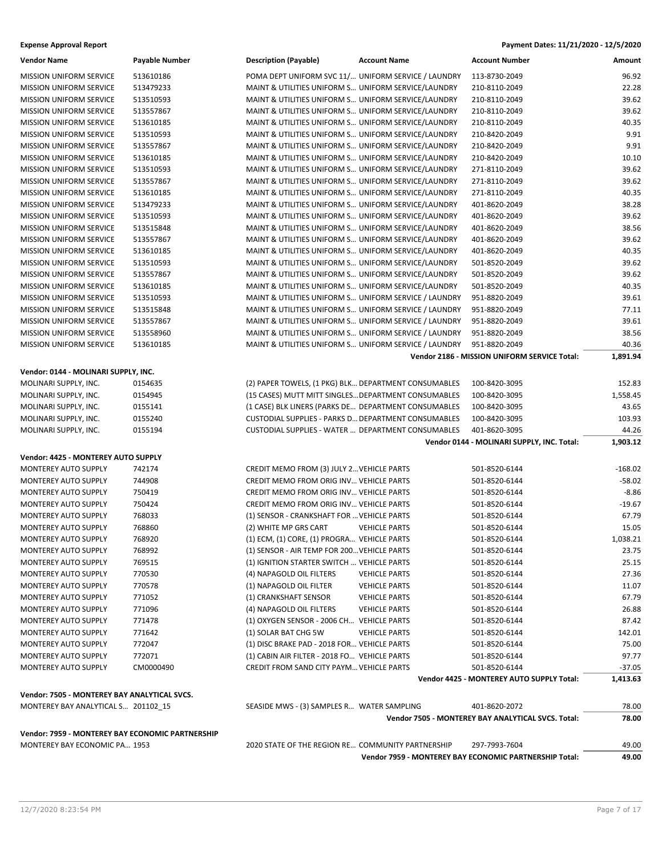### **Expense Approval Report Payment Dates: 11/21/2020 - 12/5/2020**

| <b>Vendor Name</b>                                  | Payable Number   | <b>Description (Payable)</b><br><b>Account Name</b>                                       | <b>Account Number</b>                                      | Amount               |
|-----------------------------------------------------|------------------|-------------------------------------------------------------------------------------------|------------------------------------------------------------|----------------------|
| <b>MISSION UNIFORM SERVICE</b>                      | 513610186        | POMA DEPT UNIFORM SVC 11/ UNIFORM SERVICE / LAUNDRY                                       | 113-8730-2049                                              | 96.92                |
| <b>MISSION UNIFORM SERVICE</b>                      | 513479233        | MAINT & UTILITIES UNIFORM S UNIFORM SERVICE/LAUNDRY                                       | 210-8110-2049                                              | 22.28                |
| <b>MISSION UNIFORM SERVICE</b>                      | 513510593        | MAINT & UTILITIES UNIFORM S UNIFORM SERVICE/LAUNDRY                                       | 210-8110-2049                                              | 39.62                |
| MISSION UNIFORM SERVICE                             | 513557867        | MAINT & UTILITIES UNIFORM S UNIFORM SERVICE/LAUNDRY                                       | 210-8110-2049                                              | 39.62                |
| <b>MISSION UNIFORM SERVICE</b>                      | 513610185        | MAINT & UTILITIES UNIFORM S UNIFORM SERVICE/LAUNDRY                                       | 210-8110-2049                                              | 40.35                |
| <b>MISSION UNIFORM SERVICE</b>                      | 513510593        | MAINT & UTILITIES UNIFORM S UNIFORM SERVICE/LAUNDRY                                       | 210-8420-2049                                              | 9.91                 |
| <b>MISSION UNIFORM SERVICE</b>                      | 513557867        | MAINT & UTILITIES UNIFORM S UNIFORM SERVICE/LAUNDRY                                       | 210-8420-2049                                              | 9.91                 |
| MISSION UNIFORM SERVICE                             | 513610185        | MAINT & UTILITIES UNIFORM S UNIFORM SERVICE/LAUNDRY                                       | 210-8420-2049                                              | 10.10                |
| <b>MISSION UNIFORM SERVICE</b>                      | 513510593        | MAINT & UTILITIES UNIFORM S UNIFORM SERVICE/LAUNDRY                                       | 271-8110-2049                                              | 39.62                |
| <b>MISSION UNIFORM SERVICE</b>                      | 513557867        | MAINT & UTILITIES UNIFORM S UNIFORM SERVICE/LAUNDRY                                       | 271-8110-2049                                              | 39.62                |
| <b>MISSION UNIFORM SERVICE</b>                      | 513610185        | MAINT & UTILITIES UNIFORM S UNIFORM SERVICE/LAUNDRY                                       | 271-8110-2049                                              | 40.35                |
| <b>MISSION UNIFORM SERVICE</b>                      | 513479233        | MAINT & UTILITIES UNIFORM S UNIFORM SERVICE/LAUNDRY                                       | 401-8620-2049                                              | 38.28                |
| MISSION UNIFORM SERVICE                             | 513510593        | MAINT & UTILITIES UNIFORM S UNIFORM SERVICE/LAUNDRY                                       | 401-8620-2049                                              | 39.62                |
| <b>MISSION UNIFORM SERVICE</b>                      | 513515848        | MAINT & UTILITIES UNIFORM S UNIFORM SERVICE/LAUNDRY                                       | 401-8620-2049                                              | 38.56                |
| <b>MISSION UNIFORM SERVICE</b>                      | 513557867        | MAINT & UTILITIES UNIFORM S UNIFORM SERVICE/LAUNDRY                                       | 401-8620-2049                                              | 39.62                |
| <b>MISSION UNIFORM SERVICE</b>                      | 513610185        | MAINT & UTILITIES UNIFORM S UNIFORM SERVICE/LAUNDRY                                       | 401-8620-2049                                              | 40.35                |
| <b>MISSION UNIFORM SERVICE</b>                      | 513510593        | MAINT & UTILITIES UNIFORM S UNIFORM SERVICE/LAUNDRY                                       | 501-8520-2049                                              | 39.62                |
| <b>MISSION UNIFORM SERVICE</b>                      | 513557867        | MAINT & UTILITIES UNIFORM S UNIFORM SERVICE/LAUNDRY                                       | 501-8520-2049                                              | 39.62                |
| MISSION UNIFORM SERVICE                             | 513610185        | MAINT & UTILITIES UNIFORM S UNIFORM SERVICE/LAUNDRY                                       | 501-8520-2049                                              | 40.35                |
| <b>MISSION UNIFORM SERVICE</b>                      | 513510593        | MAINT & UTILITIES UNIFORM S UNIFORM SERVICE / LAUNDRY                                     | 951-8820-2049                                              | 39.61                |
| <b>MISSION UNIFORM SERVICE</b>                      | 513515848        | MAINT & UTILITIES UNIFORM S UNIFORM SERVICE / LAUNDRY                                     | 951-8820-2049                                              | 77.11                |
| <b>MISSION UNIFORM SERVICE</b>                      | 513557867        | MAINT & UTILITIES UNIFORM S UNIFORM SERVICE / LAUNDRY                                     | 951-8820-2049                                              | 39.61                |
| <b>MISSION UNIFORM SERVICE</b>                      | 513558960        | MAINT & UTILITIES UNIFORM S UNIFORM SERVICE / LAUNDRY                                     | 951-8820-2049                                              | 38.56                |
| MISSION UNIFORM SERVICE                             | 513610185        | MAINT & UTILITIES UNIFORM S UNIFORM SERVICE / LAUNDRY                                     | 951-8820-2049                                              | 40.36                |
|                                                     |                  |                                                                                           | Vendor 2186 - MISSION UNIFORM SERVICE Total:               | 1,891.94             |
| Vendor: 0144 - MOLINARI SUPPLY, INC.                |                  |                                                                                           |                                                            |                      |
| MOLINARI SUPPLY, INC.                               | 0154635          | (2) PAPER TOWELS, (1 PKG) BLK DEPARTMENT CONSUMABLES                                      | 100-8420-3095                                              | 152.83               |
| MOLINARI SUPPLY, INC.                               | 0154945          | (15 CASES) MUTT MITT SINGLES DEPARTMENT CONSUMABLES                                       | 100-8420-3095                                              | 1,558.45             |
| MOLINARI SUPPLY, INC.                               | 0155141          | (1 CASE) BLK LINERS (PARKS DE DEPARTMENT CONSUMABLES                                      | 100-8420-3095                                              | 43.65                |
| MOLINARI SUPPLY, INC.                               | 0155240          | CUSTODIAL SUPPLIES - PARKS D DEPARTMENT CONSUMABLES                                       | 100-8420-3095                                              | 103.93               |
|                                                     |                  |                                                                                           |                                                            |                      |
|                                                     |                  |                                                                                           |                                                            |                      |
| MOLINARI SUPPLY, INC.                               | 0155194          | CUSTODIAL SUPPLIES - WATER  DEPARTMENT CONSUMABLES                                        | 401-8620-3095                                              | 44.26                |
|                                                     |                  |                                                                                           | Vendor 0144 - MOLINARI SUPPLY, INC. Total:                 | 1,903.12             |
| Vendor: 4425 - MONTEREY AUTO SUPPLY                 |                  |                                                                                           |                                                            |                      |
| MONTEREY AUTO SUPPLY                                | 742174           | CREDIT MEMO FROM (3) JULY 2 VEHICLE PARTS                                                 | 501-8520-6144                                              | $-168.02$            |
| MONTEREY AUTO SUPPLY                                | 744908           | CREDIT MEMO FROM ORIG INV VEHICLE PARTS                                                   | 501-8520-6144                                              | $-58.02$             |
| <b>MONTEREY AUTO SUPPLY</b>                         | 750419           | CREDIT MEMO FROM ORIG INV VEHICLE PARTS                                                   | 501-8520-6144                                              | $-8.86$              |
| MONTEREY AUTO SUPPLY                                | 750424           | CREDIT MEMO FROM ORIG INV VEHICLE PARTS                                                   | 501-8520-6144                                              | $-19.67$             |
| MONTEREY AUTO SUPPLY                                | 768033           | (1) SENSOR - CRANKSHAFT FOR  VEHICLE PARTS                                                | 501-8520-6144                                              | 67.79                |
| MONTEREY AUTO SUPPLY                                | 768860           | (2) WHITE MP GRS CART<br><b>VEHICLE PARTS</b>                                             | 501-8520-6144                                              | 15.05                |
| <b>MONTEREY AUTO SUPPLY</b>                         | 768920           | (1) ECM, (1) CORE, (1) PROGRA VEHICLE PARTS                                               | 501-8520-6144                                              | 1,038.21             |
| <b>MONTEREY AUTO SUPPLY</b>                         | 768992           | (1) SENSOR - AIR TEMP FOR 200 VEHICLE PARTS                                               | 501-8520-6144                                              | 23.75                |
| MONTEREY AUTO SUPPLY<br><b>MONTEREY AUTO SUPPLY</b> | 769515<br>770530 | (1) IGNITION STARTER SWITCH  VEHICLE PARTS<br>(4) NAPAGOLD OIL FILTERS                    | 501-8520-6144                                              | 25.15                |
|                                                     |                  | <b>VEHICLE PARTS</b>                                                                      | 501-8520-6144                                              | 27.36                |
| MONTEREY AUTO SUPPLY<br><b>MONTEREY AUTO SUPPLY</b> | 770578           | (1) NAPAGOLD OIL FILTER<br><b>VEHICLE PARTS</b><br>(1) CRANKSHAFT SENSOR                  | 501-8520-6144                                              | 11.07                |
|                                                     | 771052           | <b>VEHICLE PARTS</b>                                                                      | 501-8520-6144                                              | 67.79                |
| <b>MONTEREY AUTO SUPPLY</b>                         | 771096<br>771478 | (4) NAPAGOLD OIL FILTERS<br><b>VEHICLE PARTS</b>                                          | 501-8520-6144                                              | 26.88<br>87.42       |
| MONTEREY AUTO SUPPLY<br>MONTEREY AUTO SUPPLY        | 771642           | (1) OXYGEN SENSOR - 2006 CH VEHICLE PARTS<br>(1) SOLAR BAT CHG 5W<br><b>VEHICLE PARTS</b> | 501-8520-6144<br>501-8520-6144                             | 142.01               |
| MONTEREY AUTO SUPPLY                                | 772047           | (1) DISC BRAKE PAD - 2018 FOR VEHICLE PARTS                                               | 501-8520-6144                                              | 75.00                |
| MONTEREY AUTO SUPPLY                                | 772071           | (1) CABIN AIR FILTER - 2018 FO VEHICLE PARTS                                              | 501-8520-6144                                              | 97.77                |
| <b>MONTEREY AUTO SUPPLY</b>                         | CM0000490        | CREDIT FROM SAND CITY PAYM VEHICLE PARTS                                                  |                                                            |                      |
|                                                     |                  |                                                                                           | 501-8520-6144<br>Vendor 4425 - MONTEREY AUTO SUPPLY Total: | $-37.05$<br>1,413.63 |
| Vendor: 7505 - MONTEREY BAY ANALYTICAL SVCS.        |                  |                                                                                           |                                                            |                      |
| MONTEREY BAY ANALYTICAL S 201102 15                 |                  | SEASIDE MWS - (3) SAMPLES R WATER SAMPLING                                                | 401-8620-2072                                              | 78.00                |
|                                                     |                  |                                                                                           | Vendor 7505 - MONTEREY BAY ANALYTICAL SVCS. Total:         | 78.00                |
| Vendor: 7959 - MONTEREY BAY ECONOMIC PARTNERSHIP    |                  |                                                                                           |                                                            |                      |
| MONTEREY BAY ECONOMIC PA 1953                       |                  | 2020 STATE OF THE REGION RE COMMUNITY PARTNERSHIP                                         | 297-7993-7604                                              | 49.00                |

12/7/2020 8:23:54 PM Page 7 of 17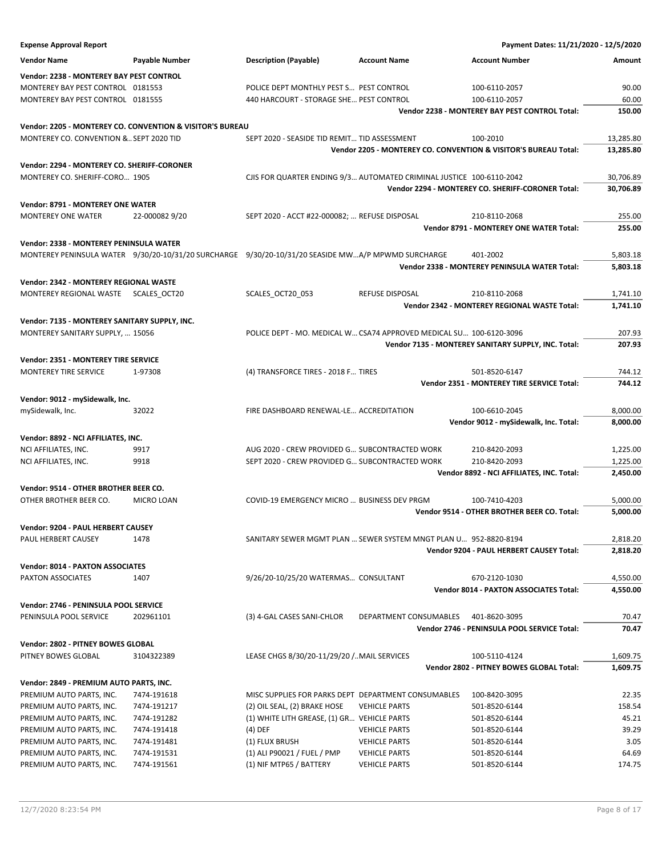| <b>Expense Approval Report</b>                |                                                           |                                                                                                    |                        | Payment Dates: 11/21/2020 - 12/5/2020                           |                |
|-----------------------------------------------|-----------------------------------------------------------|----------------------------------------------------------------------------------------------------|------------------------|-----------------------------------------------------------------|----------------|
| <b>Vendor Name</b>                            | <b>Payable Number</b>                                     | <b>Description (Payable)</b>                                                                       | <b>Account Name</b>    | <b>Account Number</b>                                           | Amount         |
| Vendor: 2238 - MONTEREY BAY PEST CONTROL      |                                                           |                                                                                                    |                        |                                                                 |                |
| MONTEREY BAY PEST CONTROL 0181553             |                                                           | POLICE DEPT MONTHLY PEST S PEST CONTROL                                                            |                        | 100-6110-2057                                                   | 90.00          |
| MONTEREY BAY PEST CONTROL 0181555             |                                                           | 440 HARCOURT - STORAGE SHE PEST CONTROL                                                            |                        | 100-6110-2057                                                   | 60.00          |
|                                               |                                                           |                                                                                                    |                        | Vendor 2238 - MONTEREY BAY PEST CONTROL Total:                  | 150.00         |
|                                               |                                                           |                                                                                                    |                        |                                                                 |                |
|                                               | Vendor: 2205 - MONTEREY CO. CONVENTION & VISITOR'S BUREAU |                                                                                                    |                        |                                                                 |                |
| MONTEREY CO. CONVENTION & SEPT 2020 TID       |                                                           | SEPT 2020 - SEASIDE TID REMIT TID ASSESSMENT                                                       |                        | 100-2010                                                        | 13,285.80      |
|                                               |                                                           |                                                                                                    |                        | Vendor 2205 - MONTEREY CO. CONVENTION & VISITOR'S BUREAU Total: | 13,285.80      |
| Vendor: 2294 - MONTEREY CO. SHERIFF-CORONER   |                                                           |                                                                                                    |                        |                                                                 |                |
| MONTEREY CO. SHERIFF-CORO 1905                |                                                           | CJIS FOR QUARTER ENDING 9/3 AUTOMATED CRIMINAL JUSTICE 100-6110-2042                               |                        |                                                                 | 30,706.89      |
|                                               |                                                           |                                                                                                    |                        | Vendor 2294 - MONTEREY CO. SHERIFF-CORONER Total:               | 30,706.89      |
| <b>Vendor: 8791 - MONTEREY ONE WATER</b>      |                                                           |                                                                                                    |                        |                                                                 |                |
| <b>MONTEREY ONE WATER</b>                     | 22-0000829/20                                             | SEPT 2020 - ACCT #22-000082;  REFUSE DISPOSAL                                                      |                        | 210-8110-2068                                                   | 255.00         |
|                                               |                                                           |                                                                                                    |                        | Vendor 8791 - MONTEREY ONE WATER Total:                         | 255.00         |
|                                               |                                                           |                                                                                                    |                        |                                                                 |                |
| Vendor: 2338 - MONTEREY PENINSULA WATER       |                                                           |                                                                                                    |                        |                                                                 |                |
|                                               |                                                           | MONTEREY PENINSULA WATER 9/30/20-10/31/20 SURCHARGE 9/30/20-10/31/20 SEASIDE MWA/P MPWMD SURCHARGE |                        | 401-2002                                                        | 5,803.18       |
|                                               |                                                           |                                                                                                    |                        | Vendor 2338 - MONTEREY PENINSULA WATER Total:                   | 5,803.18       |
| Vendor: 2342 - MONTEREY REGIONAL WASTE        |                                                           |                                                                                                    |                        |                                                                 |                |
| MONTEREY REGIONAL WASTE SCALES_OCT20          |                                                           | SCALES_OCT20_053                                                                                   | REFUSE DISPOSAL        | 210-8110-2068                                                   | 1,741.10       |
|                                               |                                                           |                                                                                                    |                        | Vendor 2342 - MONTEREY REGIONAL WASTE Total:                    | 1,741.10       |
| Vendor: 7135 - MONTEREY SANITARY SUPPLY, INC. |                                                           |                                                                                                    |                        |                                                                 |                |
| MONTEREY SANITARY SUPPLY,  15056              |                                                           | POLICE DEPT - MO. MEDICAL W CSA74 APPROVED MEDICAL SU 100-6120-3096                                |                        |                                                                 | 207.93         |
|                                               |                                                           |                                                                                                    |                        | Vendor 7135 - MONTEREY SANITARY SUPPLY, INC. Total:             | 207.93         |
|                                               |                                                           |                                                                                                    |                        |                                                                 |                |
| Vendor: 2351 - MONTEREY TIRE SERVICE          |                                                           |                                                                                                    |                        |                                                                 |                |
| <b>MONTEREY TIRE SERVICE</b>                  | 1-97308                                                   | (4) TRANSFORCE TIRES - 2018 F TIRES                                                                |                        | 501-8520-6147                                                   | 744.12         |
|                                               |                                                           |                                                                                                    |                        | Vendor 2351 - MONTEREY TIRE SERVICE Total:                      | 744.12         |
| Vendor: 9012 - mySidewalk, Inc.               |                                                           |                                                                                                    |                        |                                                                 |                |
| mySidewalk, Inc.                              | 32022                                                     | FIRE DASHBOARD RENEWAL-LE ACCREDITATION                                                            |                        | 100-6610-2045                                                   | 8,000.00       |
|                                               |                                                           |                                                                                                    |                        | Vendor 9012 - mySidewalk, Inc. Total:                           | 8,000.00       |
| Vendor: 8892 - NCI AFFILIATES, INC.           |                                                           |                                                                                                    |                        |                                                                 |                |
| NCI AFFILIATES, INC.                          | 9917                                                      | AUG 2020 - CREW PROVIDED G SUBCONTRACTED WORK                                                      |                        | 210-8420-2093                                                   | 1,225.00       |
| NCI AFFILIATES, INC.                          | 9918                                                      | SEPT 2020 - CREW PROVIDED G SUBCONTRACTED WORK                                                     |                        | 210-8420-2093                                                   | 1,225.00       |
|                                               |                                                           |                                                                                                    |                        | Vendor 8892 - NCI AFFILIATES, INC. Total:                       | 2,450.00       |
|                                               |                                                           |                                                                                                    |                        |                                                                 |                |
| Vendor: 9514 - OTHER BROTHER BEER CO.         |                                                           |                                                                                                    |                        |                                                                 |                |
| OTHER BROTHER BEER CO.                        | MICRO LOAN                                                | COVID-19 EMERGENCY MICRO  BUSINESS DEV PRGM                                                        |                        | 100-7410-4203                                                   | 5,000.00       |
|                                               |                                                           |                                                                                                    |                        | Vendor 9514 - OTHER BROTHER BEER CO. Total:                     | 5,000.00       |
| Vendor: 9204 - PAUL HERBERT CAUSEY            |                                                           |                                                                                                    |                        |                                                                 |                |
| PAUL HERBERT CAUSEY                           | 1478                                                      | SANITARY SEWER MGMT PLAN  SEWER SYSTEM MNGT PLAN U 952-8820-8194                                   |                        |                                                                 | 2,818.20       |
|                                               |                                                           |                                                                                                    |                        | Vendor 9204 - PAUL HERBERT CAUSEY Total:                        | 2,818.20       |
| <b>Vendor: 8014 - PAXTON ASSOCIATES</b>       |                                                           |                                                                                                    |                        |                                                                 |                |
| PAXTON ASSOCIATES                             | 1407                                                      | 9/26/20-10/25/20 WATERMAS CONSULTANT                                                               |                        | 670-2120-1030                                                   | 4,550.00       |
|                                               |                                                           |                                                                                                    |                        | Vendor 8014 - PAXTON ASSOCIATES Total:                          | 4,550.00       |
|                                               |                                                           |                                                                                                    |                        |                                                                 |                |
| Vendor: 2746 - PENINSULA POOL SERVICE         |                                                           |                                                                                                    |                        |                                                                 |                |
| PENINSULA POOL SERVICE                        | 202961101                                                 | (3) 4-GAL CASES SANI-CHLOR                                                                         | DEPARTMENT CONSUMABLES | 401-8620-3095                                                   | 70.47          |
|                                               |                                                           |                                                                                                    |                        | Vendor 2746 - PENINSULA POOL SERVICE Total:                     | 70.47          |
| Vendor: 2802 - PITNEY BOWES GLOBAL            |                                                           |                                                                                                    |                        |                                                                 |                |
| PITNEY BOWES GLOBAL                           | 3104322389                                                | LEASE CHGS 8/30/20-11/29/20 /MAIL SERVICES                                                         |                        | 100-5110-4124                                                   | 1,609.75       |
|                                               |                                                           |                                                                                                    |                        | Vendor 2802 - PITNEY BOWES GLOBAL Total:                        | 1,609.75       |
| Vendor: 2849 - PREMIUM AUTO PARTS, INC.       |                                                           |                                                                                                    |                        |                                                                 |                |
|                                               |                                                           |                                                                                                    |                        |                                                                 |                |
| PREMIUM AUTO PARTS, INC.                      | 7474-191618                                               | MISC SUPPLIES FOR PARKS DEPT DEPARTMENT CONSUMABLES                                                |                        | 100-8420-3095                                                   | 22.35          |
| PREMIUM AUTO PARTS, INC.                      | 7474-191217                                               | (2) OIL SEAL, (2) BRAKE HOSE                                                                       | <b>VEHICLE PARTS</b>   | 501-8520-6144                                                   | 158.54         |
| PREMIUM AUTO PARTS, INC.                      | 7474-191282                                               | (1) WHITE LITH GREASE, (1) GR VEHICLE PARTS                                                        |                        | 501-8520-6144                                                   | 45.21<br>39.29 |
| PREMIUM AUTO PARTS, INC.                      | 7474-191418                                               | (4) DEF                                                                                            | <b>VEHICLE PARTS</b>   | 501-8520-6144                                                   |                |
| PREMIUM AUTO PARTS, INC.                      | 7474-191481                                               | (1) FLUX BRUSH                                                                                     | <b>VEHICLE PARTS</b>   | 501-8520-6144                                                   | 3.05           |
| PREMIUM AUTO PARTS, INC.                      | 7474-191531                                               | (1) ALI P90021 / FUEL / PMP                                                                        | <b>VEHICLE PARTS</b>   | 501-8520-6144                                                   | 64.69          |
| PREMIUM AUTO PARTS, INC.                      | 7474-191561                                               | (1) NIF MTP65 / BATTERY                                                                            | <b>VEHICLE PARTS</b>   | 501-8520-6144                                                   | 174.75         |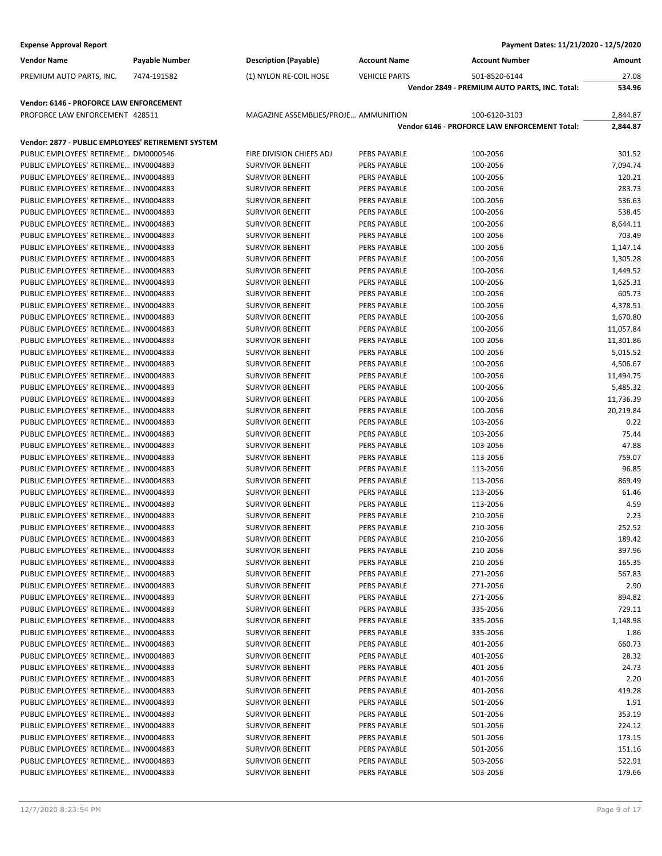| <b>Expense Approval Report</b>                     |                       |                                      |                      | Payment Dates: 11/21/2020 - 12/5/2020         |           |
|----------------------------------------------------|-----------------------|--------------------------------------|----------------------|-----------------------------------------------|-----------|
| <b>Vendor Name</b>                                 | <b>Payable Number</b> | <b>Description (Payable)</b>         | <b>Account Name</b>  | <b>Account Number</b>                         | Amount    |
| PREMIUM AUTO PARTS, INC.                           | 7474-191582           | (1) NYLON RE-COIL HOSE               | <b>VEHICLE PARTS</b> | 501-8520-6144                                 | 27.08     |
|                                                    |                       |                                      |                      | Vendor 2849 - PREMIUM AUTO PARTS, INC. Total: | 534.96    |
| Vendor: 6146 - PROFORCE LAW ENFORCEMENT            |                       |                                      |                      |                                               |           |
| PROFORCE LAW ENFORCEMENT 428511                    |                       | MAGAZINE ASSEMBLIES/PROJE AMMUNITION |                      | 100-6120-3103                                 | 2,844.87  |
|                                                    |                       |                                      |                      | Vendor 6146 - PROFORCE LAW ENFORCEMENT Total: | 2,844.87  |
| Vendor: 2877 - PUBLIC EMPLOYEES' RETIREMENT SYSTEM |                       |                                      |                      |                                               |           |
| PUBLIC EMPLOYEES' RETIREME DM0000546               |                       | FIRE DIVISION CHIEFS ADJ             | PERS PAYABLE         | 100-2056                                      | 301.52    |
| PUBLIC EMPLOYEES' RETIREME INV0004883              |                       | <b>SURVIVOR BENEFIT</b>              | PERS PAYABLE         | 100-2056                                      | 7,094.74  |
| PUBLIC EMPLOYEES' RETIREME INV0004883              |                       | <b>SURVIVOR BENEFIT</b>              | PERS PAYABLE         | 100-2056                                      | 120.21    |
| PUBLIC EMPLOYEES' RETIREME INV0004883              |                       | <b>SURVIVOR BENEFIT</b>              | PERS PAYABLE         | 100-2056                                      | 283.73    |
| PUBLIC EMPLOYEES' RETIREME INV0004883              |                       | <b>SURVIVOR BENEFIT</b>              | PERS PAYABLE         | 100-2056                                      | 536.63    |
| PUBLIC EMPLOYEES' RETIREME INV0004883              |                       | <b>SURVIVOR BENEFIT</b>              | PERS PAYABLE         | 100-2056                                      | 538.45    |
| PUBLIC EMPLOYEES' RETIREME INV0004883              |                       | <b>SURVIVOR BENEFIT</b>              | <b>PERS PAYABLE</b>  | 100-2056                                      | 8,644.11  |
| PUBLIC EMPLOYEES' RETIREME INV0004883              |                       | <b>SURVIVOR BENEFIT</b>              | PERS PAYABLE         | 100-2056                                      | 703.49    |
| PUBLIC EMPLOYEES' RETIREME INV0004883              |                       | <b>SURVIVOR BENEFIT</b>              | PERS PAYABLE         | 100-2056                                      | 1,147.14  |
| PUBLIC EMPLOYEES' RETIREME INV0004883              |                       | <b>SURVIVOR BENEFIT</b>              | PERS PAYABLE         | 100-2056                                      | 1,305.28  |
| PUBLIC EMPLOYEES' RETIREME INV0004883              |                       | <b>SURVIVOR BENEFIT</b>              | PERS PAYABLE         | 100-2056                                      | 1,449.52  |
| PUBLIC EMPLOYEES' RETIREME INV0004883              |                       | <b>SURVIVOR BENEFIT</b>              | <b>PERS PAYABLE</b>  | 100-2056                                      | 1,625.31  |
| PUBLIC EMPLOYEES' RETIREME INV0004883              |                       | <b>SURVIVOR BENEFIT</b>              | PERS PAYABLE         | 100-2056                                      | 605.73    |
| PUBLIC EMPLOYEES' RETIREME INV0004883              |                       | <b>SURVIVOR BENEFIT</b>              | PERS PAYABLE         | 100-2056                                      | 4,378.51  |
| PUBLIC EMPLOYEES' RETIREME INV0004883              |                       | <b>SURVIVOR BENEFIT</b>              | PERS PAYABLE         | 100-2056                                      | 1,670.80  |
| PUBLIC EMPLOYEES' RETIREME INV0004883              |                       | <b>SURVIVOR BENEFIT</b>              | PERS PAYABLE         | 100-2056                                      | 11,057.84 |
| PUBLIC EMPLOYEES' RETIREME INV0004883              |                       | <b>SURVIVOR BENEFIT</b>              | <b>PERS PAYABLE</b>  | 100-2056                                      | 11,301.86 |
| PUBLIC EMPLOYEES' RETIREME INV0004883              |                       | <b>SURVIVOR BENEFIT</b>              | PERS PAYABLE         | 100-2056                                      | 5,015.52  |
| PUBLIC EMPLOYEES' RETIREME INV0004883              |                       | <b>SURVIVOR BENEFIT</b>              | PERS PAYABLE         | 100-2056                                      | 4,506.67  |
| PUBLIC EMPLOYEES' RETIREME INV0004883              |                       | <b>SURVIVOR BENEFIT</b>              | <b>PERS PAYABLE</b>  | 100-2056                                      | 11,494.75 |
| PUBLIC EMPLOYEES' RETIREME INV0004883              |                       | <b>SURVIVOR BENEFIT</b>              | PERS PAYABLE         | 100-2056                                      | 5,485.32  |
| PUBLIC EMPLOYEES' RETIREME INV0004883              |                       | <b>SURVIVOR BENEFIT</b>              | PERS PAYABLE         | 100-2056                                      | 11,736.39 |
| PUBLIC EMPLOYEES' RETIREME INV0004883              |                       | <b>SURVIVOR BENEFIT</b>              | PERS PAYABLE         | 100-2056                                      | 20,219.84 |
| PUBLIC EMPLOYEES' RETIREME INV0004883              |                       | <b>SURVIVOR BENEFIT</b>              | PERS PAYABLE         | 103-2056                                      | 0.22      |
| PUBLIC EMPLOYEES' RETIREME INV0004883              |                       | <b>SURVIVOR BENEFIT</b>              | PERS PAYABLE         | 103-2056                                      | 75.44     |
| PUBLIC EMPLOYEES' RETIREME INV0004883              |                       | <b>SURVIVOR BENEFIT</b>              | PERS PAYABLE         | 103-2056                                      | 47.88     |
| PUBLIC EMPLOYEES' RETIREME INV0004883              |                       | <b>SURVIVOR BENEFIT</b>              | PERS PAYABLE         | 113-2056                                      | 759.07    |
| PUBLIC EMPLOYEES' RETIREME INV0004883              |                       | <b>SURVIVOR BENEFIT</b>              | PERS PAYABLE         | 113-2056                                      | 96.85     |
| PUBLIC EMPLOYEES' RETIREME INV0004883              |                       | <b>SURVIVOR BENEFIT</b>              | PERS PAYABLE         | 113-2056                                      | 869.49    |
| PUBLIC EMPLOYEES' RETIREME INV0004883              |                       | <b>SURVIVOR BENEFIT</b>              | PERS PAYABLE         | 113-2056                                      | 61.46     |
| PUBLIC EMPLOYEES' RETIREME INV0004883              |                       | <b>SURVIVOR BENEFIT</b>              | PERS PAYABLE         | 113-2056                                      | 4.59      |
| PUBLIC EMPLOYEES' RETIREME INV0004883              |                       | <b>SURVIVOR BENEFIT</b>              | PERS PAYABLE         | 210-2056                                      | 2.23      |
| PUBLIC EMPLOYEES' RETIREME INV0004883              |                       | <b>SURVIVOR BENEFIT</b>              | PERS PAYABLE         | 210-2056                                      | 252.52    |
| PUBLIC EMPLOYEES' RETIREME INV0004883              |                       | <b>SURVIVOR BENEFIT</b>              | PERS PAYABLE         | 210-2056                                      | 189.42    |
| PUBLIC EMPLOYEES' RETIREME INV0004883              |                       | <b>SURVIVOR BENEFIT</b>              | PERS PAYABLE         | 210-2056                                      | 397.96    |
| PUBLIC EMPLOYEES' RETIREME INV0004883              |                       | <b>SURVIVOR BENEFIT</b>              | PERS PAYABLE         | 210-2056                                      | 165.35    |
| PUBLIC EMPLOYEES' RETIREME INV0004883              |                       | <b>SURVIVOR BENEFIT</b>              | PERS PAYABLE         | 271-2056                                      | 567.83    |
| PUBLIC EMPLOYEES' RETIREME INV0004883              |                       | <b>SURVIVOR BENEFIT</b>              | PERS PAYABLE         | 271-2056                                      | 2.90      |
| PUBLIC EMPLOYEES' RETIREME INV0004883              |                       | <b>SURVIVOR BENEFIT</b>              | PERS PAYABLE         | 271-2056                                      | 894.82    |
| PUBLIC EMPLOYEES' RETIREME INV0004883              |                       | <b>SURVIVOR BENEFIT</b>              | PERS PAYABLE         | 335-2056                                      | 729.11    |
| PUBLIC EMPLOYEES' RETIREME INV0004883              |                       | <b>SURVIVOR BENEFIT</b>              | PERS PAYABLE         | 335-2056                                      | 1,148.98  |
| PUBLIC EMPLOYEES' RETIREME INV0004883              |                       | <b>SURVIVOR BENEFIT</b>              | PERS PAYABLE         | 335-2056                                      | 1.86      |
| PUBLIC EMPLOYEES' RETIREME INV0004883              |                       | <b>SURVIVOR BENEFIT</b>              | PERS PAYABLE         | 401-2056                                      | 660.73    |
| PUBLIC EMPLOYEES' RETIREME INV0004883              |                       | <b>SURVIVOR BENEFIT</b>              | PERS PAYABLE         | 401-2056                                      | 28.32     |
| PUBLIC EMPLOYEES' RETIREME INV0004883              |                       | <b>SURVIVOR BENEFIT</b>              | PERS PAYABLE         | 401-2056                                      | 24.73     |
| PUBLIC EMPLOYEES' RETIREME INV0004883              |                       | <b>SURVIVOR BENEFIT</b>              | PERS PAYABLE         | 401-2056                                      | 2.20      |
| PUBLIC EMPLOYEES' RETIREME INV0004883              |                       | <b>SURVIVOR BENEFIT</b>              | PERS PAYABLE         | 401-2056                                      | 419.28    |
| PUBLIC EMPLOYEES' RETIREME INV0004883              |                       | <b>SURVIVOR BENEFIT</b>              | PERS PAYABLE         | 501-2056                                      | 1.91      |
| PUBLIC EMPLOYEES' RETIREME INV0004883              |                       | <b>SURVIVOR BENEFIT</b>              | PERS PAYABLE         | 501-2056                                      | 353.19    |
| PUBLIC EMPLOYEES' RETIREME INV0004883              |                       | <b>SURVIVOR BENEFIT</b>              | PERS PAYABLE         | 501-2056                                      | 224.12    |
| PUBLIC EMPLOYEES' RETIREME INV0004883              |                       | <b>SURVIVOR BENEFIT</b>              | PERS PAYABLE         | 501-2056                                      | 173.15    |
| PUBLIC EMPLOYEES' RETIREME INV0004883              |                       | <b>SURVIVOR BENEFIT</b>              | PERS PAYABLE         | 501-2056                                      | 151.16    |
| PUBLIC EMPLOYEES' RETIREME INV0004883              |                       | <b>SURVIVOR BENEFIT</b>              | PERS PAYABLE         | 503-2056                                      | 522.91    |
| PUBLIC EMPLOYEES' RETIREME INV0004883              |                       | <b>SURVIVOR BENEFIT</b>              | PERS PAYABLE         | 503-2056                                      | 179.66    |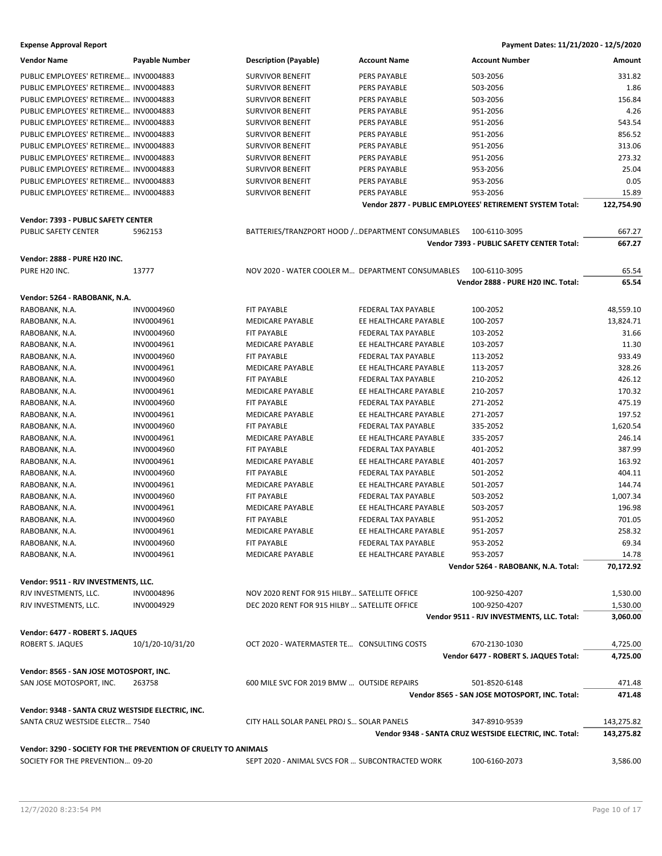### **Expense Approval Report Payment Dates: 11/21/2020 - 12/5/2020**

| <b>Vendor Name</b>                                | Payable Number                                                  | <b>Description (Payable)</b>                      | <b>Account Name</b>        | <b>Account Number</b>                                    | Amount     |
|---------------------------------------------------|-----------------------------------------------------------------|---------------------------------------------------|----------------------------|----------------------------------------------------------|------------|
| PUBLIC EMPLOYEES' RETIREME INV0004883             |                                                                 | <b>SURVIVOR BENEFIT</b>                           | <b>PERS PAYABLE</b>        | 503-2056                                                 | 331.82     |
| PUBLIC EMPLOYEES' RETIREME INV0004883             |                                                                 | <b>SURVIVOR BENEFIT</b>                           | PERS PAYABLE               | 503-2056                                                 | 1.86       |
| PUBLIC EMPLOYEES' RETIREME INV0004883             |                                                                 | <b>SURVIVOR BENEFIT</b>                           | PERS PAYABLE               | 503-2056                                                 | 156.84     |
| PUBLIC EMPLOYEES' RETIREME INV0004883             |                                                                 | <b>SURVIVOR BENEFIT</b>                           | PERS PAYABLE               | 951-2056                                                 | 4.26       |
| PUBLIC EMPLOYEES' RETIREME INV0004883             |                                                                 | <b>SURVIVOR BENEFIT</b>                           | PERS PAYABLE               | 951-2056                                                 | 543.54     |
| PUBLIC EMPLOYEES' RETIREME INV0004883             |                                                                 | <b>SURVIVOR BENEFIT</b>                           | PERS PAYABLE               | 951-2056                                                 | 856.52     |
| PUBLIC EMPLOYEES' RETIREME INV0004883             |                                                                 | <b>SURVIVOR BENEFIT</b>                           | PERS PAYABLE               | 951-2056                                                 | 313.06     |
|                                                   |                                                                 |                                                   |                            |                                                          |            |
| PUBLIC EMPLOYEES' RETIREME INV0004883             |                                                                 | <b>SURVIVOR BENEFIT</b>                           | PERS PAYABLE               | 951-2056                                                 | 273.32     |
| PUBLIC EMPLOYEES' RETIREME INV0004883             |                                                                 | <b>SURVIVOR BENEFIT</b>                           | PERS PAYABLE               | 953-2056                                                 | 25.04      |
| PUBLIC EMPLOYEES' RETIREME INV0004883             |                                                                 | <b>SURVIVOR BENEFIT</b>                           | PERS PAYABLE               | 953-2056                                                 | 0.05       |
| PUBLIC EMPLOYEES' RETIREME INV0004883             |                                                                 | <b>SURVIVOR BENEFIT</b>                           | PERS PAYABLE               | 953-2056                                                 | 15.89      |
|                                                   |                                                                 |                                                   |                            | Vendor 2877 - PUBLIC EMPLOYEES' RETIREMENT SYSTEM Total: | 122,754.90 |
| Vendor: 7393 - PUBLIC SAFETY CENTER               |                                                                 |                                                   |                            |                                                          |            |
| PUBLIC SAFETY CENTER                              | 5962153                                                         | BATTERIES/TRANZPORT HOOD / DEPARTMENT CONSUMABLES |                            | 100-6110-3095                                            | 667.27     |
|                                                   |                                                                 |                                                   |                            | Vendor 7393 - PUBLIC SAFETY CENTER Total:                | 667.27     |
|                                                   |                                                                 |                                                   |                            |                                                          |            |
| Vendor: 2888 - PURE H20 INC.                      |                                                                 |                                                   |                            |                                                          |            |
| PURE H20 INC.                                     | 13777                                                           | NOV 2020 - WATER COOLER M DEPARTMENT CONSUMABLES  |                            | 100-6110-3095                                            | 65.54      |
|                                                   |                                                                 |                                                   |                            | Vendor 2888 - PURE H20 INC. Total:                       | 65.54      |
| Vendor: 5264 - RABOBANK, N.A.                     |                                                                 |                                                   |                            |                                                          |            |
| RABOBANK, N.A.                                    | INV0004960                                                      | FIT PAYABLE                                       | <b>FEDERAL TAX PAYABLE</b> | 100-2052                                                 | 48,559.10  |
| RABOBANK, N.A.                                    | INV0004961                                                      | <b>MEDICARE PAYABLE</b>                           | EE HEALTHCARE PAYABLE      | 100-2057                                                 | 13,824.71  |
| RABOBANK, N.A.                                    | INV0004960                                                      | FIT PAYABLE                                       | <b>FEDERAL TAX PAYABLE</b> | 103-2052                                                 | 31.66      |
| RABOBANK, N.A.                                    | INV0004961                                                      | <b>MEDICARE PAYABLE</b>                           | EE HEALTHCARE PAYABLE      | 103-2057                                                 | 11.30      |
| RABOBANK, N.A.                                    | INV0004960                                                      | <b>FIT PAYABLE</b>                                | FEDERAL TAX PAYABLE        | 113-2052                                                 | 933.49     |
| RABOBANK, N.A.                                    | INV0004961                                                      | <b>MEDICARE PAYABLE</b>                           | EE HEALTHCARE PAYABLE      | 113-2057                                                 | 328.26     |
| RABOBANK, N.A.                                    | INV0004960                                                      | FIT PAYABLE                                       | FEDERAL TAX PAYABLE        | 210-2052                                                 | 426.12     |
|                                                   |                                                                 | <b>MEDICARE PAYABLE</b>                           | EE HEALTHCARE PAYABLE      | 210-2057                                                 | 170.32     |
| RABOBANK, N.A.                                    | INV0004961                                                      |                                                   |                            |                                                          |            |
| RABOBANK, N.A.                                    | INV0004960                                                      | FIT PAYABLE                                       | FEDERAL TAX PAYABLE        | 271-2052                                                 | 475.19     |
| RABOBANK, N.A.                                    | INV0004961                                                      | <b>MEDICARE PAYABLE</b>                           | EE HEALTHCARE PAYABLE      | 271-2057                                                 | 197.52     |
| RABOBANK, N.A.                                    | INV0004960                                                      | <b>FIT PAYABLE</b>                                | FEDERAL TAX PAYABLE        | 335-2052                                                 | 1,620.54   |
| RABOBANK, N.A.                                    | INV0004961                                                      | MEDICARE PAYABLE                                  | EE HEALTHCARE PAYABLE      | 335-2057                                                 | 246.14     |
| RABOBANK, N.A.                                    | INV0004960                                                      | FIT PAYABLE                                       | FEDERAL TAX PAYABLE        | 401-2052                                                 | 387.99     |
| RABOBANK, N.A.                                    | INV0004961                                                      | <b>MEDICARE PAYABLE</b>                           | EE HEALTHCARE PAYABLE      | 401-2057                                                 | 163.92     |
| RABOBANK, N.A.                                    | INV0004960                                                      | FIT PAYABLE                                       | FEDERAL TAX PAYABLE        | 501-2052                                                 | 404.11     |
| RABOBANK, N.A.                                    | INV0004961                                                      | <b>MEDICARE PAYABLE</b>                           | EE HEALTHCARE PAYABLE      | 501-2057                                                 | 144.74     |
| RABOBANK, N.A.                                    | INV0004960                                                      | FIT PAYABLE                                       | FEDERAL TAX PAYABLE        | 503-2052                                                 | 1,007.34   |
| RABOBANK, N.A.                                    | INV0004961                                                      | <b>MEDICARE PAYABLE</b>                           | EE HEALTHCARE PAYABLE      | 503-2057                                                 | 196.98     |
| RABOBANK, N.A.                                    | INV0004960                                                      | FIT PAYABLE                                       | FEDERAL TAX PAYABLE        | 951-2052                                                 | 701.05     |
| RABOBANK, N.A.                                    | INV0004961                                                      | <b>MEDICARE PAYABLE</b>                           | EE HEALTHCARE PAYABLE      | 951-2057                                                 | 258.32     |
| RABOBANK, N.A.                                    | INV0004960                                                      | FIT PAYABLE                                       | FEDERAL TAX PAYABLE        | 953-2052                                                 | 69.34      |
| RABOBANK, N.A.                                    | INV0004961                                                      | MEDICARE PAYABLE                                  | EE HEALTHCARE PAYABLE      | 953-2057                                                 | 14.78      |
|                                                   |                                                                 |                                                   |                            | Vendor 5264 - RABOBANK, N.A. Total:                      | 70,172.92  |
|                                                   |                                                                 |                                                   |                            |                                                          |            |
| Vendor: 9511 - RJV INVESTMENTS, LLC.              |                                                                 |                                                   |                            |                                                          |            |
| RJV INVESTMENTS, LLC.                             | INV0004896                                                      | NOV 2020 RENT FOR 915 HILBY SATELLITE OFFICE      |                            | 100-9250-4207                                            | 1,530.00   |
| RJV INVESTMENTS, LLC.                             | INV0004929                                                      | DEC 2020 RENT FOR 915 HILBY  SATELLITE OFFICE     |                            | 100-9250-4207                                            | 1,530.00   |
|                                                   |                                                                 |                                                   |                            | Vendor 9511 - RJV INVESTMENTS, LLC. Total:               | 3,060.00   |
| Vendor: 6477 - ROBERT S. JAQUES                   |                                                                 |                                                   |                            |                                                          |            |
| ROBERT S. JAQUES                                  | 10/1/20-10/31/20                                                | OCT 2020 - WATERMASTER TE CONSULTING COSTS        |                            | 670-2130-1030                                            | 4,725.00   |
|                                                   |                                                                 |                                                   |                            | Vendor 6477 - ROBERT S. JAQUES Total:                    | 4,725.00   |
|                                                   |                                                                 |                                                   |                            |                                                          |            |
| Vendor: 8565 - SAN JOSE MOTOSPORT, INC.           |                                                                 |                                                   |                            |                                                          |            |
| SAN JOSE MOTOSPORT, INC.                          | 263758                                                          | 600 MILE SVC FOR 2019 BMW  OUTSIDE REPAIRS        |                            | 501-8520-6148                                            | 471.48     |
|                                                   |                                                                 |                                                   |                            | Vendor 8565 - SAN JOSE MOTOSPORT, INC. Total:            | 471.48     |
| Vendor: 9348 - SANTA CRUZ WESTSIDE ELECTRIC, INC. |                                                                 |                                                   |                            |                                                          |            |
| SANTA CRUZ WESTSIDE ELECTR 7540                   |                                                                 | CITY HALL SOLAR PANEL PROJ S SOLAR PANELS         |                            | 347-8910-9539                                            | 143,275.82 |
|                                                   |                                                                 |                                                   |                            | Vendor 9348 - SANTA CRUZ WESTSIDE ELECTRIC, INC. Total:  | 143,275.82 |
|                                                   |                                                                 |                                                   |                            |                                                          |            |
|                                                   | Vendor: 3290 - SOCIETY FOR THE PREVENTION OF CRUELTY TO ANIMALS |                                                   |                            |                                                          |            |
| SOCIETY FOR THE PREVENTION 09-20                  |                                                                 | SEPT 2020 - ANIMAL SVCS FOR  SUBCONTRACTED WORK   |                            | 100-6160-2073                                            | 3,586.00   |
|                                                   |                                                                 |                                                   |                            |                                                          |            |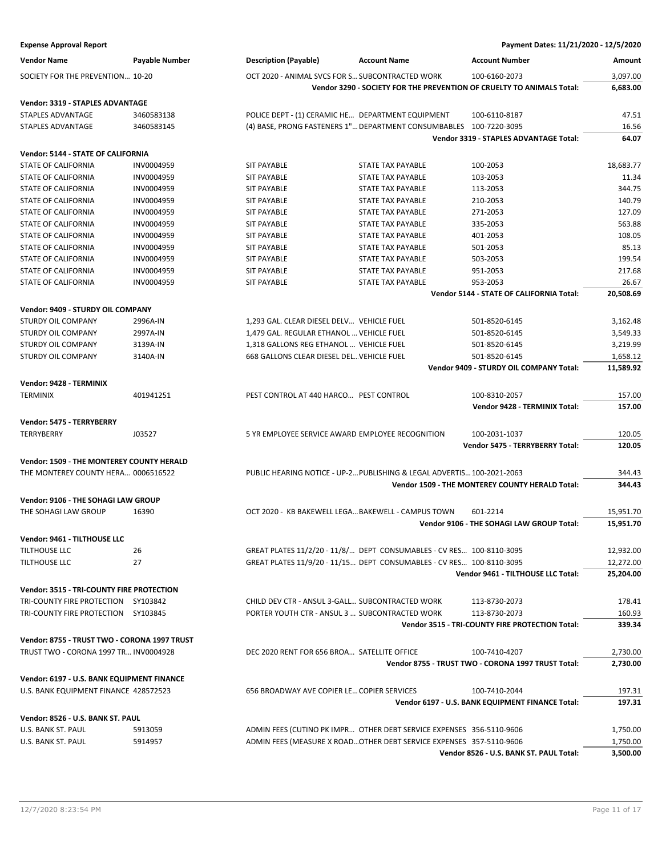| <b>Expense Approval Report</b>               |                |                                                    |                                                                        | Payment Dates: 11/21/2020 - 12/5/2020                                 |                        |
|----------------------------------------------|----------------|----------------------------------------------------|------------------------------------------------------------------------|-----------------------------------------------------------------------|------------------------|
| <b>Vendor Name</b>                           | Payable Number | <b>Description (Payable)</b>                       | <b>Account Name</b>                                                    | <b>Account Number</b>                                                 | Amount                 |
| SOCIETY FOR THE PREVENTION 10-20             |                | OCT 2020 - ANIMAL SVCS FOR S SUBCONTRACTED WORK    |                                                                        | 100-6160-2073                                                         | 3,097.00               |
|                                              |                |                                                    |                                                                        | Vendor 3290 - SOCIETY FOR THE PREVENTION OF CRUELTY TO ANIMALS Total: | 6,683.00               |
| <b>Vendor: 3319 - STAPLES ADVANTAGE</b>      |                |                                                    |                                                                        |                                                                       |                        |
| STAPLES ADVANTAGE                            | 3460583138     | POLICE DEPT - (1) CERAMIC HE DEPARTMENT EQUIPMENT  |                                                                        | 100-6110-8187                                                         | 47.51                  |
| STAPLES ADVANTAGE                            | 3460583145     |                                                    | (4) BASE, PRONG FASTENERS 1" DEPARTMENT CONSUMBABLES 100-7220-3095     |                                                                       | 16.56                  |
|                                              |                |                                                    |                                                                        | Vendor 3319 - STAPLES ADVANTAGE Total:                                | 64.07                  |
| <b>Vendor: 5144 - STATE OF CALIFORNIA</b>    |                |                                                    |                                                                        |                                                                       |                        |
| STATE OF CALIFORNIA                          | INV0004959     | <b>SIT PAYABLE</b>                                 | STATE TAX PAYABLE                                                      | 100-2053                                                              | 18,683.77              |
| STATE OF CALIFORNIA                          | INV0004959     | <b>SIT PAYABLE</b>                                 | <b>STATE TAX PAYABLE</b>                                               | 103-2053                                                              | 11.34                  |
| <b>STATE OF CALIFORNIA</b>                   | INV0004959     | <b>SIT PAYABLE</b>                                 | STATE TAX PAYABLE                                                      | 113-2053                                                              | 344.75                 |
| <b>STATE OF CALIFORNIA</b>                   | INV0004959     | <b>SIT PAYABLE</b>                                 | STATE TAX PAYABLE                                                      | 210-2053                                                              | 140.79                 |
| STATE OF CALIFORNIA                          | INV0004959     | <b>SIT PAYABLE</b>                                 | STATE TAX PAYABLE                                                      | 271-2053                                                              | 127.09                 |
| STATE OF CALIFORNIA                          | INV0004959     | <b>SIT PAYABLE</b>                                 | STATE TAX PAYABLE                                                      | 335-2053                                                              | 563.88                 |
| STATE OF CALIFORNIA                          | INV0004959     | <b>SIT PAYABLE</b>                                 | STATE TAX PAYABLE                                                      | 401-2053                                                              | 108.05                 |
| <b>STATE OF CALIFORNIA</b>                   | INV0004959     | <b>SIT PAYABLE</b>                                 | <b>STATE TAX PAYABLE</b>                                               | 501-2053                                                              | 85.13                  |
| <b>STATE OF CALIFORNIA</b>                   | INV0004959     | <b>SIT PAYABLE</b>                                 | <b>STATE TAX PAYABLE</b>                                               | 503-2053                                                              | 199.54                 |
| STATE OF CALIFORNIA                          | INV0004959     | <b>SIT PAYABLE</b>                                 | STATE TAX PAYABLE                                                      | 951-2053                                                              | 217.68                 |
| STATE OF CALIFORNIA                          | INV0004959     | <b>SIT PAYABLE</b>                                 | STATE TAX PAYABLE                                                      | 953-2053                                                              | 26.67                  |
|                                              |                |                                                    |                                                                        | Vendor 5144 - STATE OF CALIFORNIA Total:                              | 20,508.69              |
| Vendor: 9409 - STURDY OIL COMPANY            |                |                                                    |                                                                        |                                                                       |                        |
| <b>STURDY OIL COMPANY</b>                    | 2996A-IN       | 1,293 GAL. CLEAR DIESEL DELV VEHICLE FUEL          |                                                                        | 501-8520-6145                                                         | 3,162.48               |
| STURDY OIL COMPANY                           | 2997A-IN       | 1,479 GAL. REGULAR ETHANOL  VEHICLE FUEL           |                                                                        | 501-8520-6145                                                         | 3,549.33               |
| STURDY OIL COMPANY                           | 3139A-IN       | 1,318 GALLONS REG ETHANOL  VEHICLE FUEL            |                                                                        | 501-8520-6145                                                         | 3,219.99               |
| STURDY OIL COMPANY                           | 3140A-IN       | 668 GALLONS CLEAR DIESEL DEL VEHICLE FUEL          |                                                                        | 501-8520-6145                                                         | 1,658.12               |
|                                              |                |                                                    |                                                                        | Vendor 9409 - STURDY OIL COMPANY Total:                               | 11,589.92              |
| Vendor: 9428 - TERMINIX                      |                |                                                    |                                                                        |                                                                       |                        |
| <b>TERMINIX</b>                              | 401941251      | PEST CONTROL AT 440 HARCO PEST CONTROL             |                                                                        | 100-8310-2057                                                         | 157.00                 |
|                                              |                |                                                    |                                                                        | <b>Vendor 9428 - TERMINIX Total:</b>                                  | 157.00                 |
| Vendor: 5475 - TERRYBERRY                    |                |                                                    |                                                                        |                                                                       |                        |
| TERRYBERRY                                   | J03527         | 5 YR EMPLOYEE SERVICE AWARD EMPLOYEE RECOGNITION   |                                                                        | 100-2031-1037                                                         | 120.05                 |
|                                              |                |                                                    |                                                                        | Vendor 5475 - TERRYBERRY Total:                                       | 120.05                 |
| Vendor: 1509 - THE MONTEREY COUNTY HERALD    |                |                                                    |                                                                        |                                                                       |                        |
| THE MONTEREY COUNTY HERA 0006516522          |                |                                                    | PUBLIC HEARING NOTICE - UP-2 PUBLISHING & LEGAL ADVERTIS 100-2021-2063 |                                                                       | 344.43                 |
|                                              |                |                                                    |                                                                        | <b>Vendor 1509 - THE MONTEREY COUNTY HERALD Total:</b>                | 344.43                 |
|                                              |                |                                                    |                                                                        |                                                                       |                        |
| Vendor: 9106 - THE SOHAGI LAW GROUP          |                |                                                    |                                                                        |                                                                       |                        |
| THE SOHAGI LAW GROUP                         | 16390          | OCT 2020 - KB BAKEWELL LEGA BAKEWELL - CAMPUS TOWN |                                                                        | 601-2214<br>Vendor 9106 - THE SOHAGI LAW GROUP Total:                 | 15,951.70<br>15,951.70 |
|                                              |                |                                                    |                                                                        |                                                                       |                        |
| Vendor: 9461 - TILTHOUSE LLC                 |                |                                                    |                                                                        |                                                                       |                        |
| TILTHOUSE LLC                                | 26             |                                                    | GREAT PLATES 11/2/20 - 11/8/ DEPT CONSUMABLES - CV RES 100-8110-3095   |                                                                       | 12,932.00              |
| <b>TILTHOUSE LLC</b>                         | 27             |                                                    | GREAT PLATES 11/9/20 - 11/15 DEPT CONSUMABLES - CV RES 100-8110-3095   |                                                                       | 12,272.00              |
|                                              |                |                                                    |                                                                        | Vendor 9461 - TILTHOUSE LLC Total:                                    | 25,204.00              |
| Vendor: 3515 - TRI-COUNTY FIRE PROTECTION    |                |                                                    |                                                                        |                                                                       |                        |
| TRI-COUNTY FIRE PROTECTION SY103842          |                | CHILD DEV CTR - ANSUL 3-GALL SUBCONTRACTED WORK    |                                                                        | 113-8730-2073                                                         | 178.41                 |
| TRI-COUNTY FIRE PROTECTION SY103845          |                | PORTER YOUTH CTR - ANSUL 3  SUBCONTRACTED WORK     |                                                                        | 113-8730-2073                                                         | 160.93                 |
|                                              |                |                                                    |                                                                        | Vendor 3515 - TRI-COUNTY FIRE PROTECTION Total:                       | 339.34                 |
| Vendor: 8755 - TRUST TWO - CORONA 1997 TRUST |                |                                                    |                                                                        |                                                                       |                        |
| TRUST TWO - CORONA 1997 TR INV0004928        |                | DEC 2020 RENT FOR 656 BROA SATELLITE OFFICE        |                                                                        | 100-7410-4207                                                         | 2,730.00               |
|                                              |                |                                                    |                                                                        | Vendor 8755 - TRUST TWO - CORONA 1997 TRUST Total:                    | 2,730.00               |
| Vendor: 6197 - U.S. BANK EQUIPMENT FINANCE   |                |                                                    |                                                                        |                                                                       |                        |
| U.S. BANK EQUIPMENT FINANCE 428572523        |                | 656 BROADWAY AVE COPIER LE COPIER SERVICES         |                                                                        | 100-7410-2044                                                         | 197.31                 |
|                                              |                |                                                    |                                                                        | Vendor 6197 - U.S. BANK EQUIPMENT FINANCE Total:                      | 197.31                 |
| Vendor: 8526 - U.S. BANK ST. PAUL            |                |                                                    |                                                                        |                                                                       |                        |
| U.S. BANK ST. PAUL                           | 5913059        |                                                    | ADMIN FEES (CUTINO PK IMPR OTHER DEBT SERVICE EXPENSES 356-5110-9606   |                                                                       | 1,750.00               |
| U.S. BANK ST. PAUL                           | 5914957        |                                                    | ADMIN FEES (MEASURE X ROAD OTHER DEBT SERVICE EXPENSES 357-5110-9606   |                                                                       | 1,750.00               |
|                                              |                |                                                    |                                                                        | Vendor 8526 - U.S. BANK ST. PAUL Total:                               | 3,500.00               |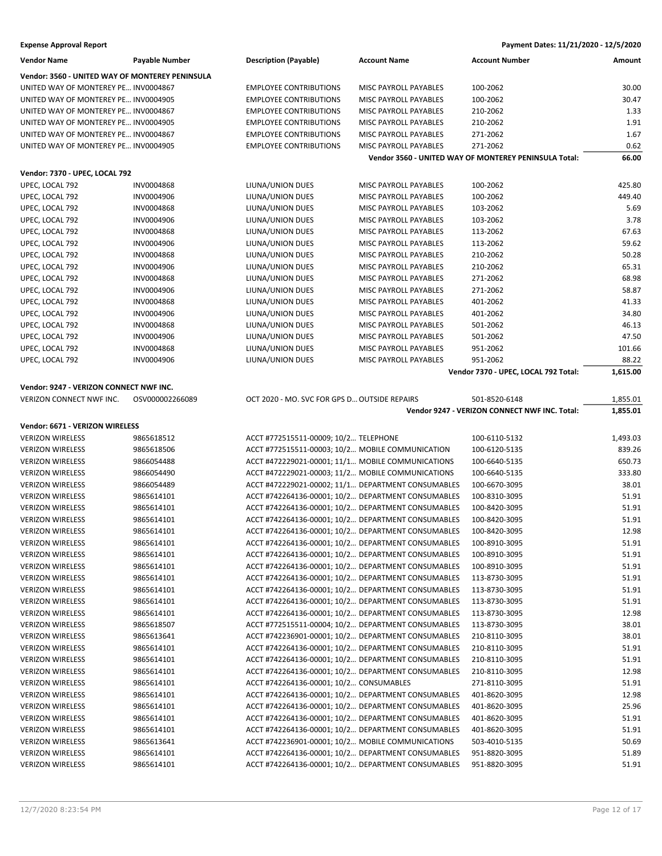| <b>Vendor Name</b>                              | Payable Number           | <b>Description (Payable)</b>                       | <b>Account Name</b>                                | <b>Account Number</b>                                 | Amount   |
|-------------------------------------------------|--------------------------|----------------------------------------------------|----------------------------------------------------|-------------------------------------------------------|----------|
| Vendor: 3560 - UNITED WAY OF MONTEREY PENINSULA |                          |                                                    |                                                    |                                                       |          |
| UNITED WAY OF MONTEREY PE INV0004867            |                          | <b>EMPLOYEE CONTRIBUTIONS</b>                      | MISC PAYROLL PAYABLES                              | 100-2062                                              | 30.00    |
| UNITED WAY OF MONTEREY PE INV0004905            |                          | <b>EMPLOYEE CONTRIBUTIONS</b>                      | MISC PAYROLL PAYABLES                              | 100-2062                                              | 30.47    |
| UNITED WAY OF MONTEREY PE INV0004867            |                          | <b>EMPLOYEE CONTRIBUTIONS</b>                      | MISC PAYROLL PAYABLES                              | 210-2062                                              | 1.33     |
| UNITED WAY OF MONTEREY PE INV0004905            |                          | <b>EMPLOYEE CONTRIBUTIONS</b>                      | MISC PAYROLL PAYABLES                              | 210-2062                                              | 1.91     |
| UNITED WAY OF MONTEREY PE INV0004867            |                          | <b>EMPLOYEE CONTRIBUTIONS</b>                      | MISC PAYROLL PAYABLES                              | 271-2062                                              | 1.67     |
| UNITED WAY OF MONTEREY PE INV0004905            |                          | <b>EMPLOYEE CONTRIBUTIONS</b>                      | MISC PAYROLL PAYABLES                              | 271-2062                                              | 0.62     |
|                                                 |                          |                                                    |                                                    | Vendor 3560 - UNITED WAY OF MONTEREY PENINSULA Total: | 66.00    |
| Vendor: 7370 - UPEC, LOCAL 792                  |                          |                                                    |                                                    |                                                       |          |
| UPEC, LOCAL 792                                 | INV0004868               | LIUNA/UNION DUES                                   | MISC PAYROLL PAYABLES                              | 100-2062                                              | 425.80   |
| UPEC, LOCAL 792                                 | INV0004906               | LIUNA/UNION DUES                                   | MISC PAYROLL PAYABLES                              | 100-2062                                              | 449.40   |
| UPEC, LOCAL 792                                 | INV0004868               | LIUNA/UNION DUES                                   | MISC PAYROLL PAYABLES                              | 103-2062                                              | 5.69     |
|                                                 | INV0004906               | LIUNA/UNION DUES                                   |                                                    |                                                       | 3.78     |
| UPEC, LOCAL 792<br>UPEC, LOCAL 792              | INV0004868               | LIUNA/UNION DUES                                   | MISC PAYROLL PAYABLES<br>MISC PAYROLL PAYABLES     | 103-2062<br>113-2062                                  | 67.63    |
| UPEC, LOCAL 792                                 | INV0004906               | LIUNA/UNION DUES                                   | MISC PAYROLL PAYABLES                              | 113-2062                                              | 59.62    |
| UPEC, LOCAL 792                                 | INV0004868               |                                                    | MISC PAYROLL PAYABLES                              | 210-2062                                              | 50.28    |
| UPEC, LOCAL 792                                 | INV0004906               | LIUNA/UNION DUES<br>LIUNA/UNION DUES               | MISC PAYROLL PAYABLES                              | 210-2062                                              | 65.31    |
|                                                 | INV0004868               | LIUNA/UNION DUES                                   |                                                    | 271-2062                                              | 68.98    |
| UPEC, LOCAL 792<br>UPEC, LOCAL 792              | INV0004906               | LIUNA/UNION DUES                                   | MISC PAYROLL PAYABLES<br>MISC PAYROLL PAYABLES     | 271-2062                                              | 58.87    |
| UPEC, LOCAL 792                                 | INV0004868               | LIUNA/UNION DUES                                   | MISC PAYROLL PAYABLES                              | 401-2062                                              | 41.33    |
|                                                 |                          |                                                    |                                                    |                                                       |          |
| UPEC, LOCAL 792                                 | INV0004906<br>INV0004868 | LIUNA/UNION DUES                                   | MISC PAYROLL PAYABLES                              | 401-2062                                              | 34.80    |
| UPEC, LOCAL 792                                 |                          | LIUNA/UNION DUES                                   | MISC PAYROLL PAYABLES                              | 501-2062                                              | 46.13    |
| UPEC, LOCAL 792                                 | INV0004906               | LIUNA/UNION DUES                                   | MISC PAYROLL PAYABLES                              | 501-2062                                              | 47.50    |
| UPEC, LOCAL 792                                 | INV0004868               | LIUNA/UNION DUES<br>LIUNA/UNION DUES               | MISC PAYROLL PAYABLES                              | 951-2062<br>951-2062                                  | 101.66   |
| UPEC, LOCAL 792                                 | INV0004906               |                                                    | MISC PAYROLL PAYABLES                              |                                                       | 88.22    |
|                                                 |                          |                                                    |                                                    | Vendor 7370 - UPEC, LOCAL 792 Total:                  | 1,615.00 |
| Vendor: 9247 - VERIZON CONNECT NWF INC.         |                          |                                                    |                                                    |                                                       |          |
| VERIZON CONNECT NWF INC.                        | OSV000002266089          | OCT 2020 - MO. SVC FOR GPS D OUTSIDE REPAIRS       |                                                    | 501-8520-6148                                         | 1,855.01 |
|                                                 |                          |                                                    |                                                    | Vendor 9247 - VERIZON CONNECT NWF INC. Total:         | 1,855.01 |
| Vendor: 6671 - VERIZON WIRELESS                 |                          |                                                    |                                                    |                                                       |          |
| <b>VERIZON WIRELESS</b>                         | 9865618512               | ACCT #772515511-00009; 10/2 TELEPHONE              |                                                    | 100-6110-5132                                         | 1,493.03 |
| <b>VERIZON WIRELESS</b>                         | 9865618506               | ACCT #772515511-00003; 10/2 MOBILE COMMUNICATION   |                                                    | 100-6120-5135                                         | 839.26   |
| <b>VERIZON WIRELESS</b>                         | 9866054488               | ACCT #472229021-00001; 11/1 MOBILE COMMUNICATIONS  |                                                    | 100-6640-5135                                         | 650.73   |
| <b>VERIZON WIRELESS</b>                         | 9866054490               | ACCT #472229021-00003; 11/2 MOBILE COMMUNICATIONS  |                                                    | 100-6640-5135                                         | 333.80   |
| <b>VERIZON WIRELESS</b>                         | 9866054489               | ACCT #472229021-00002; 11/1 DEPARTMENT CONSUMABLES |                                                    | 100-6670-3095                                         | 38.01    |
| <b>VERIZON WIRELESS</b>                         | 9865614101               | ACCT #742264136-00001; 10/2 DEPARTMENT CONSUMABLES |                                                    | 100-8310-3095                                         | 51.91    |
| <b>VERIZON WIRELESS</b>                         | 9865614101               |                                                    | ACCT #742264136-00001; 10/2 DEPARTMENT CONSUMABLES | 100-8420-3095                                         | 51.91    |
| <b>VERIZON WIRELESS</b>                         | 9865614101               |                                                    | ACCT #742264136-00001; 10/2 DEPARTMENT CONSUMABLES | 100-8420-3095                                         | 51.91    |
| <b>VERIZON WIRELESS</b>                         | 9865614101               |                                                    | ACCT #742264136-00001; 10/2 DEPARTMENT CONSUMABLES | 100-8420-3095                                         | 12.98    |
| <b>VERIZON WIRELESS</b>                         | 9865614101               | ACCT #742264136-00001; 10/2 DEPARTMENT CONSUMABLES |                                                    | 100-8910-3095                                         | 51.91    |
| <b>VERIZON WIRELESS</b>                         | 9865614101               |                                                    | ACCT #742264136-00001; 10/2 DEPARTMENT CONSUMABLES | 100-8910-3095                                         | 51.91    |
| <b>VERIZON WIRELESS</b>                         | 9865614101               |                                                    | ACCT #742264136-00001; 10/2 DEPARTMENT CONSUMABLES | 100-8910-3095                                         | 51.91    |
| <b>VERIZON WIRELESS</b>                         | 9865614101               |                                                    | ACCT #742264136-00001; 10/2 DEPARTMENT CONSUMABLES | 113-8730-3095                                         | 51.91    |
| <b>VERIZON WIRELESS</b>                         | 9865614101               | ACCT #742264136-00001; 10/2 DEPARTMENT CONSUMABLES |                                                    | 113-8730-3095                                         | 51.91    |
| <b>VERIZON WIRELESS</b>                         | 9865614101               |                                                    | ACCT #742264136-00001; 10/2 DEPARTMENT CONSUMABLES | 113-8730-3095                                         | 51.91    |
| <b>VERIZON WIRELESS</b>                         | 9865614101               |                                                    | ACCT #742264136-00001; 10/2 DEPARTMENT CONSUMABLES | 113-8730-3095                                         | 12.98    |
| <b>VERIZON WIRELESS</b>                         | 9865618507               |                                                    | ACCT #772515511-00004; 10/2 DEPARTMENT CONSUMABLES | 113-8730-3095                                         | 38.01    |
| <b>VERIZON WIRELESS</b>                         | 9865613641               |                                                    | ACCT #742236901-00001; 10/2 DEPARTMENT CONSUMABLES | 210-8110-3095                                         | 38.01    |
| <b>VERIZON WIRELESS</b>                         | 9865614101               |                                                    | ACCT #742264136-00001; 10/2 DEPARTMENT CONSUMABLES | 210-8110-3095                                         | 51.91    |
| <b>VERIZON WIRELESS</b>                         | 9865614101               |                                                    | ACCT #742264136-00001; 10/2 DEPARTMENT CONSUMABLES | 210-8110-3095                                         | 51.91    |
| <b>VERIZON WIRELESS</b>                         | 9865614101               |                                                    | ACCT #742264136-00001; 10/2 DEPARTMENT CONSUMABLES | 210-8110-3095                                         | 12.98    |
| <b>VERIZON WIRELESS</b>                         | 9865614101               | ACCT #742264136-00001; 10/2 CONSUMABLES            |                                                    | 271-8110-3095                                         | 51.91    |
| <b>VERIZON WIRELESS</b>                         | 9865614101               |                                                    | ACCT #742264136-00001; 10/2 DEPARTMENT CONSUMABLES | 401-8620-3095                                         | 12.98    |
| <b>VERIZON WIRELESS</b>                         | 9865614101               |                                                    | ACCT #742264136-00001; 10/2 DEPARTMENT CONSUMABLES | 401-8620-3095                                         | 25.96    |
| <b>VERIZON WIRELESS</b>                         | 9865614101               |                                                    | ACCT #742264136-00001; 10/2 DEPARTMENT CONSUMABLES | 401-8620-3095                                         | 51.91    |
| <b>VERIZON WIRELESS</b>                         | 9865614101               |                                                    | ACCT #742264136-00001; 10/2 DEPARTMENT CONSUMABLES | 401-8620-3095                                         | 51.91    |
| <b>VERIZON WIRELESS</b>                         | 9865613641               | ACCT #742236901-00001; 10/2 MOBILE COMMUNICATIONS  |                                                    | 503-4010-5135                                         | 50.69    |
| <b>VERIZON WIRELESS</b>                         | 9865614101               |                                                    | ACCT #742264136-00001; 10/2 DEPARTMENT CONSUMABLES | 951-8820-3095                                         | 51.89    |
| <b>VERIZON WIRELESS</b>                         | 9865614101               |                                                    | ACCT #742264136-00001; 10/2 DEPARTMENT CONSUMABLES | 951-8820-3095                                         | 51.91    |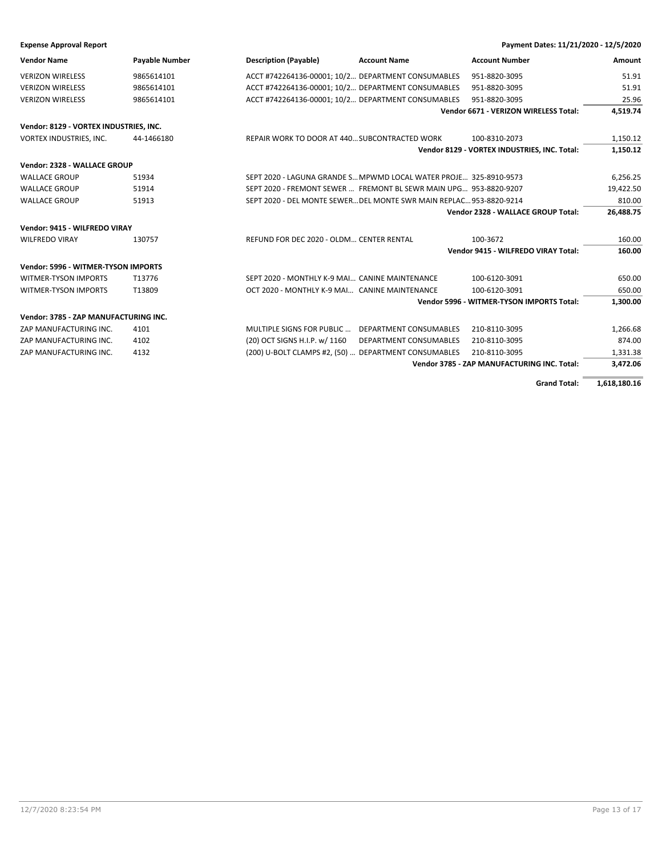| <b>Expense Approval Report</b> | Payment Dates: 11/21/2020 - 12/5/2020 |
|--------------------------------|---------------------------------------|
|--------------------------------|---------------------------------------|

| <b>Vendor Name</b>                     | <b>Payable Number</b> | <b>Description (Payable)</b>                                       | <b>Account Name</b>    | <b>Account Number</b>                        | Amount    |
|----------------------------------------|-----------------------|--------------------------------------------------------------------|------------------------|----------------------------------------------|-----------|
| <b>VERIZON WIRELESS</b>                | 9865614101            | ACCT #742264136-00001; 10/2 DEPARTMENT CONSUMABLES                 |                        | 951-8820-3095                                | 51.91     |
| <b>VERIZON WIRELESS</b>                | 9865614101            | ACCT #742264136-00001; 10/2 DEPARTMENT CONSUMABLES                 |                        | 951-8820-3095                                | 51.91     |
| <b>VERIZON WIRELESS</b>                | 9865614101            | ACCT #742264136-00001; 10/2 DEPARTMENT CONSUMABLES                 |                        | 951-8820-3095                                | 25.96     |
|                                        |                       |                                                                    |                        | Vendor 6671 - VERIZON WIRELESS Total:        | 4,519.74  |
| Vendor: 8129 - VORTEX INDUSTRIES, INC. |                       |                                                                    |                        |                                              |           |
| VORTEX INDUSTRIES, INC.                | 44-1466180            | REPAIR WORK TO DOOR AT 440 SUBCONTRACTED WORK                      |                        | 100-8310-2073                                | 1,150.12  |
|                                        |                       |                                                                    |                        | Vendor 8129 - VORTEX INDUSTRIES, INC. Total: | 1,150.12  |
| Vendor: 2328 - WALLACE GROUP           |                       |                                                                    |                        |                                              |           |
| <b>WALLACE GROUP</b>                   | 51934                 | SEPT 2020 - LAGUNA GRANDE S MPWMD LOCAL WATER PROJE 325-8910-9573  |                        |                                              | 6,256.25  |
| <b>WALLACE GROUP</b>                   | 51914                 | SEPT 2020 - FREMONT SEWER  FREMONT BL SEWR MAIN UPG 953-8820-9207  |                        |                                              | 19,422.50 |
| <b>WALLACE GROUP</b>                   | 51913                 | SEPT 2020 - DEL MONTE SEWERDEL MONTE SWR MAIN REPLAC 953-8820-9214 |                        |                                              | 810.00    |
|                                        |                       |                                                                    |                        | Vendor 2328 - WALLACE GROUP Total:           | 26,488.75 |
| Vendor: 9415 - WILFREDO VIRAY          |                       |                                                                    |                        |                                              |           |
| <b>WILFREDO VIRAY</b>                  | 130757                | REFUND FOR DEC 2020 - OLDM CENTER RENTAL                           |                        | 100-3672                                     | 160.00    |
|                                        |                       |                                                                    |                        | Vendor 9415 - WILFREDO VIRAY Total:          | 160.00    |
| Vendor: 5996 - WITMER-TYSON IMPORTS    |                       |                                                                    |                        |                                              |           |
| <b>WITMER-TYSON IMPORTS</b>            | T13776                | SEPT 2020 - MONTHLY K-9 MAI CANINE MAINTENANCE                     |                        | 100-6120-3091                                | 650.00    |
| <b>WITMER-TYSON IMPORTS</b>            | T13809                | OCT 2020 - MONTHLY K-9 MAI CANINE MAINTENANCE                      |                        | 100-6120-3091                                | 650.00    |
|                                        |                       |                                                                    |                        | Vendor 5996 - WITMER-TYSON IMPORTS Total:    | 1,300.00  |
| Vendor: 3785 - ZAP MANUFACTURING INC.  |                       |                                                                    |                        |                                              |           |
| ZAP MANUFACTURING INC.                 | 4101                  | MULTIPLE SIGNS FOR PUBLIC                                          | DEPARTMENT CONSUMABLES | 210-8110-3095                                | 1,266.68  |
| ZAP MANUFACTURING INC.                 | 4102                  | (20) OCT SIGNS H.I.P. w/ 1160                                      | DEPARTMENT CONSUMABLES | 210-8110-3095                                | 874.00    |
| ZAP MANUFACTURING INC.                 | 4132                  | (200) U-BOLT CLAMPS #2, (50)  DEPARTMENT CONSUMABLES               |                        | 210-8110-3095                                | 1,331.38  |
|                                        |                       |                                                                    |                        | Vendor 3785 - ZAP MANUFACTURING INC. Total:  | 3,472.06  |
|                                        |                       |                                                                    |                        |                                              |           |

**Grand Total: 1,618,180.16**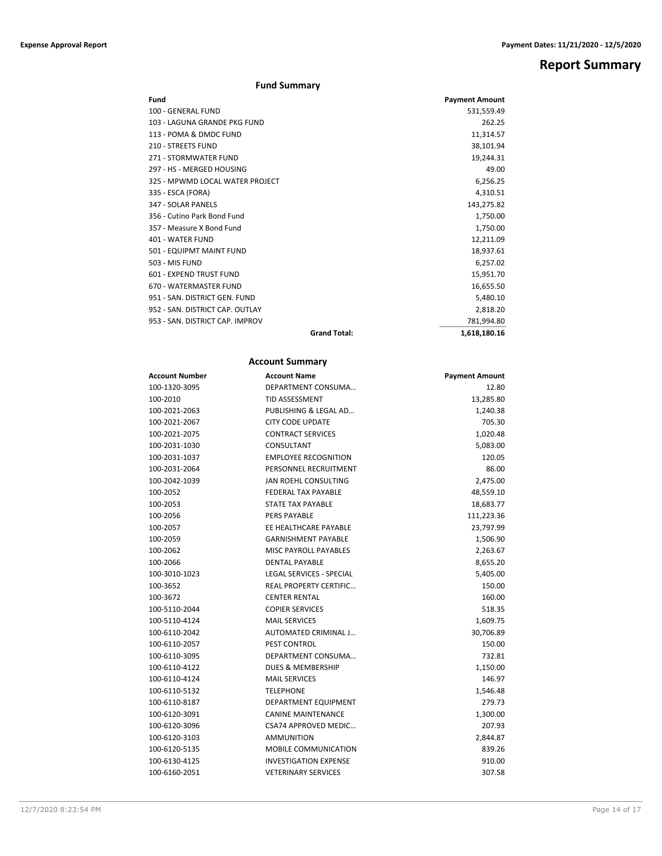## **Report Summary**

### **Fund Summary**

| Fund                            |                     | <b>Payment Amount</b> |
|---------------------------------|---------------------|-----------------------|
| 100 - GENERAL FUND              |                     | 531,559.49            |
| 103 - LAGUNA GRANDE PKG FUND    |                     | 262.25                |
| 113 - POMA & DMDC FUND          |                     | 11,314.57             |
| 210 - STREETS FUND              |                     | 38,101.94             |
| 271 - STORMWATER FUND           |                     | 19,244.31             |
| 297 - HS - MERGED HOUSING       |                     | 49.00                 |
| 325 - MPWMD LOCAL WATER PROJECT |                     | 6,256.25              |
| 335 - ESCA (FORA)               |                     | 4,310.51              |
| 347 - SOLAR PANELS              |                     | 143,275.82            |
| 356 - Cutino Park Bond Fund     |                     | 1,750.00              |
| 357 - Measure X Bond Fund       |                     | 1,750.00              |
| 401 - WATER FUND                |                     | 12,211.09             |
| 501 - EQUIPMT MAINT FUND        |                     | 18,937.61             |
| 503 - MIS FUND                  |                     | 6,257.02              |
| 601 - EXPEND TRUST FUND         |                     | 15,951.70             |
| 670 - WATERMASTER FUND          |                     | 16,655.50             |
| 951 - SAN. DISTRICT GEN. FUND   |                     | 5,480.10              |
| 952 - SAN. DISTRICT CAP. OUTLAY |                     | 2,818.20              |
| 953 - SAN. DISTRICT CAP. IMPROV |                     | 781,994.80            |
|                                 | <b>Grand Total:</b> | 1,618,180.16          |

### **Account Summary**

| Account Number | <b>Account Name</b>             | <b>Payment Amount</b> |
|----------------|---------------------------------|-----------------------|
| 100-1320-3095  | DEPARTMENT CONSUMA              | 12.80                 |
| 100-2010       | <b>TID ASSESSMENT</b>           | 13,285.80             |
| 100-2021-2063  | PUBLISHING & LEGAL AD           | 1,240.38              |
| 100-2021-2067  | <b>CITY CODE UPDATE</b>         | 705.30                |
| 100-2021-2075  | <b>CONTRACT SERVICES</b>        | 1,020.48              |
| 100-2031-1030  | CONSULTANT                      | 5,083.00              |
| 100-2031-1037  | <b>EMPLOYEE RECOGNITION</b>     | 120.05                |
| 100-2031-2064  | PERSONNEL RECRUITMENT           | 86.00                 |
| 100-2042-1039  | JAN ROEHL CONSULTING            | 2,475.00              |
| 100-2052       | <b>FEDERAL TAX PAYABLE</b>      | 48,559.10             |
| 100-2053       | <b>STATE TAX PAYABLE</b>        | 18,683.77             |
| 100-2056       | <b>PERS PAYABLE</b>             | 111,223.36            |
| 100-2057       | EE HEALTHCARE PAYABLE           | 23,797.99             |
| 100-2059       | <b>GARNISHMENT PAYABLE</b>      | 1,506.90              |
| 100-2062       | <b>MISC PAYROLL PAYABLES</b>    | 2,263.67              |
| 100-2066       | <b>DENTAL PAYABLE</b>           | 8,655.20              |
| 100-3010-1023  | <b>LEGAL SERVICES - SPECIAL</b> | 5,405.00              |
| 100-3652       | <b>REAL PROPERTY CERTIFIC</b>   | 150.00                |
| 100-3672       | <b>CENTER RENTAL</b>            | 160.00                |
| 100-5110-2044  | <b>COPIER SERVICES</b>          | 518.35                |
| 100-5110-4124  | <b>MAIL SERVICES</b>            | 1,609.75              |
| 100-6110-2042  | AUTOMATED CRIMINAL J            | 30,706.89             |
| 100-6110-2057  | <b>PEST CONTROL</b>             | 150.00                |
| 100-6110-3095  | DEPARTMENT CONSUMA              | 732.81                |
| 100-6110-4122  | <b>DUES &amp; MEMBERSHIP</b>    | 1,150.00              |
| 100-6110-4124  | <b>MAIL SERVICES</b>            | 146.97                |
| 100-6110-5132  | <b>TELEPHONE</b>                | 1,546.48              |
| 100-6110-8187  | DEPARTMENT EQUIPMENT            | 279.73                |
| 100-6120-3091  | <b>CANINE MAINTENANCE</b>       | 1,300.00              |
| 100-6120-3096  | CSA74 APPROVED MEDIC            | 207.93                |
| 100-6120-3103  | <b>AMMUNITION</b>               | 2,844.87              |
| 100-6120-5135  | <b>MOBILE COMMUNICATION</b>     | 839.26                |
| 100-6130-4125  | <b>INVESTIGATION EXPENSE</b>    | 910.00                |
| 100-6160-2051  | <b>VETERINARY SERVICES</b>      | 307.58                |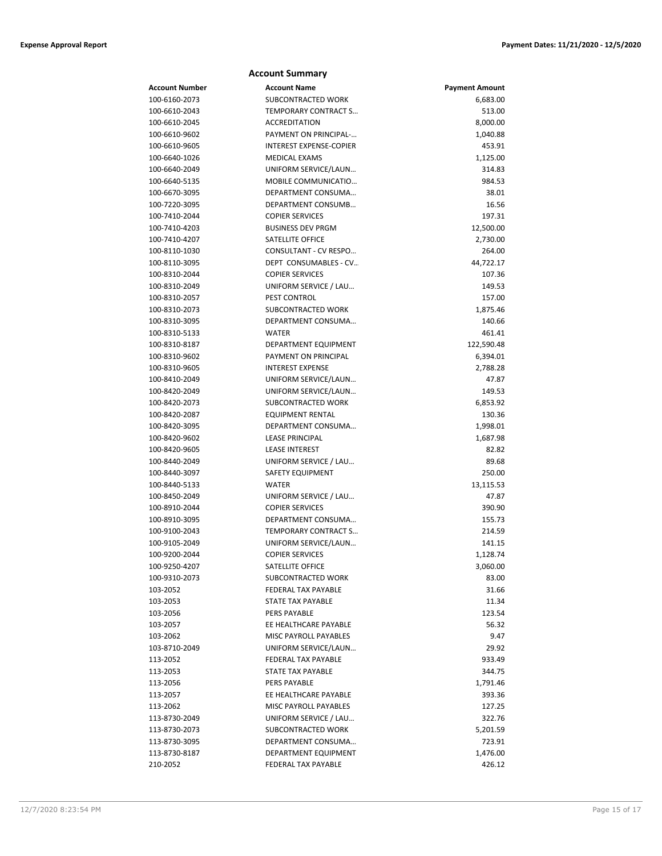### **Account Summary Account Number Account Name Payment Amount** 100-6160-2073 SUBCONTRACTED WORK 6,683.00 100-6610-2043 TEMPORARY CONTRACT S… 513.00 100-6610-2045 ACCREDITATION 8,000.00 100-6610-9602 **PAYMENT ON PRINCIPAL-...** 1,040.88 100-6610-9605 INTEREST EXPENSE-COPIER 453.91 100-6640-1026 MEDICAL EXAMS 1,125.00 100-6640-2049 UNIFORM SERVICE/LAUN… 314.83 100-6640-5135 MOBILE COMMUNICATIO… 984.53 100-6670-3095 DEPARTMENT CONSUMA… 38.01 100-7220-3095 DEPARTMENT CONSUMB… 16.56 100-7410-2044 COPIER SERVICES 197.31 100-7410-4203 BUSINESS DEV PRGM 12,500.00 100-7410-4207 SATELLITE OFFICE 2,730.00 100-8110-1030 CONSULTANT - CV RESPO… 264.00 100-8110-3095 DEPT CONSUMABLES - CV… 44,722.17 100-8310-2044 COPIER SERVICES 107.36 100-8310-2049 UNIFORM SERVICE / LAU… 149.53 100-8310-2057 PEST CONTROL 157.00 100-8310-2073 SUBCONTRACTED WORK 1,875.46 100-8310-3095 DEPARTMENT CONSUMA… 140.66 100-8310-5133 WATER 461.41 100-8310-8187 DEPARTMENT EQUIPMENT 122,590.48 100-8310-9602 PAYMENT ON PRINCIPAL 6,394.01 100-8310-9605 INTEREST EXPENSE 2,788.28 100-8410-2049 UNIFORM SERVICE/LAUN… 47.87 100-8420-2049 UNIFORM SERVICE/LAUN… 149.53 100-8420-2073 SUBCONTRACTED WORK 6,853.92 100-8420-2087 EQUIPMENT RENTAL 130.36 100-8420-3095 DEPARTMENT CONSUMA… 1,998.01 100-8420-9602 LEASE PRINCIPAL 1,687.98 100-8420-9605 LEASE INTEREST 82.82 100-8440-2049 UNIFORM SERVICE / LAU… 89.68 100-8440-3097 SAFETY EQUIPMENT 250.00 100-8440-5133 WATER 13,115.53 100-8450-2049 UNIFORM SERVICE / LAU… 47.87 100-8910-2044 COPIER SERVICES 390.90 100-8910-3095 DEPARTMENT CONSUMA… 155.73 100-9100-2043 TEMPORARY CONTRACT S… 214.59 100-9105-2049 UNIFORM SERVICE/LAUN… 141.15 100-9200-2044 COPIER SERVICES 1,128.74 100-9250-4207 SATELLITE OFFICE 3,060.00 100-9310-2073 SUBCONTRACTED WORK 83.00 103-2052 FEDERAL TAX PAYABLE 31.66 103-2053 STATE TAX PAYABLE 11.34 103-2056 PERS PAYABLE 123.54 103-2057 EE HEALTHCARE PAYABLE 56.32 103-2062 MISC PAYROLL PAYABLES 9.47 103-8710-2049 UNIFORM SERVICE/LAUN… 29.92 113-2052 FEDERAL TAX PAYABLE 933.49 113-2053 STATE TAX PAYABLE 344.75 113-2056 PERS PAYABLE 1,791.46 113-2057 EE HEALTHCARE PAYABLE 393.36 113-2062 MISC PAYROLL PAYABLES 127.25 113-8730-2049 UNIFORM SERVICE / LAU… 322.76 113-8730-2073 SUBCONTRACTED WORK 5,201.59 113-8730-3095 DEPARTMENT CONSUMA… 723.91 113-8730-8187 DEPARTMENT EQUIPMENT 1,476.00 210-2052 FEDERAL TAX PAYABLE 426.12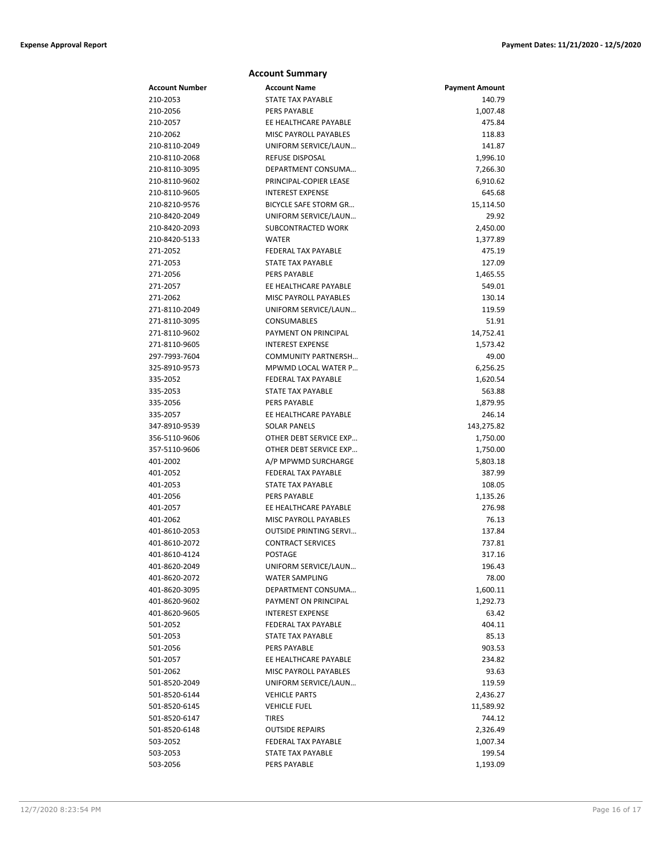|                | <b>Account Summary</b>        |                       |
|----------------|-------------------------------|-----------------------|
| Account Number | <b>Account Name</b>           | <b>Payment Amount</b> |
| 210-2053       | STATE TAX PAYABLE             | 140.79                |
| 210-2056       | PERS PAYABLE                  | 1,007.48              |
| 210-2057       | EE HEALTHCARE PAYABLE         | 475.84                |
| 210-2062       | <b>MISC PAYROLL PAYABLES</b>  | 118.83                |
| 210-8110-2049  | UNIFORM SERVICE/LAUN          | 141.87                |
| 210-8110-2068  | REFUSE DISPOSAL               | 1,996.10              |
| 210-8110-3095  | DEPARTMENT CONSUMA            | 7,266.30              |
| 210-8110-9602  | PRINCIPAL-COPIER LEASE        | 6,910.62              |
| 210-8110-9605  | <b>INTEREST EXPENSE</b>       | 645.68                |
| 210-8210-9576  | BICYCLE SAFE STORM GR         | 15,114.50             |
| 210-8420-2049  | UNIFORM SERVICE/LAUN          | 29.92                 |
| 210-8420-2093  | SUBCONTRACTED WORK            | 2,450.00              |
| 210-8420-5133  | <b>WATER</b>                  | 1,377.89              |
| 271-2052       | FEDERAL TAX PAYABLE           | 475.19                |
| 271-2053       | STATE TAX PAYABLE             | 127.09                |
| 271-2056       | PERS PAYABLE                  | 1,465.55              |
| 271-2057       | EE HEALTHCARE PAYABLE         | 549.01                |
| 271-2062       | MISC PAYROLL PAYABLES         | 130.14                |
| 271-8110-2049  | UNIFORM SERVICE/LAUN          | 119.59                |
| 271-8110-3095  | CONSUMABLES                   | 51.91                 |
| 271-8110-9602  | PAYMENT ON PRINCIPAL          | 14,752.41             |
| 271-8110-9605  | <b>INTEREST EXPENSE</b>       | 1,573.42              |
| 297-7993-7604  | <b>COMMUNITY PARTNERSH</b>    | 49.00                 |
| 325-8910-9573  | MPWMD LOCAL WATER P           | 6,256.25              |
| 335-2052       | <b>FEDERAL TAX PAYABLE</b>    | 1,620.54              |
| 335-2053       | <b>STATE TAX PAYABLE</b>      | 563.88                |
| 335-2056       | PERS PAYABLE                  | 1,879.95              |
| 335-2057       | EE HEALTHCARE PAYABLE         | 246.14                |
| 347-8910-9539  | <b>SOLAR PANELS</b>           | 143,275.82            |
| 356-5110-9606  | OTHER DEBT SERVICE EXP        | 1,750.00              |
| 357-5110-9606  | OTHER DEBT SERVICE EXP        | 1,750.00              |
| 401-2002       | A/P MPWMD SURCHARGE           | 5,803.18              |
| 401-2052       | <b>FEDERAL TAX PAYABLE</b>    | 387.99                |
| 401-2053       | STATE TAX PAYABLE             | 108.05                |
| 401-2056       | <b>PERS PAYABLE</b>           | 1,135.26              |
| 401-2057       | EE HEALTHCARE PAYABLE         | 276.98                |
| 401-2062       | <b>MISC PAYROLL PAYABLES</b>  | 76.13                 |
| 401-8610-2053  | <b>OUTSIDE PRINTING SERVI</b> | 137.84                |
| 401-8610-2072  | <b>CONTRACT SERVICES</b>      | 737.81                |
| 401-8610-4124  | POSTAGE                       | 317.16                |
| 401-8620-2049  | UNIFORM SERVICE/LAUN          | 196.43                |
| 401-8620-2072  | <b>WATER SAMPLING</b>         | 78.00                 |
| 401-8620-3095  | DEPARTMENT CONSUMA            | 1,600.11              |
| 401-8620-9602  | PAYMENT ON PRINCIPAL          | 1,292.73              |
| 401-8620-9605  | <b>INTEREST EXPENSE</b>       | 63.42                 |
| 501-2052       | FEDERAL TAX PAYABLE           | 404.11                |
| 501-2053       | <b>STATE TAX PAYABLE</b>      | 85.13                 |
| 501-2056       | <b>PERS PAYABLE</b>           | 903.53                |
| 501-2057       | EE HEALTHCARE PAYABLE         | 234.82                |
| 501-2062       | <b>MISC PAYROLL PAYABLES</b>  | 93.63                 |
| 501-8520-2049  | UNIFORM SERVICE/LAUN          | 119.59                |
| 501-8520-6144  | <b>VEHICLE PARTS</b>          | 2,436.27              |
| 501-8520-6145  | <b>VEHICLE FUEL</b>           | 11,589.92             |
| 501-8520-6147  | <b>TIRES</b>                  | 744.12                |
| 501-8520-6148  | <b>OUTSIDE REPAIRS</b>        | 2,326.49              |
| 503-2052       | FEDERAL TAX PAYABLE           | 1,007.34              |
| 503-2053       | <b>STATE TAX PAYABLE</b>      | 199.54                |
| 503-2056       | PERS PAYABLE                  | 1,193.09              |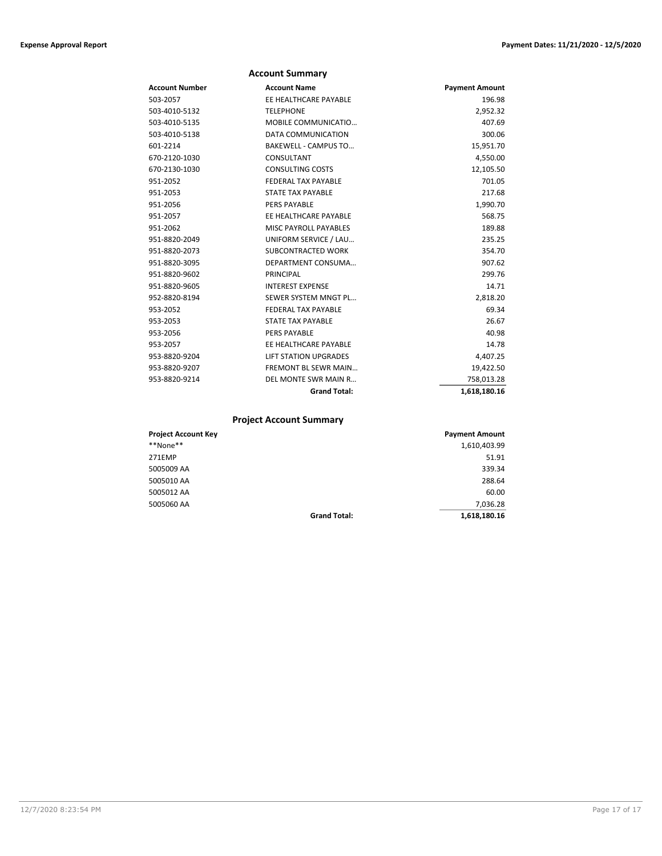|                | <b>Account Summary</b>       |                       |
|----------------|------------------------------|-----------------------|
| Account Number | <b>Account Name</b>          | <b>Payment Amount</b> |
| 503-2057       | EE HEALTHCARE PAYABLE        | 196.98                |
| 503-4010-5132  | <b>TELEPHONE</b>             | 2,952.32              |
| 503-4010-5135  | MOBILE COMMUNICATIO          | 407.69                |
| 503-4010-5138  | DATA COMMUNICATION           | 300.06                |
| 601-2214       | <b>BAKEWELL - CAMPUS TO</b>  | 15,951.70             |
| 670-2120-1030  | CONSULTANT                   | 4,550.00              |
| 670-2130-1030  | <b>CONSULTING COSTS</b>      | 12,105.50             |
| 951-2052       | FEDERAL TAX PAYABLE          | 701.05                |
| 951-2053       | <b>STATE TAX PAYABLE</b>     | 217.68                |
| 951-2056       | <b>PERS PAYABLE</b>          | 1,990.70              |
| 951-2057       | EE HEALTHCARE PAYABLE        | 568.75                |
| 951-2062       | MISC PAYROLL PAYABLES        | 189.88                |
| 951-8820-2049  | UNIFORM SERVICE / LAU        | 235.25                |
| 951-8820-2073  | <b>SUBCONTRACTED WORK</b>    | 354.70                |
| 951-8820-3095  | DEPARTMENT CONSUMA           | 907.62                |
| 951-8820-9602  | PRINCIPAL                    | 299.76                |
| 951-8820-9605  | <b>INTEREST EXPENSE</b>      | 14.71                 |
| 952-8820-8194  | SEWER SYSTEM MNGT PL         | 2,818.20              |
| 953-2052       | FEDERAL TAX PAYABLE          | 69.34                 |
| 953-2053       | <b>STATE TAX PAYABLE</b>     | 26.67                 |
| 953-2056       | <b>PERS PAYABLE</b>          | 40.98                 |
| 953-2057       | EE HEALTHCARE PAYABLE        | 14.78                 |
| 953-8820-9204  | <b>LIFT STATION UPGRADES</b> | 4,407.25              |
| 953-8820-9207  | <b>FREMONT BL SEWR MAIN</b>  | 19,422.50             |
| 953-8820-9214  | DEL MONTE SWR MAIN R         | 758,013.28            |
|                | <b>Grand Total:</b>          | 1,618,180.16          |

## **Project Account Summary**

| <b>Project Account Key</b> |                     | <b>Payment Amount</b> |
|----------------------------|---------------------|-----------------------|
| **None**                   |                     | 1,610,403.99          |
| 271EMP                     |                     | 51.91                 |
| 5005009 AA                 |                     | 339.34                |
| 5005010 AA                 |                     | 288.64                |
| 5005012 AA                 |                     | 60.00                 |
| 5005060 AA                 |                     | 7,036.28              |
|                            | <b>Grand Total:</b> | 1,618,180.16          |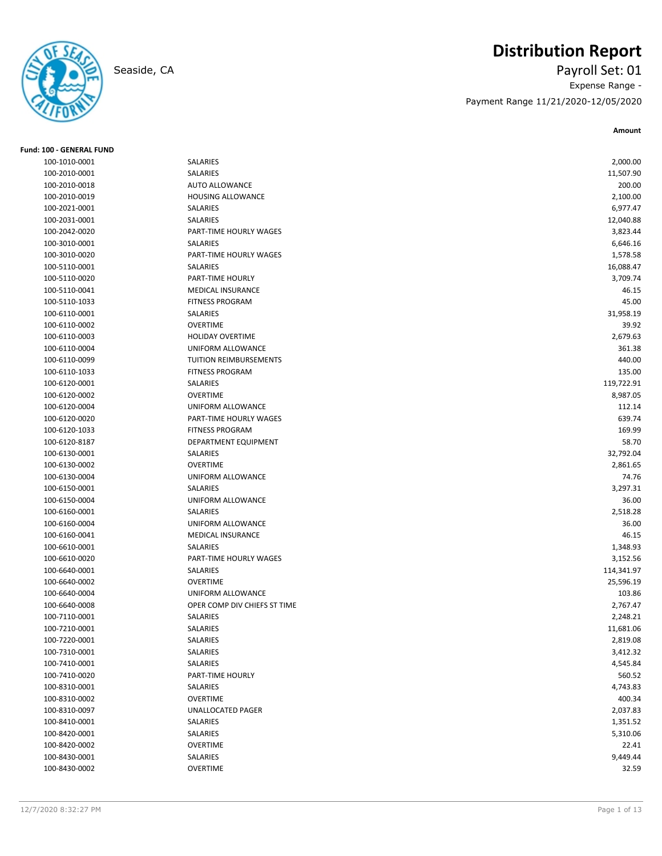

## **Distribution Report**

Seaside, CA Payroll Set: 01 Expense Range - Payment Range 11/21/2020-12/05/2020

| <b>Fund: 100 - GENERAL FUND</b> |                              |            |
|---------------------------------|------------------------------|------------|
| 100-1010-0001                   | <b>SALARIES</b>              | 2,000.00   |
| 100-2010-0001                   | SALARIES                     | 11,507.90  |
| 100-2010-0018                   | <b>AUTO ALLOWANCE</b>        | 200.00     |
| 100-2010-0019                   | <b>HOUSING ALLOWANCE</b>     | 2,100.00   |
| 100-2021-0001                   | SALARIES                     | 6,977.47   |
| 100-2031-0001                   | SALARIES                     | 12,040.88  |
| 100-2042-0020                   | PART-TIME HOURLY WAGES       | 3,823.44   |
| 100-3010-0001                   | SALARIES                     | 6,646.16   |
| 100-3010-0020                   | PART-TIME HOURLY WAGES       | 1,578.58   |
| 100-5110-0001                   | SALARIES                     | 16,088.47  |
| 100-5110-0020                   | PART-TIME HOURLY             | 3,709.74   |
| 100-5110-0041                   | <b>MEDICAL INSURANCE</b>     | 46.15      |
| 100-5110-1033                   | <b>FITNESS PROGRAM</b>       | 45.00      |
| 100-6110-0001                   | SALARIES                     | 31,958.19  |
| 100-6110-0002                   | <b>OVERTIME</b>              | 39.92      |
| 100-6110-0003                   | <b>HOLIDAY OVERTIME</b>      | 2,679.63   |
| 100-6110-0004                   | UNIFORM ALLOWANCE            | 361.38     |
| 100-6110-0099                   | TUITION REIMBURSEMENTS       | 440.00     |
| 100-6110-1033                   | <b>FITNESS PROGRAM</b>       | 135.00     |
| 100-6120-0001                   | SALARIES                     | 119,722.91 |
| 100-6120-0002                   | <b>OVERTIME</b>              | 8,987.05   |
| 100-6120-0004                   | UNIFORM ALLOWANCE            | 112.14     |
| 100-6120-0020                   | PART-TIME HOURLY WAGES       | 639.74     |
| 100-6120-1033                   | <b>FITNESS PROGRAM</b>       | 169.99     |
| 100-6120-8187                   | DEPARTMENT EQUIPMENT         | 58.70      |
| 100-6130-0001                   | SALARIES                     | 32,792.04  |
| 100-6130-0002                   | <b>OVERTIME</b>              | 2,861.65   |
| 100-6130-0004                   | UNIFORM ALLOWANCE            | 74.76      |
| 100-6150-0001                   | SALARIES                     | 3,297.31   |
| 100-6150-0004                   | UNIFORM ALLOWANCE            | 36.00      |
| 100-6160-0001                   | <b>SALARIES</b>              | 2,518.28   |
| 100-6160-0004                   | UNIFORM ALLOWANCE            | 36.00      |
| 100-6160-0041                   | <b>MEDICAL INSURANCE</b>     | 46.15      |
| 100-6610-0001                   | SALARIES                     | 1,348.93   |
| 100-6610-0020                   | PART-TIME HOURLY WAGES       | 3,152.56   |
| 100-6640-0001                   | SALARIES                     | 114,341.97 |
| 100-6640-0002                   | <b>OVERTIME</b>              | 25,596.19  |
| 100-6640-0004                   | UNIFORM ALLOWANCE            | 103.86     |
| 100-6640-0008                   | OPER COMP DIV CHIEFS ST TIME | 2,767.47   |
| 100-7110-0001                   | <b>SALARIES</b>              | 2,248.21   |
| 100-7210-0001                   | SALARIES                     | 11,681.06  |
| 100-7220-0001                   | SALARIES                     | 2,819.08   |
| 100-7310-0001                   | SALARIES                     | 3,412.32   |
| 100-7410-0001                   | SALARIES                     | 4,545.84   |
| 100-7410-0020                   | PART-TIME HOURLY             | 560.52     |
| 100-8310-0001                   | SALARIES                     | 4,743.83   |
| 100-8310-0002                   | <b>OVERTIME</b>              | 400.34     |
| 100-8310-0097                   | UNALLOCATED PAGER            | 2,037.83   |
| 100-8410-0001                   | SALARIES                     | 1,351.52   |
| 100-8420-0001                   | SALARIES                     | 5,310.06   |
| 100-8420-0002                   | OVERTIME                     | 22.41      |
| 100-8430-0001                   | SALARIES                     | 9,449.44   |
| 100-8430-0002                   | OVERTIME                     | 32.59      |
|                                 |                              |            |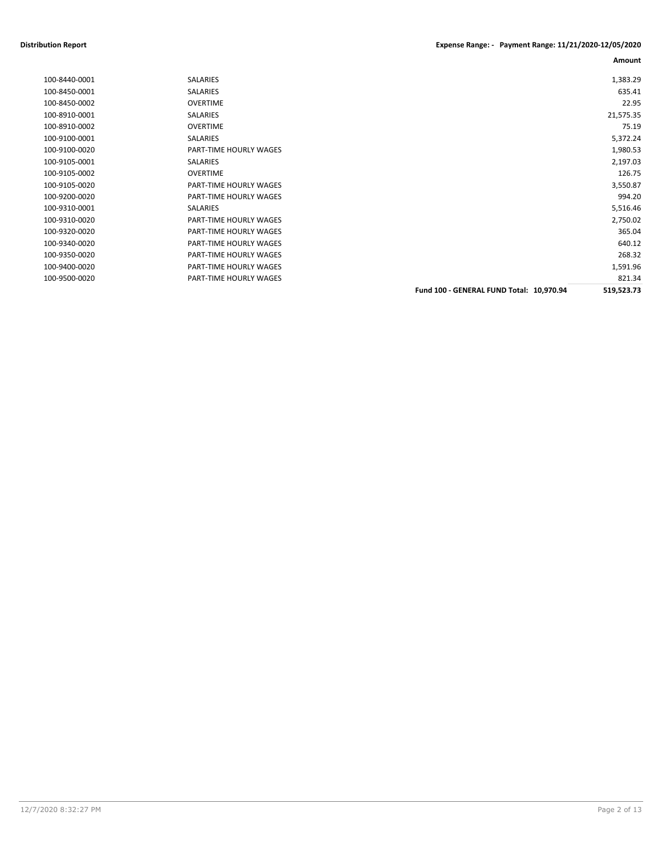### **Distribution Report Expense Range: - Payment Range: 11/21/2020-12/05/2020**

| 100-8440-0001 | SALARIES               |                                          | 1,383.29   |
|---------------|------------------------|------------------------------------------|------------|
| 100-8450-0001 | <b>SALARIES</b>        |                                          | 635.41     |
| 100-8450-0002 | <b>OVERTIME</b>        |                                          | 22.95      |
| 100-8910-0001 | SALARIES               |                                          | 21,575.35  |
| 100-8910-0002 | <b>OVERTIME</b>        |                                          | 75.19      |
| 100-9100-0001 | SALARIES               |                                          | 5,372.24   |
| 100-9100-0020 | PART-TIME HOURLY WAGES |                                          | 1,980.53   |
| 100-9105-0001 | <b>SALARIES</b>        |                                          | 2,197.03   |
| 100-9105-0002 | <b>OVERTIME</b>        |                                          | 126.75     |
| 100-9105-0020 | PART-TIME HOURLY WAGES |                                          | 3,550.87   |
| 100-9200-0020 | PART-TIME HOURLY WAGES |                                          | 994.20     |
| 100-9310-0001 | <b>SALARIES</b>        |                                          | 5,516.46   |
| 100-9310-0020 | PART-TIME HOURLY WAGES |                                          | 2,750.02   |
| 100-9320-0020 | PART-TIME HOURLY WAGES |                                          | 365.04     |
| 100-9340-0020 | PART-TIME HOURLY WAGES |                                          | 640.12     |
| 100-9350-0020 | PART-TIME HOURLY WAGES |                                          | 268.32     |
| 100-9400-0020 | PART-TIME HOURLY WAGES |                                          | 1,591.96   |
| 100-9500-0020 | PART-TIME HOURLY WAGES |                                          | 821.34     |
|               |                        | Fund 100 - GENERAL FUND Total: 10,970.94 | 519,523.73 |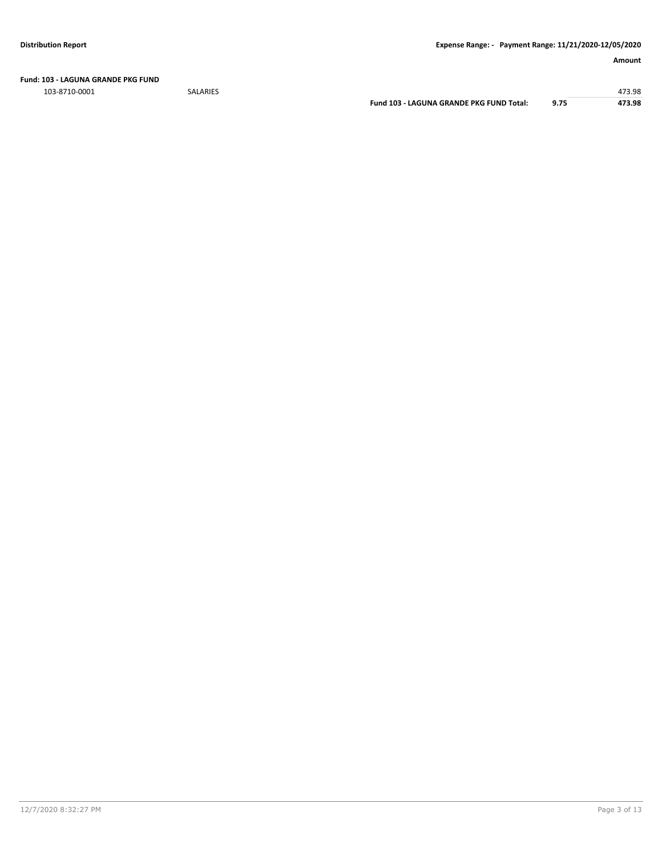**Fund: 103 - LAGUNA GRANDE PKG FUND**

103-8710-0001 SALARIES 473.98

**Fund 103 - LAGUNA GRANDE PKG FUND Total: 9.75 473.98**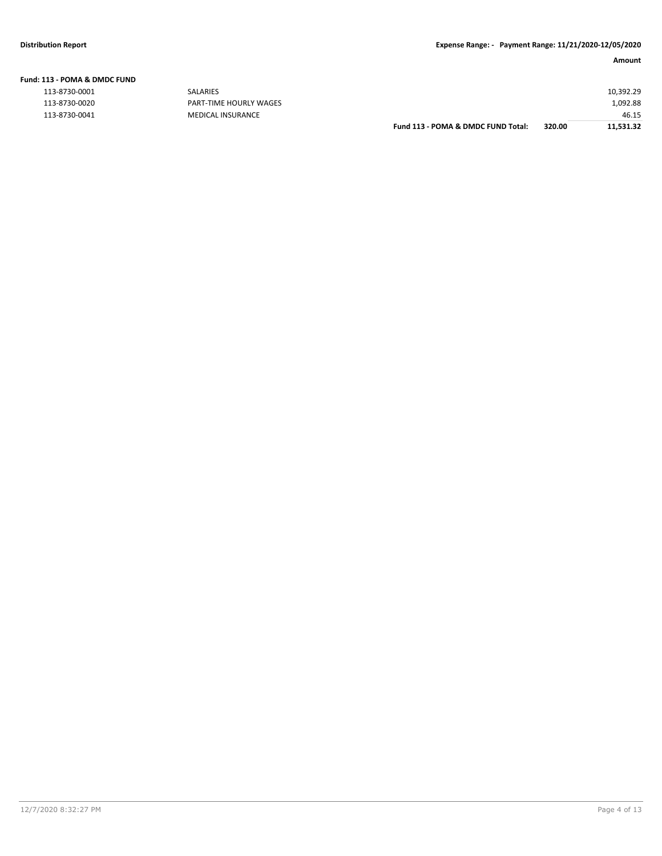| Fund: 113 - POMA & DMDC FUND |  |  |  |
|------------------------------|--|--|--|
|                              |  |  |  |

| 113-8730-0001<br><b>SALARIES</b>               |                                    |        | 10,392.29 |
|------------------------------------------------|------------------------------------|--------|-----------|
| 113-8730-0020<br><b>PART-TIME HOURLY WAGES</b> |                                    |        | 1,092.88  |
| 113-8730-0041<br>MEDICAL INSURANCE             |                                    |        | 46.15     |
|                                                | Fund 113 - POMA & DMDC FUND Total: | 320.00 | 11.531.32 |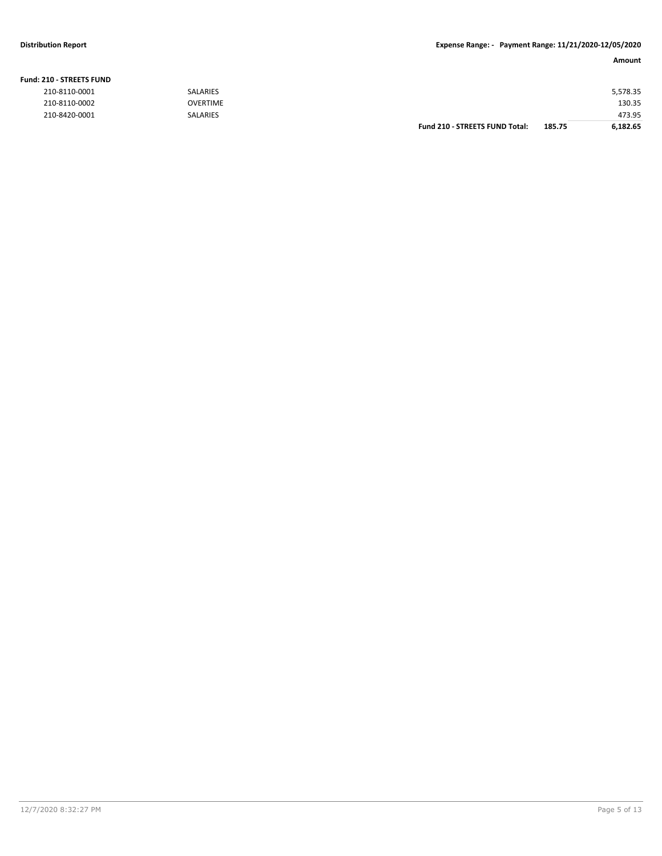### **Fund: 210 - STREETS FUND**

| 210-8110-0001 | SALARIES        |                                       |        | 5,578.35 |
|---------------|-----------------|---------------------------------------|--------|----------|
| 210-8110-0002 | <b>OVERTIME</b> |                                       |        | 130.35   |
| 210-8420-0001 | <b>SALARIES</b> |                                       |        | 473.95   |
|               |                 | <b>Fund 210 - STREETS FUND Total:</b> | 185.75 | 6.182.65 |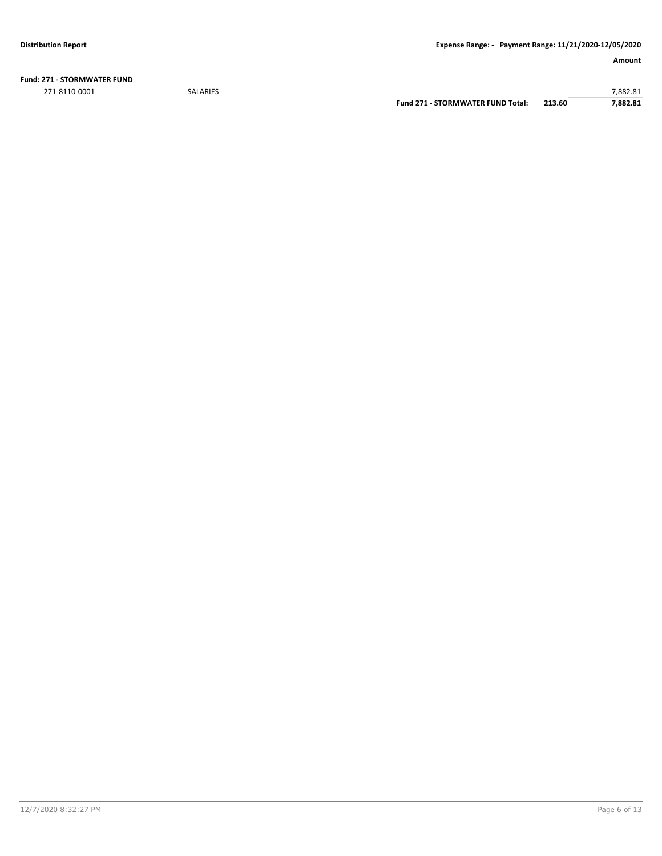**Fund: 271 - STORMWATER FUND** 271-8110-0001 SALARIES 7,882.81

**Fund 271 - STORMWATER FUND Total: 213.60 7,882.81**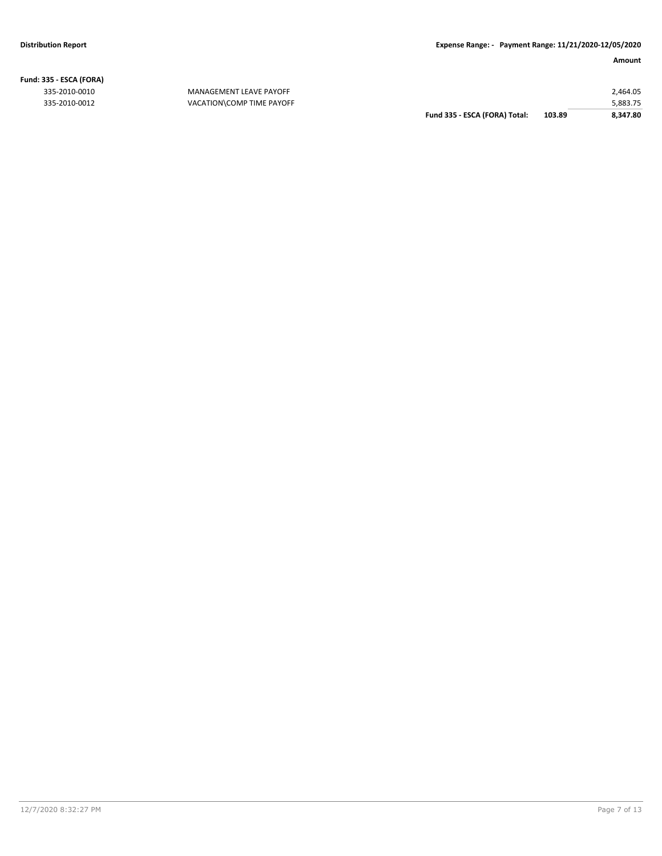**Fund: 335 - ESCA (FORA)**

335-2010-0010 MANAGEMENT LEAVE PAYOFF 335-2010-0012 VACATION\COMP TIME PAYOFF

| Fund 335 - ESCA (FORA) Total: | 103.89 | 8.347.80 |
|-------------------------------|--------|----------|
|                               |        | 5.883.75 |
|                               |        | 2.464.05 |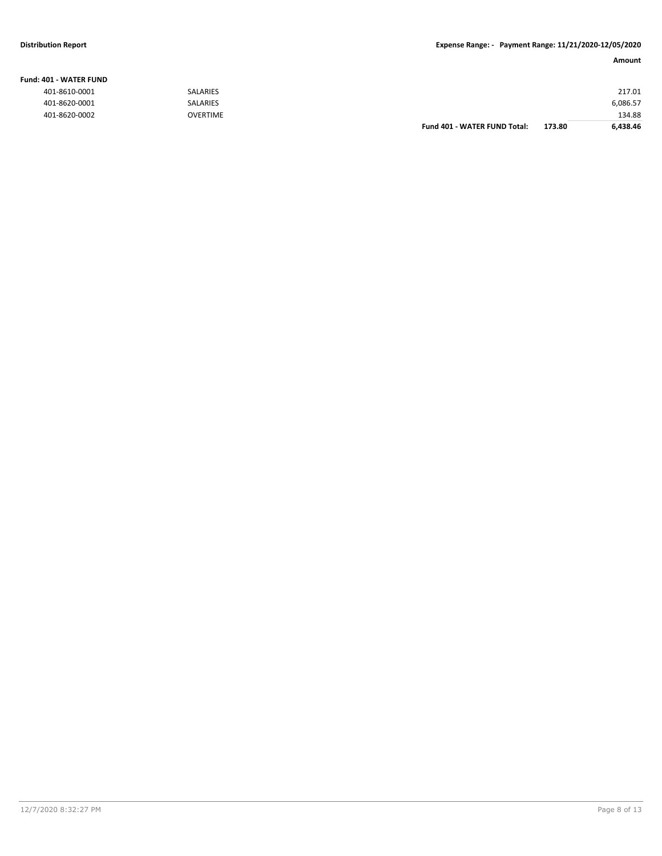### **Fund: 401 - WATER FUND**

| 401-8610-0001 | <b>SALARIES</b> |                              |        | 217.01   |
|---------------|-----------------|------------------------------|--------|----------|
| 401-8620-0001 | <b>SALARIES</b> |                              |        | 6,086.57 |
| 401-8620-0002 | <b>OVERTIME</b> |                              |        | 134.88   |
|               |                 | Fund 401 - WATER FUND Total: | 173.80 | 6,438.46 |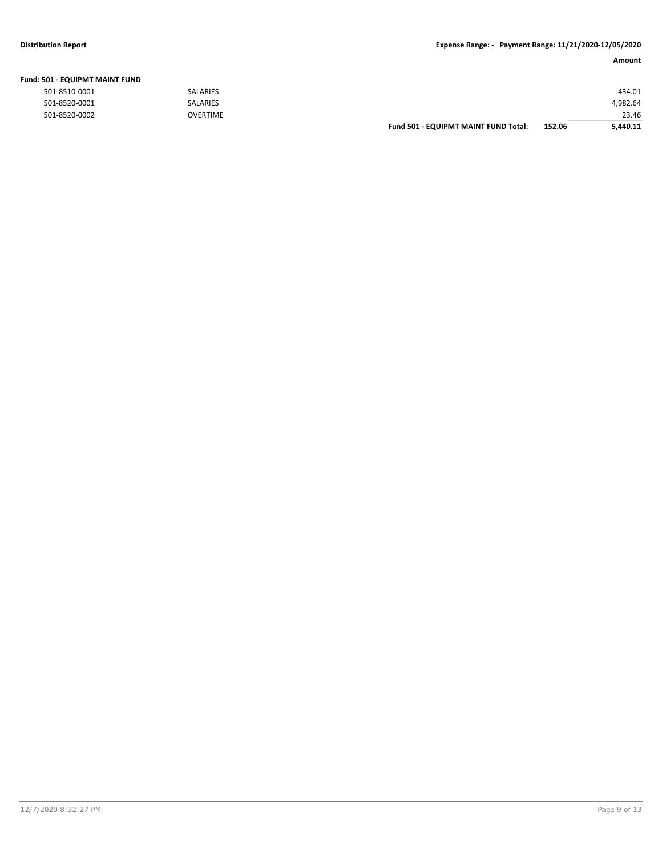### **Distribution Report Expense Range: - Payment Range: 11/21/2020-12/05/2020**

|                                       |                 |                                      |        | Amount   |
|---------------------------------------|-----------------|--------------------------------------|--------|----------|
| <b>Fund: 501 - EQUIPMT MAINT FUND</b> |                 |                                      |        |          |
| 501-8510-0001                         | SALARIES        |                                      |        | 434.01   |
| 501-8520-0001                         | SALARIES        |                                      |        | 4,982.64 |
| 501-8520-0002                         | <b>OVERTIME</b> |                                      |        | 23.46    |
|                                       |                 | Fund 501 - EQUIPMT MAINT FUND Total: | 152.06 | 5.440.11 |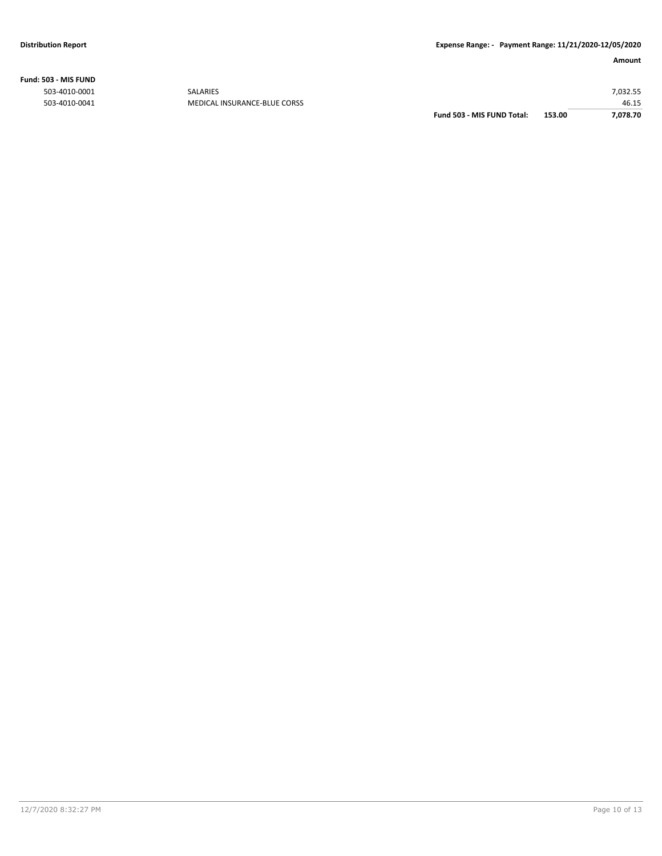**Fund: 503 - MIS FUND**

| 7,078.70<br>153.00 |
|--------------------|
| 46.15              |
| 7,032.55           |
|                    |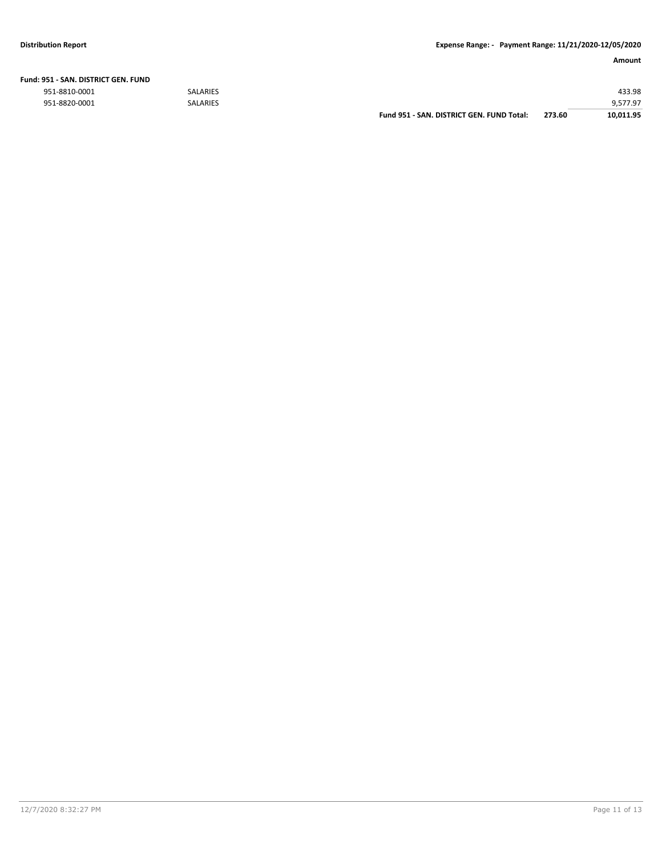| Fund: 951 - SAN. DISTRICT GEN. FUND |  |  |  |
|-------------------------------------|--|--|--|
|                                     |  |  |  |

|               |                 | Fund 951 - SAN, DISTRICT GEN, FUND Total: | 273.60 | 10,011.95 |
|---------------|-----------------|-------------------------------------------|--------|-----------|
| 951-8820-0001 | <b>SALARIES</b> |                                           |        | 9,577.97  |
| 951-8810-0001 | <b>SALARIES</b> |                                           |        | 433.98    |
|               |                 |                                           |        |           |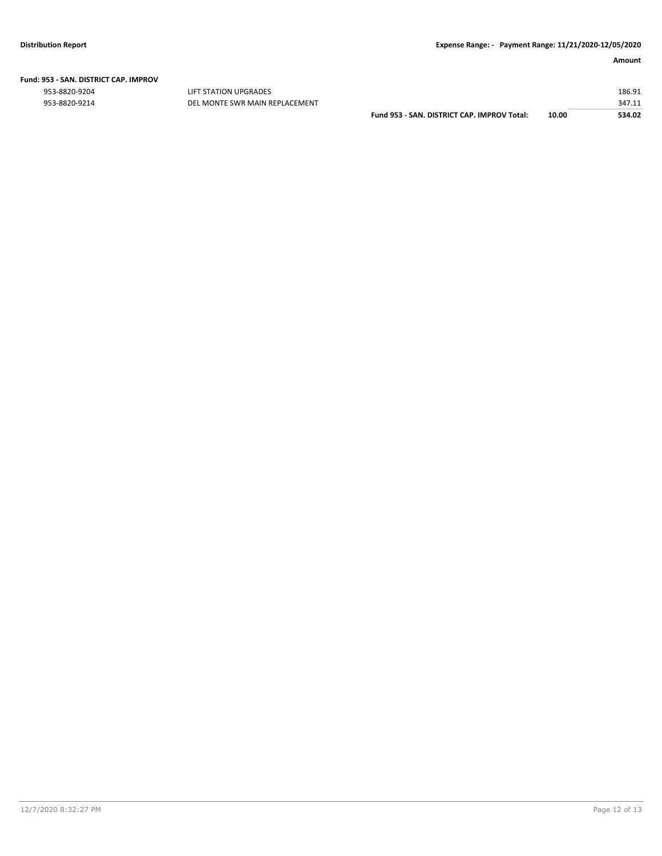# **Fund: 953 - SAN. DISTRICT CAP. IMPROV**

953-8820-9204 LIFT STATION UPGRADES 186.91

| 953-8820-9214 | DEL MONTE SWR MAIN REPLACEMENT |                                             |       | 347.11 |
|---------------|--------------------------------|---------------------------------------------|-------|--------|
|               |                                | Fund 953 - SAN, DISTRICT CAP, IMPROV Total: | 10.00 | 534.02 |